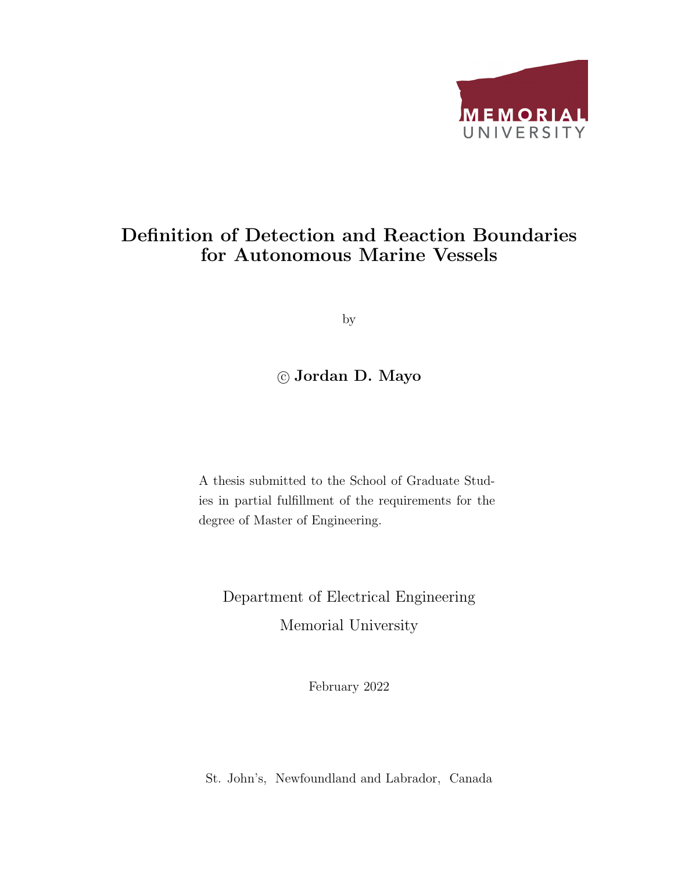

### Definition of Detection and Reaction Boundaries for Autonomous Marine Vessels

by

### c Jordan D. Mayo

A thesis submitted to the School of Graduate Studies in partial fulfillment of the requirements for the degree of Master of Engineering.

Department of Electrical Engineering Memorial University

February 2022

St. John's, Newfoundland and Labrador, Canada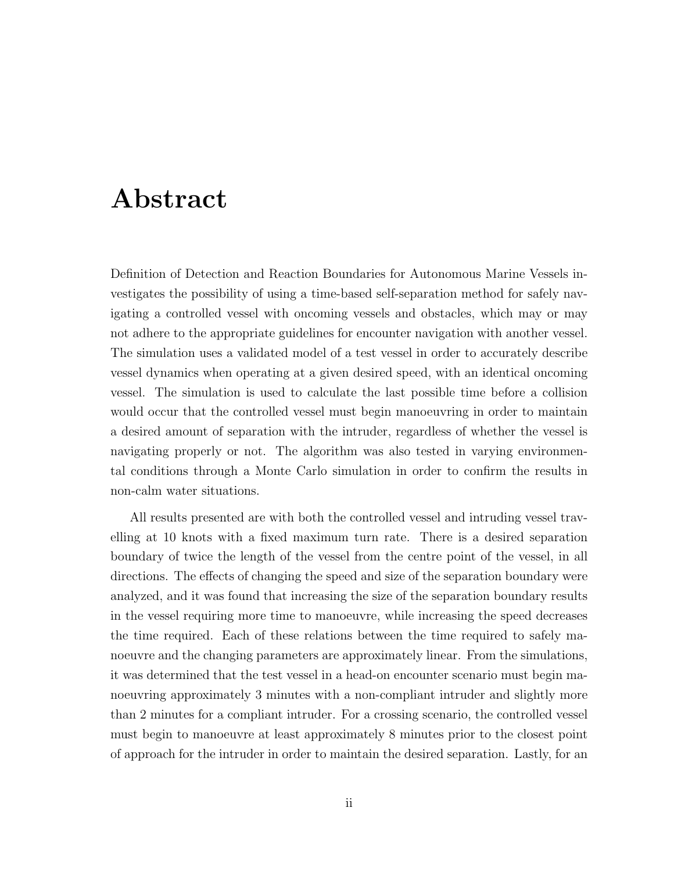### Abstract

Definition of Detection and Reaction Boundaries for Autonomous Marine Vessels investigates the possibility of using a time-based self-separation method for safely navigating a controlled vessel with oncoming vessels and obstacles, which may or may not adhere to the appropriate guidelines for encounter navigation with another vessel. The simulation uses a validated model of a test vessel in order to accurately describe vessel dynamics when operating at a given desired speed, with an identical oncoming vessel. The simulation is used to calculate the last possible time before a collision would occur that the controlled vessel must begin manoeuvring in order to maintain a desired amount of separation with the intruder, regardless of whether the vessel is navigating properly or not. The algorithm was also tested in varying environmental conditions through a Monte Carlo simulation in order to confirm the results in non-calm water situations.

All results presented are with both the controlled vessel and intruding vessel travelling at 10 knots with a fixed maximum turn rate. There is a desired separation boundary of twice the length of the vessel from the centre point of the vessel, in all directions. The effects of changing the speed and size of the separation boundary were analyzed, and it was found that increasing the size of the separation boundary results in the vessel requiring more time to manoeuvre, while increasing the speed decreases the time required. Each of these relations between the time required to safely manoeuvre and the changing parameters are approximately linear. From the simulations, it was determined that the test vessel in a head-on encounter scenario must begin manoeuvring approximately 3 minutes with a non-compliant intruder and slightly more than 2 minutes for a compliant intruder. For a crossing scenario, the controlled vessel must begin to manoeuvre at least approximately 8 minutes prior to the closest point of approach for the intruder in order to maintain the desired separation. Lastly, for an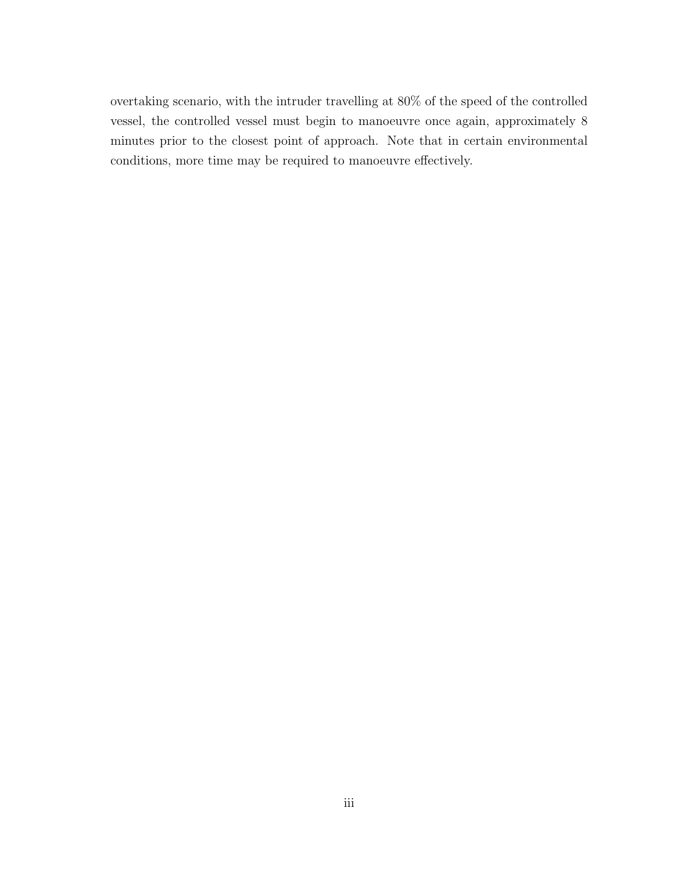overtaking scenario, with the intruder travelling at 80% of the speed of the controlled vessel, the controlled vessel must begin to manoeuvre once again, approximately 8 minutes prior to the closest point of approach. Note that in certain environmental conditions, more time may be required to manoeuvre effectively.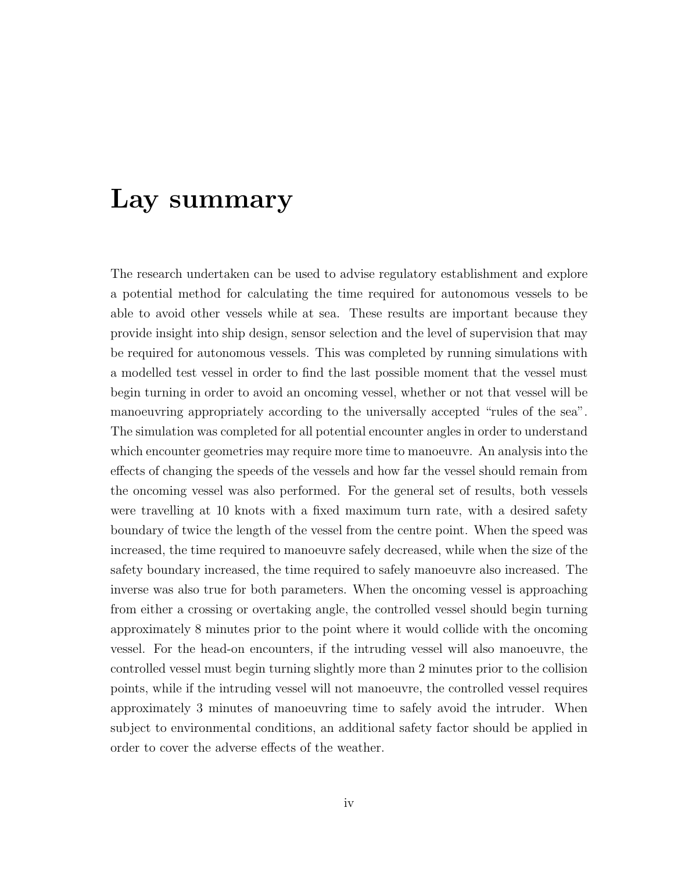### Lay summary

The research undertaken can be used to advise regulatory establishment and explore a potential method for calculating the time required for autonomous vessels to be able to avoid other vessels while at sea. These results are important because they provide insight into ship design, sensor selection and the level of supervision that may be required for autonomous vessels. This was completed by running simulations with a modelled test vessel in order to find the last possible moment that the vessel must begin turning in order to avoid an oncoming vessel, whether or not that vessel will be manoeuvring appropriately according to the universally accepted "rules of the sea". The simulation was completed for all potential encounter angles in order to understand which encounter geometries may require more time to manoeuvre. An analysis into the effects of changing the speeds of the vessels and how far the vessel should remain from the oncoming vessel was also performed. For the general set of results, both vessels were travelling at 10 knots with a fixed maximum turn rate, with a desired safety boundary of twice the length of the vessel from the centre point. When the speed was increased, the time required to manoeuvre safely decreased, while when the size of the safety boundary increased, the time required to safely manoeuvre also increased. The inverse was also true for both parameters. When the oncoming vessel is approaching from either a crossing or overtaking angle, the controlled vessel should begin turning approximately 8 minutes prior to the point where it would collide with the oncoming vessel. For the head-on encounters, if the intruding vessel will also manoeuvre, the controlled vessel must begin turning slightly more than 2 minutes prior to the collision points, while if the intruding vessel will not manoeuvre, the controlled vessel requires approximately 3 minutes of manoeuvring time to safely avoid the intruder. When subject to environmental conditions, an additional safety factor should be applied in order to cover the adverse effects of the weather.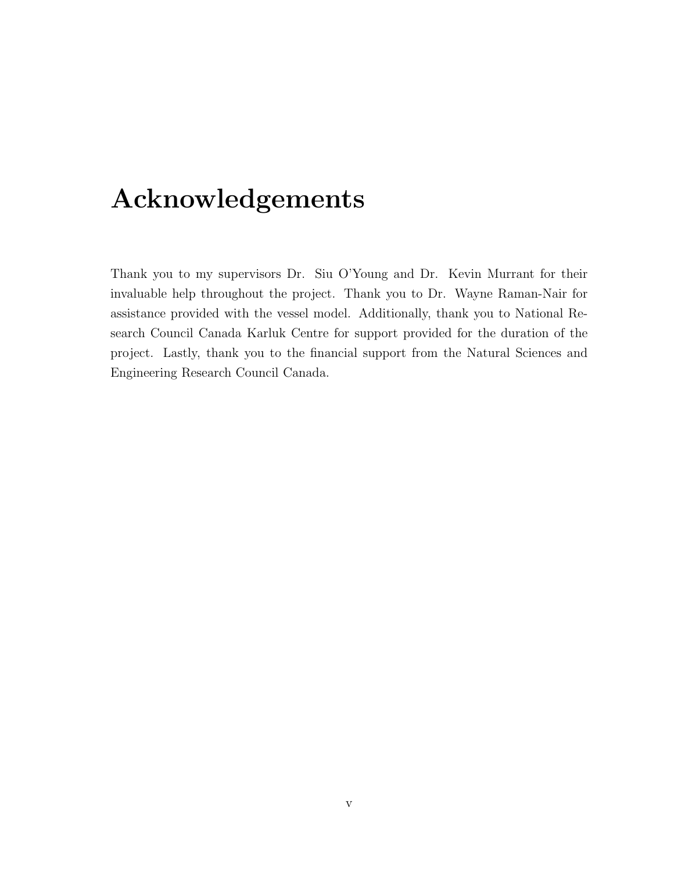# Acknowledgements

Thank you to my supervisors Dr. Siu O'Young and Dr. Kevin Murrant for their invaluable help throughout the project. Thank you to Dr. Wayne Raman-Nair for assistance provided with the vessel model. Additionally, thank you to National Research Council Canada Karluk Centre for support provided for the duration of the project. Lastly, thank you to the financial support from the Natural Sciences and Engineering Research Council Canada.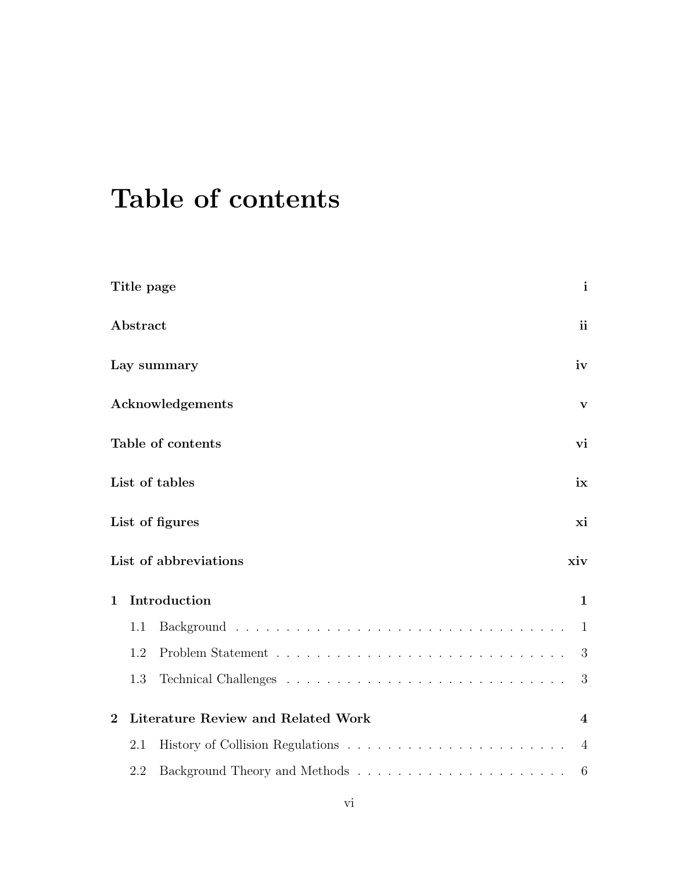# Table of contents

|                | Title page | $\mathbf{i}$                                           |
|----------------|------------|--------------------------------------------------------|
|                | Abstract   | <i>ii</i>                                              |
|                |            | iv<br>Lay summary                                      |
|                |            | Acknowledgements<br>$\mathbf{V}$                       |
|                |            | Table of contents<br>vi                                |
|                |            | List of tables<br>ix                                   |
|                |            | List of figures<br>xi                                  |
|                |            | List of abbreviations<br>xiv                           |
| $\mathbf{1}$   |            | Introduction<br>$\mathbf{1}$                           |
|                | 1.1        | $\mathbf{1}$                                           |
|                | 1.2        | 3                                                      |
|                | 1.3        | 3                                                      |
| $\overline{2}$ |            | Literature Review and Related Work<br>$\boldsymbol{4}$ |
|                | 2.1        | 4                                                      |
|                | 2.2        | 6                                                      |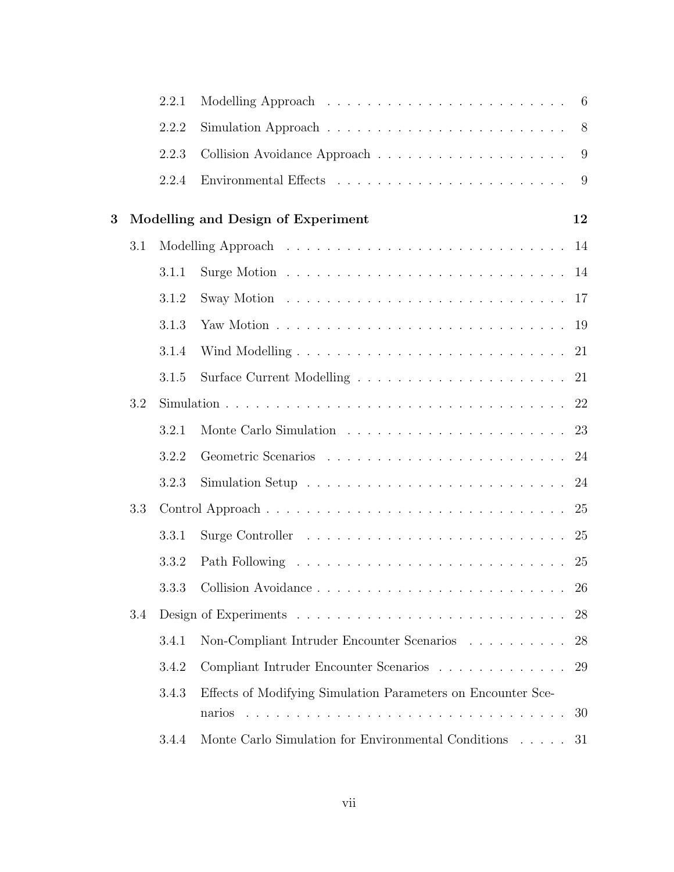|     | 2.2.1 | Modelling Approach $\ldots \ldots \ldots \ldots \ldots \ldots \ldots \ldots$ |                                    |
|-----|-------|------------------------------------------------------------------------------|------------------------------------|
|     | 2.2.2 |                                                                              |                                    |
|     | 2.2.3 |                                                                              |                                    |
|     | 2.2.4 |                                                                              |                                    |
|     |       |                                                                              | 12                                 |
| 3.1 |       |                                                                              | 14                                 |
|     | 3.1.1 |                                                                              |                                    |
|     | 3.1.2 |                                                                              |                                    |
|     | 3.1.3 |                                                                              |                                    |
|     | 3.1.4 |                                                                              |                                    |
|     | 3.1.5 |                                                                              |                                    |
| 3.2 |       |                                                                              |                                    |
|     | 3.2.1 |                                                                              |                                    |
|     | 3.2.2 |                                                                              |                                    |
|     | 3.2.3 |                                                                              | 24                                 |
| 3.3 |       |                                                                              | 25                                 |
|     | 3.3.1 |                                                                              | 25                                 |
|     | 3.3.2 |                                                                              | 25                                 |
|     |       |                                                                              | 26                                 |
| 3.4 |       |                                                                              | 28                                 |
|     | 3.4.1 | Non-Compliant Intruder Encounter Scenarios                                   | 28                                 |
|     | 3.4.2 | Compliant Intruder Encounter Scenarios                                       | 29                                 |
|     | 3.4.3 | Effects of Modifying Simulation Parameters on Encounter Sce-                 | 30                                 |
|     | 3.4.4 | Monte Carlo Simulation for Environmental Conditions                          | 31                                 |
|     |       |                                                                              | Modelling and Design of Experiment |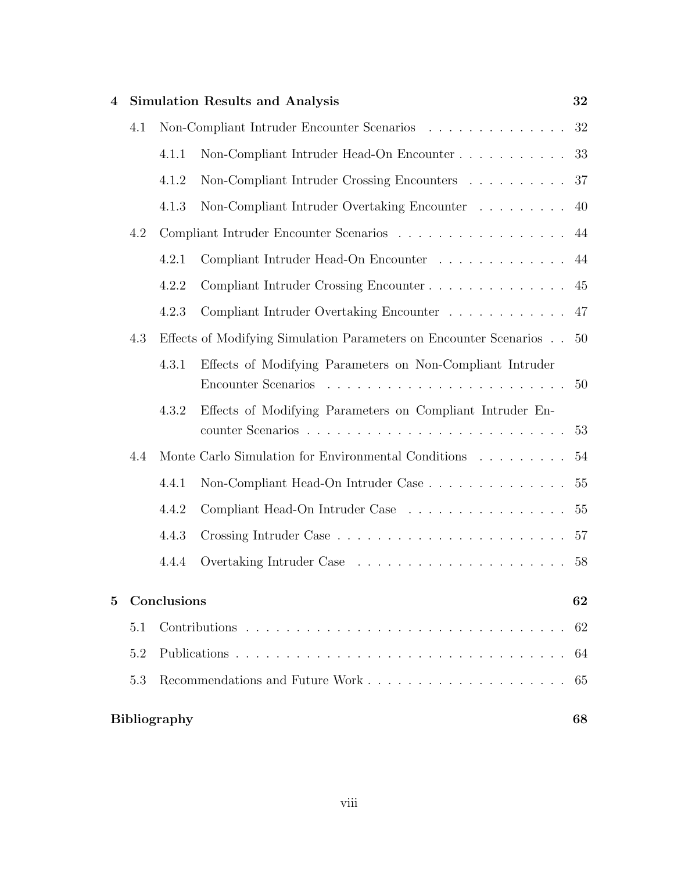| $\boldsymbol{4}$ |     |                     | <b>Simulation Results and Analysis</b>                                           | 32 |
|------------------|-----|---------------------|----------------------------------------------------------------------------------|----|
|                  | 4.1 |                     | Non-Compliant Intruder Encounter Scenarios                                       | 32 |
|                  |     | 4.1.1               |                                                                                  | 33 |
|                  |     | 4.1.2               | Non-Compliant Intruder Crossing Encounters                                       | 37 |
|                  |     | 4.1.3               | Non-Compliant Intruder Overtaking Encounter                                      | 40 |
|                  | 4.2 |                     |                                                                                  | 44 |
|                  |     | 4.2.1               | Compliant Intruder Head-On Encounter $\ldots \ldots \ldots \ldots$               | 44 |
|                  |     | 4.2.2               | Compliant Intruder Crossing Encounter                                            | 45 |
|                  |     | 4.2.3               | Compliant Intruder Overtaking Encounter                                          | 47 |
|                  | 4.3 |                     | Effects of Modifying Simulation Parameters on Encounter Scenarios                | 50 |
|                  |     | 4.3.1               | Effects of Modifying Parameters on Non-Compliant Intruder<br>Encounter Scenarios | 50 |
|                  |     | 4.3.2               | Effects of Modifying Parameters on Compliant Intruder En-                        | 53 |
|                  | 4.4 |                     | Monte Carlo Simulation for Environmental Conditions                              | 54 |
|                  |     | 4.4.1               |                                                                                  | 55 |
|                  |     | 4.4.2               | Compliant Head-On Intruder Case                                                  | 55 |
|                  |     | 4.4.3               |                                                                                  | 57 |
|                  |     | 4.4.4               |                                                                                  | 58 |
| $\bf{5}$         |     | Conclusions         |                                                                                  | 62 |
|                  | 5.1 |                     |                                                                                  | 62 |
|                  | 5.2 |                     |                                                                                  | 64 |
|                  | 5.3 |                     |                                                                                  | 65 |
|                  |     | <b>Bibliography</b> |                                                                                  | 68 |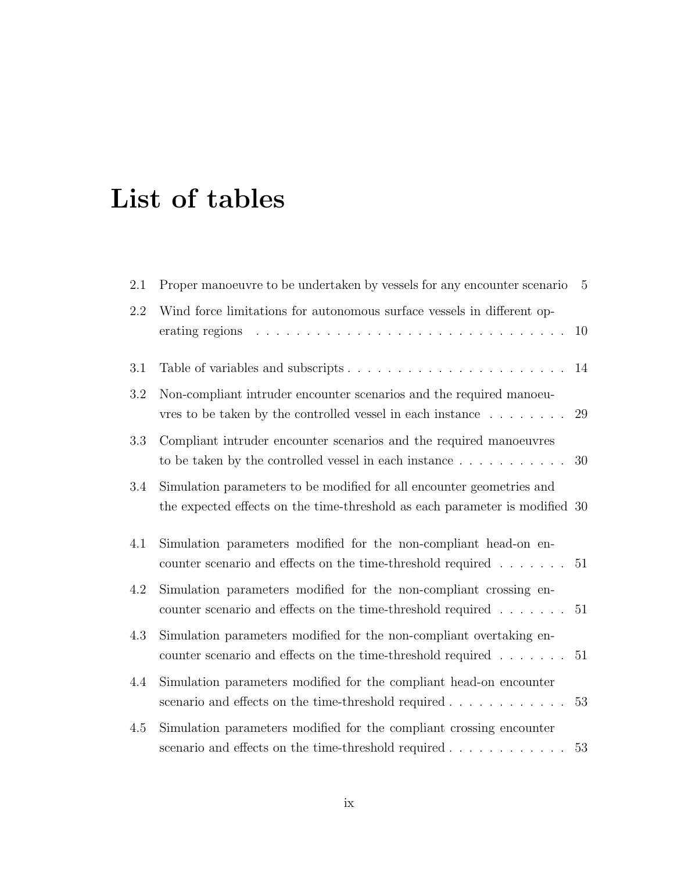# List of tables

| $2.1\,$ | Proper manoeuvre to be undertaken by vessels for any encounter scenario                                                                              | $5\overline{)}$ |
|---------|------------------------------------------------------------------------------------------------------------------------------------------------------|-----------------|
| 2.2     | Wind force limitations for autonomous surface vessels in different op-<br>erating regions                                                            | 10              |
| 3.1     |                                                                                                                                                      | 14              |
| 3.2     | Non-compliant intruder encounter scenarios and the required manoeu-<br>vres to be taken by the controlled vessel in each instance $\dots \dots$      | 29              |
| 3.3     | Compliant intruder encounter scenarios and the required manoeuvres<br>to be taken by the controlled vessel in each instance                          | 30              |
| 3.4     | Simulation parameters to be modified for all encounter geometries and<br>the expected effects on the time-threshold as each parameter is modified 30 |                 |
| 4.1     | Simulation parameters modified for the non-compliant head-on en-<br>counter scenario and effects on the time-threshold required $\dots \dots$        | 51              |
| $4.2\,$ | Simulation parameters modified for the non-compliant crossing en-<br>counter scenario and effects on the time-threshold required $\ldots \ldots 51$  |                 |
| 4.3     | Simulation parameters modified for the non-compliant overtaking en-<br>counter scenario and effects on the time-threshold required $\dots \dots$     | 51              |
| 4.4     | Simulation parameters modified for the compliant head-on encounter<br>scenario and effects on the time-threshold required                            | 53              |
| 4.5     | Simulation parameters modified for the compliant crossing encounter                                                                                  | 53              |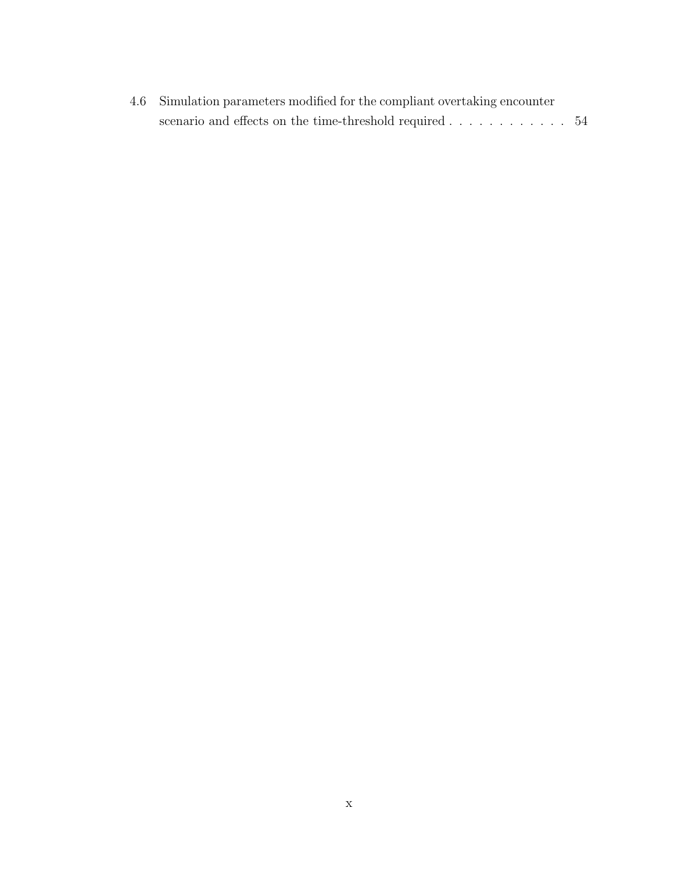| 4.6 Simulation parameters modified for the compliant overtaking encounter |  |
|---------------------------------------------------------------------------|--|
| scenario and effects on the time-threshold required 54                    |  |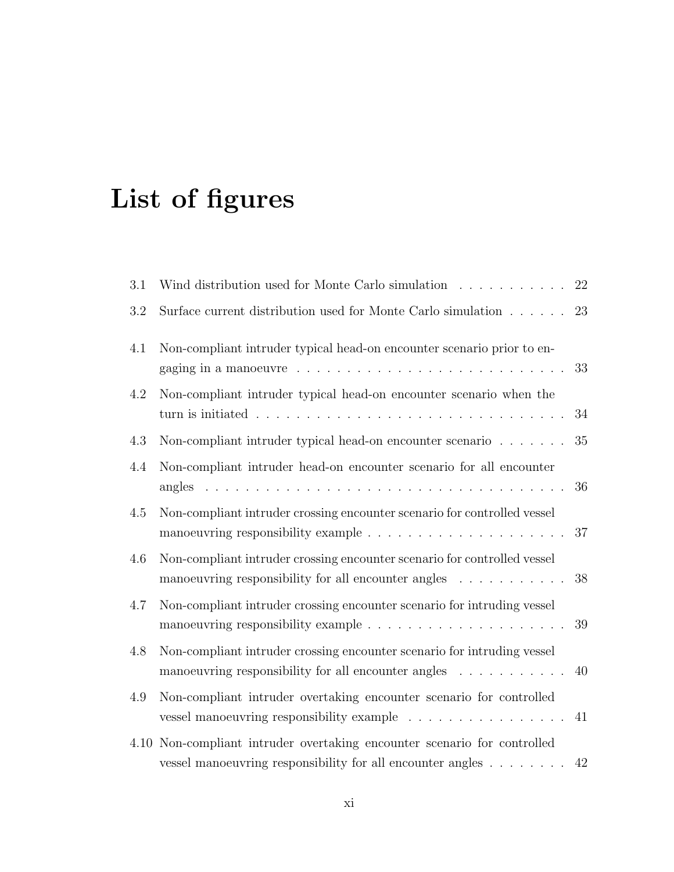# List of figures

| 3.1  | Wind distribution used for Monte Carlo simulation                                                                                                                             | 22 |
|------|-------------------------------------------------------------------------------------------------------------------------------------------------------------------------------|----|
| 3.2  | Surface current distribution used for Monte Carlo simulation                                                                                                                  | 23 |
| 4.1  | Non-compliant intruder typical head-on encounter scenario prior to en-                                                                                                        | 33 |
| 4.2  | Non-compliant intruder typical head-on encounter scenario when the<br>turn is initiated $\ldots \ldots \ldots \ldots \ldots \ldots \ldots \ldots \ldots \ldots \ldots \ldots$ | 34 |
| 4.3  | Non-compliant intruder typical head-on encounter scenario                                                                                                                     | 35 |
| 4.4  | Non-compliant intruder head-on encounter scenario for all encounter                                                                                                           | 36 |
| 4.5  | Non-compliant intruder crossing encounter scenario for controlled vessel<br>manoeuvring responsibility example $\ldots \ldots \ldots \ldots \ldots \ldots \ldots$             | 37 |
| 4.6  | Non-compliant intruder crossing encounter scenario for controlled vessel<br>manoeuvring responsibility for all encounter angles $\dots \dots \dots$                           | 38 |
| 4.7  | Non-compliant intruder crossing encounter scenario for intruding vessel<br>manoeuvring responsibility example $\ldots \ldots \ldots \ldots \ldots \ldots \ldots$              | 39 |
| 4.8  | Non-compliant intruder crossing encounter scenario for intruding vessel<br>manoeuvring responsibility for all encounter angles $\dots \dots \dots$                            | 40 |
| 4.9  | Non-compliant intruder overtaking encounter scenario for controlled<br>vessel manoeuvring responsibility example                                                              | 41 |
| 4.10 | Non-compliant intruder overtaking encounter scenario for controlled<br>vessel manoeuvring responsibility for all encounter angles                                             | 42 |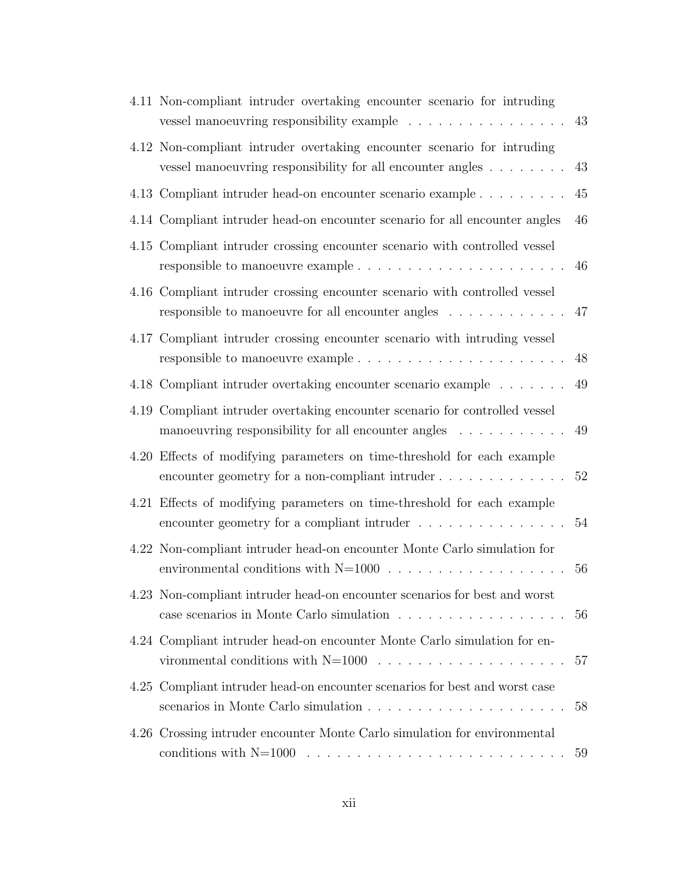| 4.11 Non-compliant intruder overtaking encounter scenario for intruding<br>vessel manoeuvring responsibility example                                   | 43 |
|--------------------------------------------------------------------------------------------------------------------------------------------------------|----|
| 4.12 Non-compliant intruder overtaking encounter scenario for intruding<br>vessel manoeuvring responsibility for all encounter angles                  | 43 |
| 4.13 Compliant intruder head-on encounter scenario example                                                                                             | 45 |
| 4.14 Compliant intruder head-on encounter scenario for all encounter angles                                                                            | 46 |
| 4.15 Compliant intruder crossing encounter scenario with controlled vessel                                                                             | 46 |
| 4.16 Compliant intruder crossing encounter scenario with controlled vessel<br>responsible to manoeuvre for all encounter angles                        | 47 |
| 4.17 Compliant intruder crossing encounter scenario with intruding vessel                                                                              | 48 |
| 4.18 Compliant intruder overtaking encounter scenario example                                                                                          | 49 |
| 4.19 Compliant intruder overtaking encounter scenario for controlled vessel<br>manoeuvring responsibility for all encounter angles                     | 49 |
| 4.20 Effects of modifying parameters on time-threshold for each example<br>encounter geometry for a non-compliant intruder                             | 52 |
| 4.21 Effects of modifying parameters on time-threshold for each example<br>encounter geometry for a compliant intruder $\dots \dots \dots \dots \dots$ | 54 |
| 4.22 Non-compliant intruder head-on encounter Monte Carlo simulation for                                                                               | 56 |
| 4.23 Non-compliant intruder head-on encounter scenarios for best and worst                                                                             | 56 |
| 4.24 Compliant intruder head-on encounter Monte Carlo simulation for en-                                                                               | 57 |
| 4.25 Compliant intruder head-on encounter scenarios for best and worst case                                                                            | 58 |
| 4.26 Crossing intruder encounter Monte Carlo simulation for environmental                                                                              | 59 |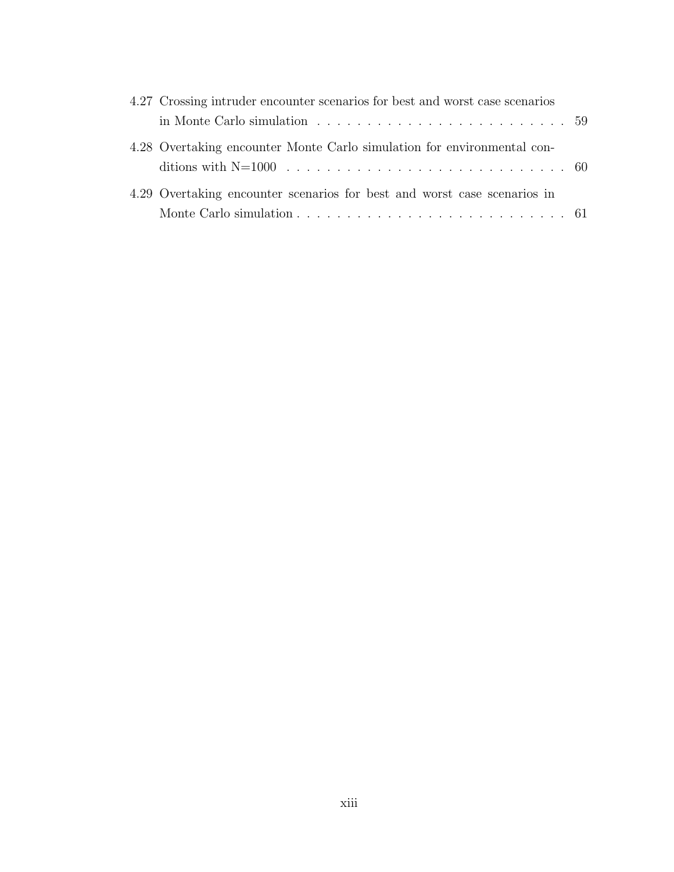| 4.27 Crossing intruder encounter scenarios for best and worst case scenarios                        |  |
|-----------------------------------------------------------------------------------------------------|--|
| in Monte Carlo simulation $\dots \dots \dots \dots \dots \dots \dots \dots \dots \dots \dots \dots$ |  |
| 4.28 Overtaking encounter Monte Carlo simulation for environmental con-                             |  |
|                                                                                                     |  |
| 4.29 Overtaking encounter scenarios for best and worst case scenarios in                            |  |
|                                                                                                     |  |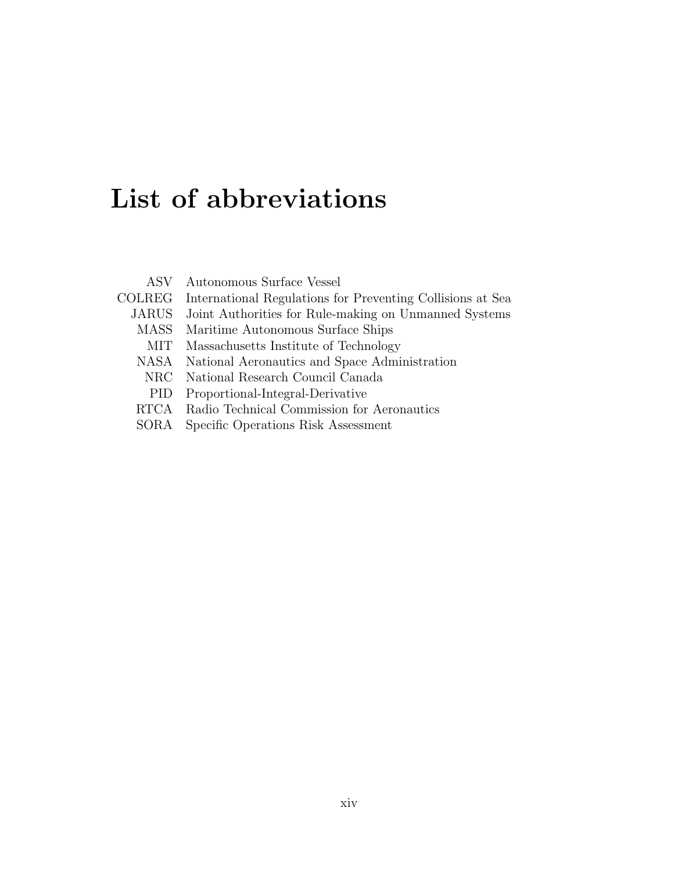# List of abbreviations

|               | ASV Autonomous Surface Vessel                              |
|---------------|------------------------------------------------------------|
| <b>COLREG</b> | International Regulations for Preventing Collisions at Sea |
| <b>JARUS</b>  | Joint Authorities for Rule-making on Unmanned Systems      |
| <b>MASS</b>   | Maritime Autonomous Surface Ships                          |
| MІТ           | Massachusetts Institute of Technology                      |
| <b>NASA</b>   | National Aeronautics and Space Administration              |
| NRC           | National Research Council Canada                           |
| <b>PID</b>    | Proportional-Integral-Derivative                           |
| RTCA          | Radio Technical Commission for Aeronautics                 |
| SORA.         | Specific Operations Risk Assessment                        |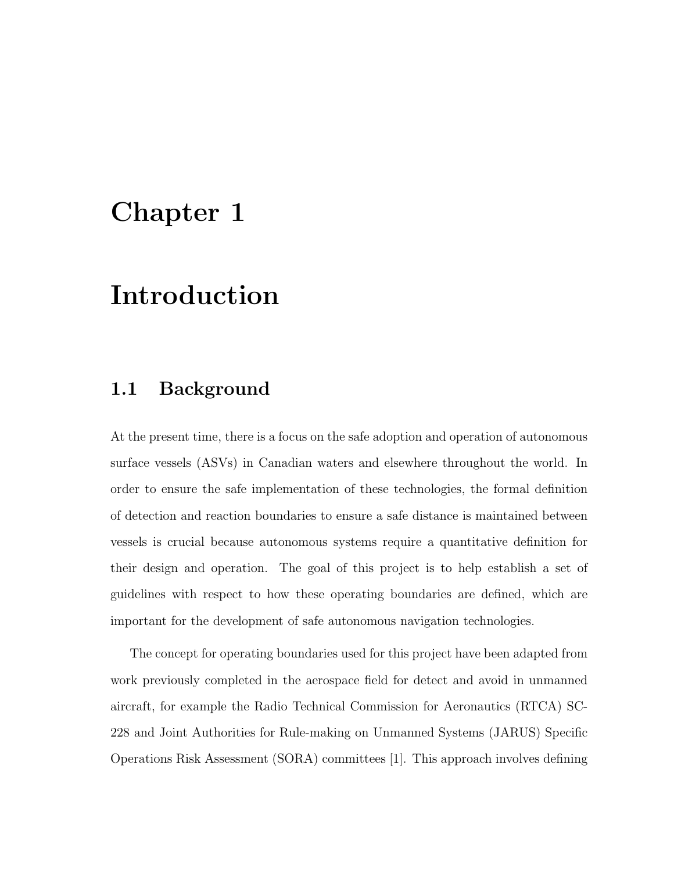# Chapter 1

## Introduction

### 1.1 Background

At the present time, there is a focus on the safe adoption and operation of autonomous surface vessels (ASVs) in Canadian waters and elsewhere throughout the world. In order to ensure the safe implementation of these technologies, the formal definition of detection and reaction boundaries to ensure a safe distance is maintained between vessels is crucial because autonomous systems require a quantitative definition for their design and operation. The goal of this project is to help establish a set of guidelines with respect to how these operating boundaries are defined, which are important for the development of safe autonomous navigation technologies.

The concept for operating boundaries used for this project have been adapted from work previously completed in the aerospace field for detect and avoid in unmanned aircraft, for example the Radio Technical Commission for Aeronautics (RTCA) SC-228 and Joint Authorities for Rule-making on Unmanned Systems (JARUS) Specific Operations Risk Assessment (SORA) committees [1]. This approach involves defining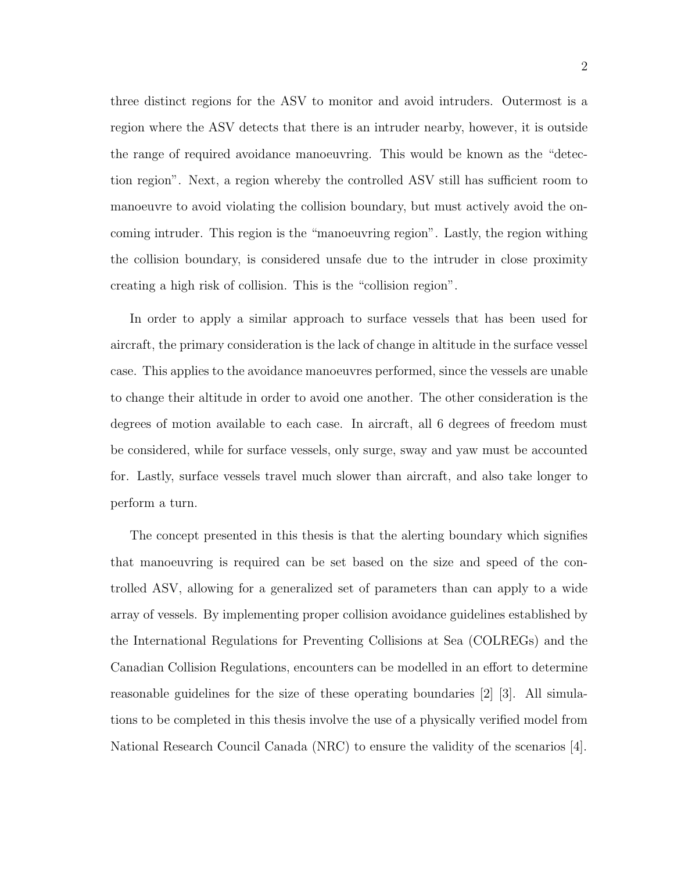three distinct regions for the ASV to monitor and avoid intruders. Outermost is a region where the ASV detects that there is an intruder nearby, however, it is outside the range of required avoidance manoeuvring. This would be known as the "detection region". Next, a region whereby the controlled ASV still has sufficient room to manoeuvre to avoid violating the collision boundary, but must actively avoid the oncoming intruder. This region is the "manoeuvring region". Lastly, the region withing the collision boundary, is considered unsafe due to the intruder in close proximity creating a high risk of collision. This is the "collision region".

In order to apply a similar approach to surface vessels that has been used for aircraft, the primary consideration is the lack of change in altitude in the surface vessel case. This applies to the avoidance manoeuvres performed, since the vessels are unable to change their altitude in order to avoid one another. The other consideration is the degrees of motion available to each case. In aircraft, all 6 degrees of freedom must be considered, while for surface vessels, only surge, sway and yaw must be accounted for. Lastly, surface vessels travel much slower than aircraft, and also take longer to perform a turn.

The concept presented in this thesis is that the alerting boundary which signifies that manoeuvring is required can be set based on the size and speed of the controlled ASV, allowing for a generalized set of parameters than can apply to a wide array of vessels. By implementing proper collision avoidance guidelines established by the International Regulations for Preventing Collisions at Sea (COLREGs) and the Canadian Collision Regulations, encounters can be modelled in an effort to determine reasonable guidelines for the size of these operating boundaries [2] [3]. All simulations to be completed in this thesis involve the use of a physically verified model from National Research Council Canada (NRC) to ensure the validity of the scenarios [4].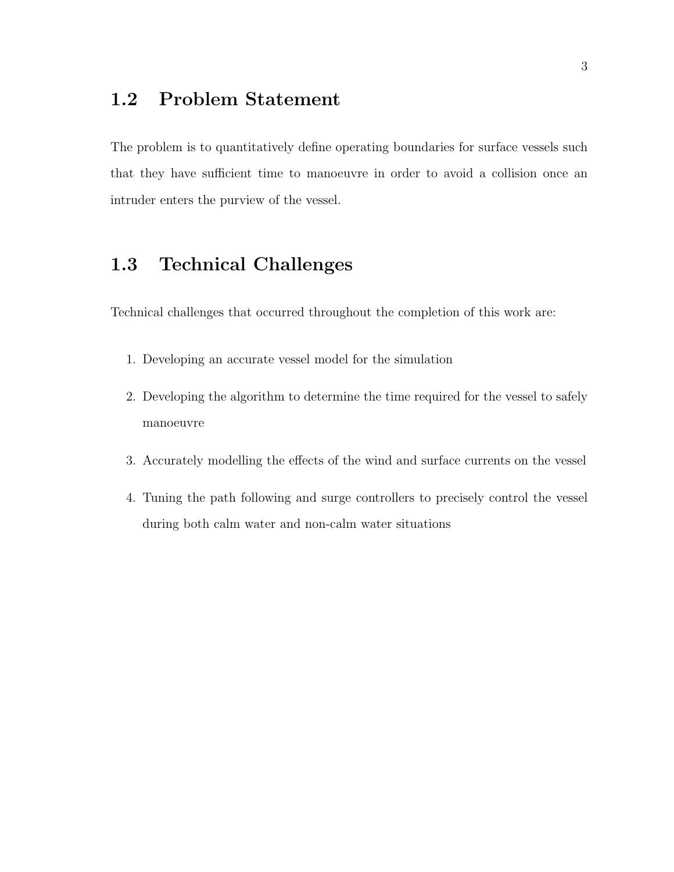### 1.2 Problem Statement

The problem is to quantitatively define operating boundaries for surface vessels such that they have sufficient time to manoeuvre in order to avoid a collision once an intruder enters the purview of the vessel.

### 1.3 Technical Challenges

Technical challenges that occurred throughout the completion of this work are:

- 1. Developing an accurate vessel model for the simulation
- 2. Developing the algorithm to determine the time required for the vessel to safely manoeuvre
- 3. Accurately modelling the effects of the wind and surface currents on the vessel
- 4. Tuning the path following and surge controllers to precisely control the vessel during both calm water and non-calm water situations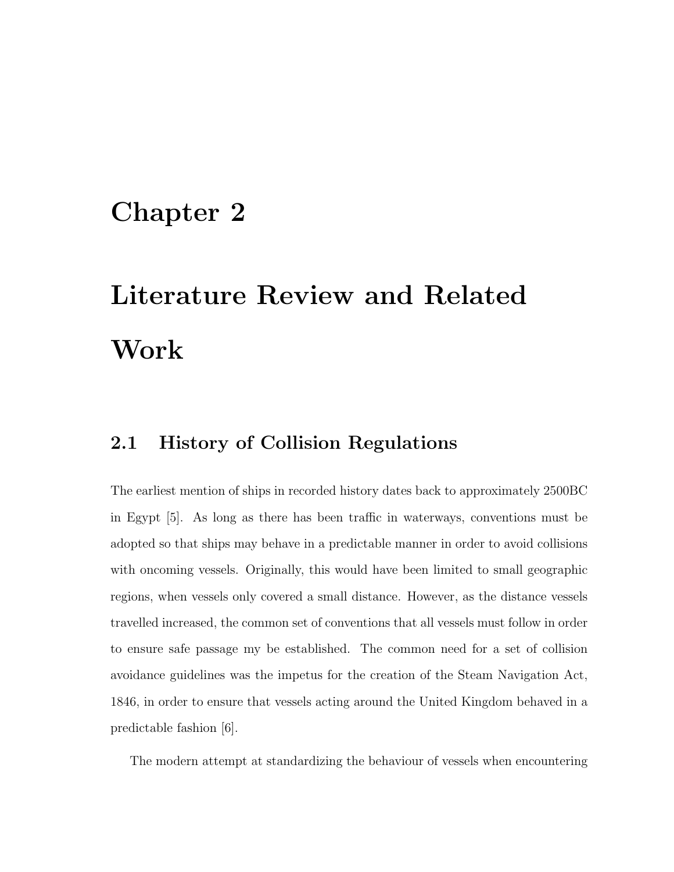## Chapter 2

# Literature Review and Related Work

### 2.1 History of Collision Regulations

The earliest mention of ships in recorded history dates back to approximately 2500BC in Egypt [5]. As long as there has been traffic in waterways, conventions must be adopted so that ships may behave in a predictable manner in order to avoid collisions with oncoming vessels. Originally, this would have been limited to small geographic regions, when vessels only covered a small distance. However, as the distance vessels travelled increased, the common set of conventions that all vessels must follow in order to ensure safe passage my be established. The common need for a set of collision avoidance guidelines was the impetus for the creation of the Steam Navigation Act, 1846, in order to ensure that vessels acting around the United Kingdom behaved in a predictable fashion [6].

The modern attempt at standardizing the behaviour of vessels when encountering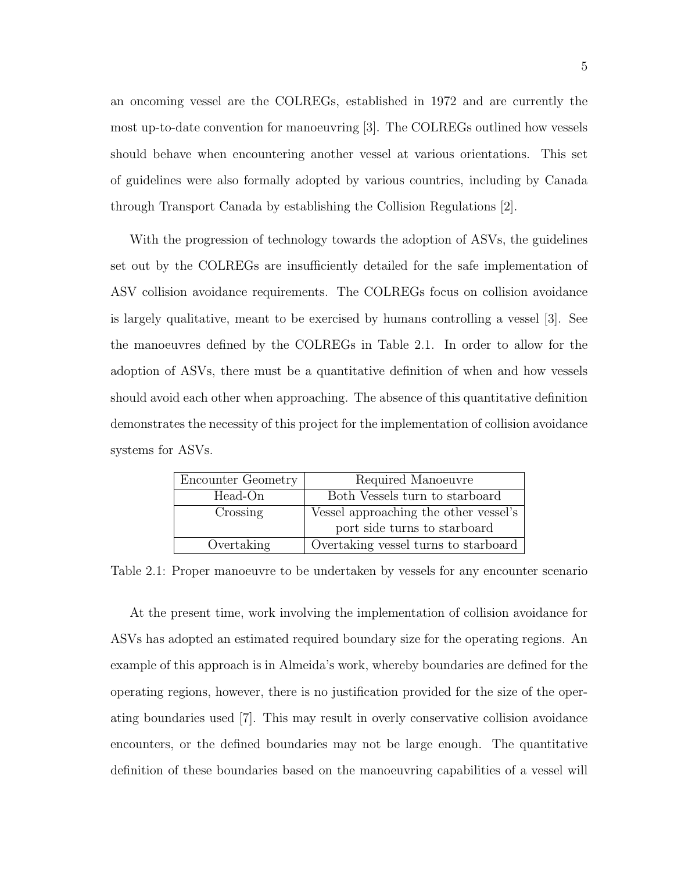an oncoming vessel are the COLREGs, established in 1972 and are currently the most up-to-date convention for manoeuvring [3]. The COLREGs outlined how vessels should behave when encountering another vessel at various orientations. This set of guidelines were also formally adopted by various countries, including by Canada through Transport Canada by establishing the Collision Regulations [2].

With the progression of technology towards the adoption of ASVs, the guidelines set out by the COLREGs are insufficiently detailed for the safe implementation of ASV collision avoidance requirements. The COLREGs focus on collision avoidance is largely qualitative, meant to be exercised by humans controlling a vessel [3]. See the manoeuvres defined by the COLREGs in Table 2.1. In order to allow for the adoption of ASVs, there must be a quantitative definition of when and how vessels should avoid each other when approaching. The absence of this quantitative definition demonstrates the necessity of this project for the implementation of collision avoidance systems for ASVs.

| Encounter Geometry | Required Manoeuvre                    |  |  |
|--------------------|---------------------------------------|--|--|
| Head-On            | Both Vessels turn to starboard        |  |  |
| Crossing           | Vessel approaching the other vessel's |  |  |
|                    | port side turns to starboard          |  |  |
| Overtaking         | Overtaking vessel turns to starboard  |  |  |

Table 2.1: Proper manoeuvre to be undertaken by vessels for any encounter scenario

At the present time, work involving the implementation of collision avoidance for ASVs has adopted an estimated required boundary size for the operating regions. An example of this approach is in Almeida's work, whereby boundaries are defined for the operating regions, however, there is no justification provided for the size of the operating boundaries used [7]. This may result in overly conservative collision avoidance encounters, or the defined boundaries may not be large enough. The quantitative definition of these boundaries based on the manoeuvring capabilities of a vessel will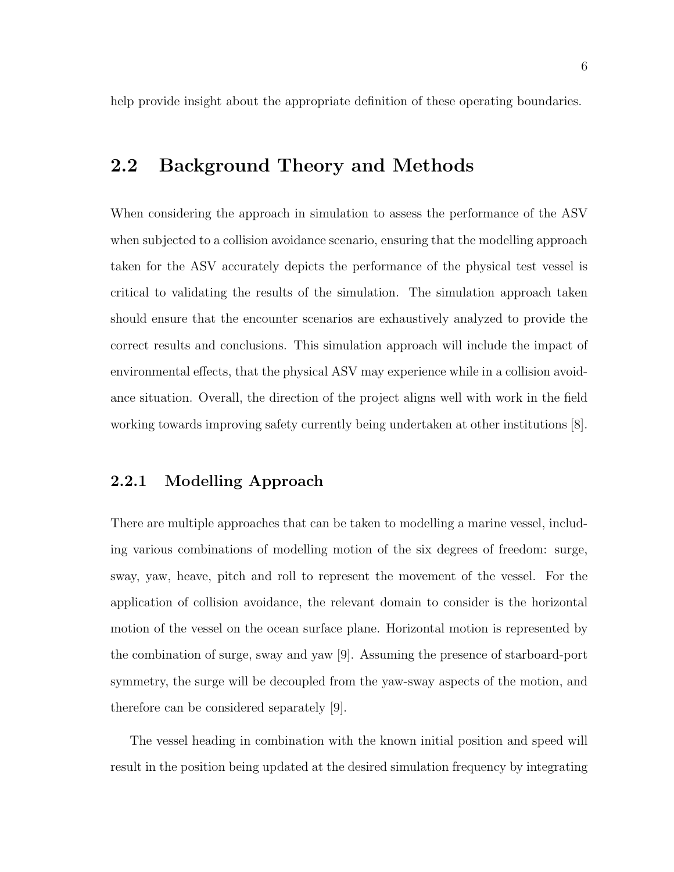help provide insight about the appropriate definition of these operating boundaries.

### 2.2 Background Theory and Methods

When considering the approach in simulation to assess the performance of the ASV when subjected to a collision avoidance scenario, ensuring that the modelling approach taken for the ASV accurately depicts the performance of the physical test vessel is critical to validating the results of the simulation. The simulation approach taken should ensure that the encounter scenarios are exhaustively analyzed to provide the correct results and conclusions. This simulation approach will include the impact of environmental effects, that the physical ASV may experience while in a collision avoidance situation. Overall, the direction of the project aligns well with work in the field working towards improving safety currently being undertaken at other institutions [8].

#### 2.2.1 Modelling Approach

There are multiple approaches that can be taken to modelling a marine vessel, including various combinations of modelling motion of the six degrees of freedom: surge, sway, yaw, heave, pitch and roll to represent the movement of the vessel. For the application of collision avoidance, the relevant domain to consider is the horizontal motion of the vessel on the ocean surface plane. Horizontal motion is represented by the combination of surge, sway and yaw [9]. Assuming the presence of starboard-port symmetry, the surge will be decoupled from the yaw-sway aspects of the motion, and therefore can be considered separately [9].

The vessel heading in combination with the known initial position and speed will result in the position being updated at the desired simulation frequency by integrating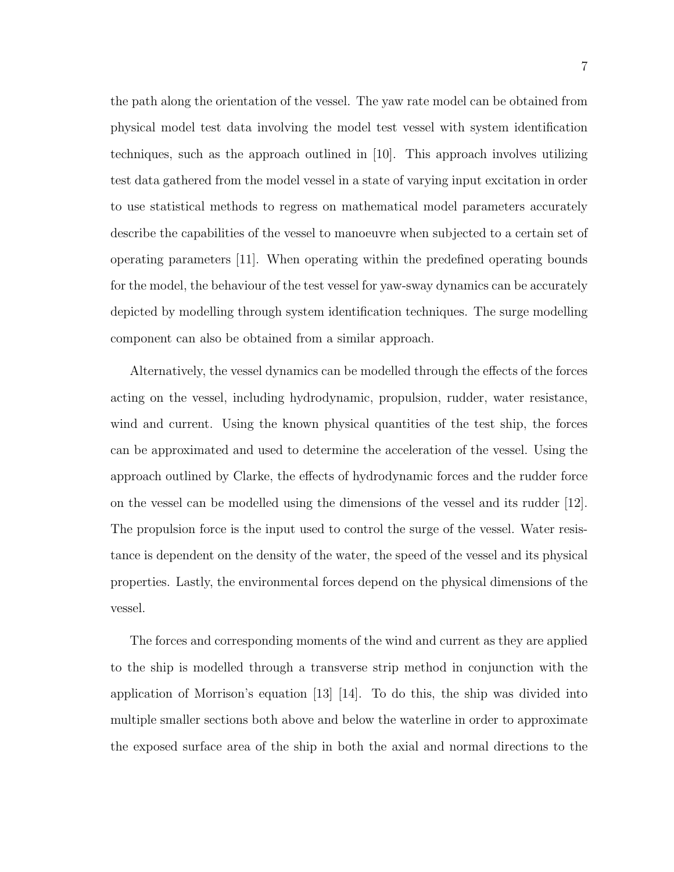the path along the orientation of the vessel. The yaw rate model can be obtained from physical model test data involving the model test vessel with system identification techniques, such as the approach outlined in [10]. This approach involves utilizing test data gathered from the model vessel in a state of varying input excitation in order to use statistical methods to regress on mathematical model parameters accurately describe the capabilities of the vessel to manoeuvre when subjected to a certain set of operating parameters [11]. When operating within the predefined operating bounds for the model, the behaviour of the test vessel for yaw-sway dynamics can be accurately depicted by modelling through system identification techniques. The surge modelling component can also be obtained from a similar approach.

Alternatively, the vessel dynamics can be modelled through the effects of the forces acting on the vessel, including hydrodynamic, propulsion, rudder, water resistance, wind and current. Using the known physical quantities of the test ship, the forces can be approximated and used to determine the acceleration of the vessel. Using the approach outlined by Clarke, the effects of hydrodynamic forces and the rudder force on the vessel can be modelled using the dimensions of the vessel and its rudder [12]. The propulsion force is the input used to control the surge of the vessel. Water resistance is dependent on the density of the water, the speed of the vessel and its physical properties. Lastly, the environmental forces depend on the physical dimensions of the vessel.

The forces and corresponding moments of the wind and current as they are applied to the ship is modelled through a transverse strip method in conjunction with the application of Morrison's equation [13] [14]. To do this, the ship was divided into multiple smaller sections both above and below the waterline in order to approximate the exposed surface area of the ship in both the axial and normal directions to the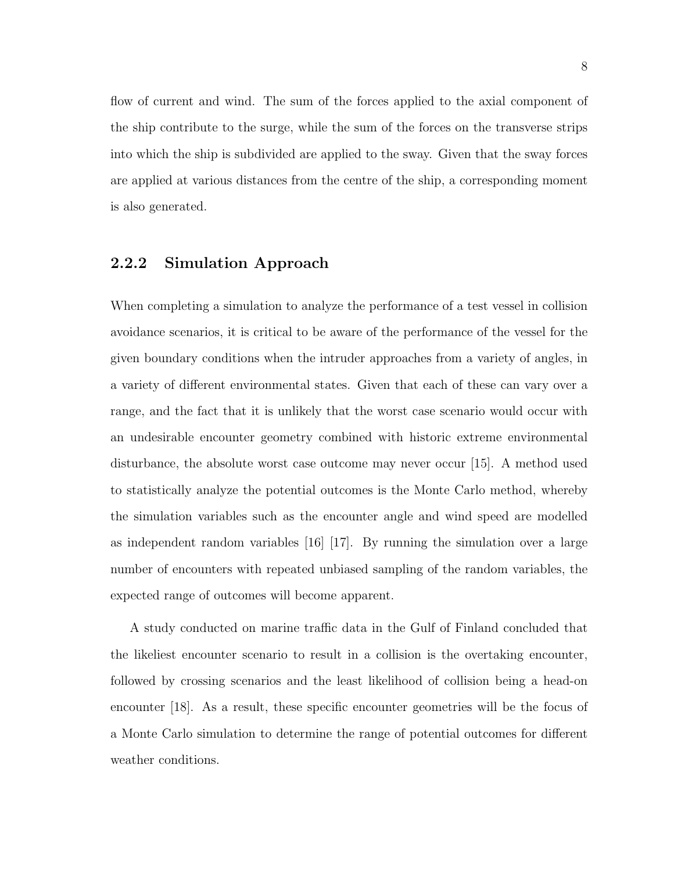flow of current and wind. The sum of the forces applied to the axial component of the ship contribute to the surge, while the sum of the forces on the transverse strips into which the ship is subdivided are applied to the sway. Given that the sway forces are applied at various distances from the centre of the ship, a corresponding moment is also generated.

#### 2.2.2 Simulation Approach

When completing a simulation to analyze the performance of a test vessel in collision avoidance scenarios, it is critical to be aware of the performance of the vessel for the given boundary conditions when the intruder approaches from a variety of angles, in a variety of different environmental states. Given that each of these can vary over a range, and the fact that it is unlikely that the worst case scenario would occur with an undesirable encounter geometry combined with historic extreme environmental disturbance, the absolute worst case outcome may never occur [15]. A method used to statistically analyze the potential outcomes is the Monte Carlo method, whereby the simulation variables such as the encounter angle and wind speed are modelled as independent random variables  $[16]$   $[17]$ . By running the simulation over a large number of encounters with repeated unbiased sampling of the random variables, the expected range of outcomes will become apparent.

A study conducted on marine traffic data in the Gulf of Finland concluded that the likeliest encounter scenario to result in a collision is the overtaking encounter, followed by crossing scenarios and the least likelihood of collision being a head-on encounter [18]. As a result, these specific encounter geometries will be the focus of a Monte Carlo simulation to determine the range of potential outcomes for different weather conditions.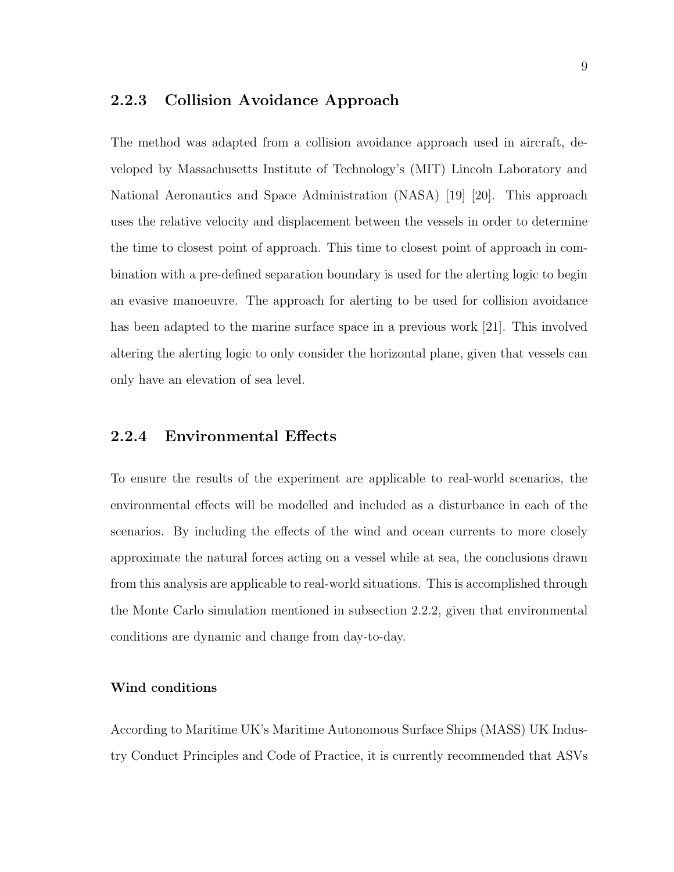#### 2.2.3 Collision Avoidance Approach

The method was adapted from a collision avoidance approach used in aircraft, developed by Massachusetts Institute of Technology's (MIT) Lincoln Laboratory and National Aeronautics and Space Administration (NASA) [19] [20]. This approach uses the relative velocity and displacement between the vessels in order to determine the time to closest point of approach. This time to closest point of approach in combination with a pre-defined separation boundary is used for the alerting logic to begin an evasive manoeuvre. The approach for alerting to be used for collision avoidance has been adapted to the marine surface space in a previous work [21]. This involved altering the alerting logic to only consider the horizontal plane, given that vessels can only have an elevation of sea level.

#### 2.2.4 Environmental Effects

To ensure the results of the experiment are applicable to real-world scenarios, the environmental effects will be modelled and included as a disturbance in each of the scenarios. By including the effects of the wind and ocean currents to more closely approximate the natural forces acting on a vessel while at sea, the conclusions drawn from this analysis are applicable to real-world situations. This is accomplished through the Monte Carlo simulation mentioned in subsection 2.2.2, given that environmental conditions are dynamic and change from day-to-day.

#### Wind conditions

According to Maritime UK's Maritime Autonomous Surface Ships (MASS) UK Industry Conduct Principles and Code of Practice, it is currently recommended that ASVs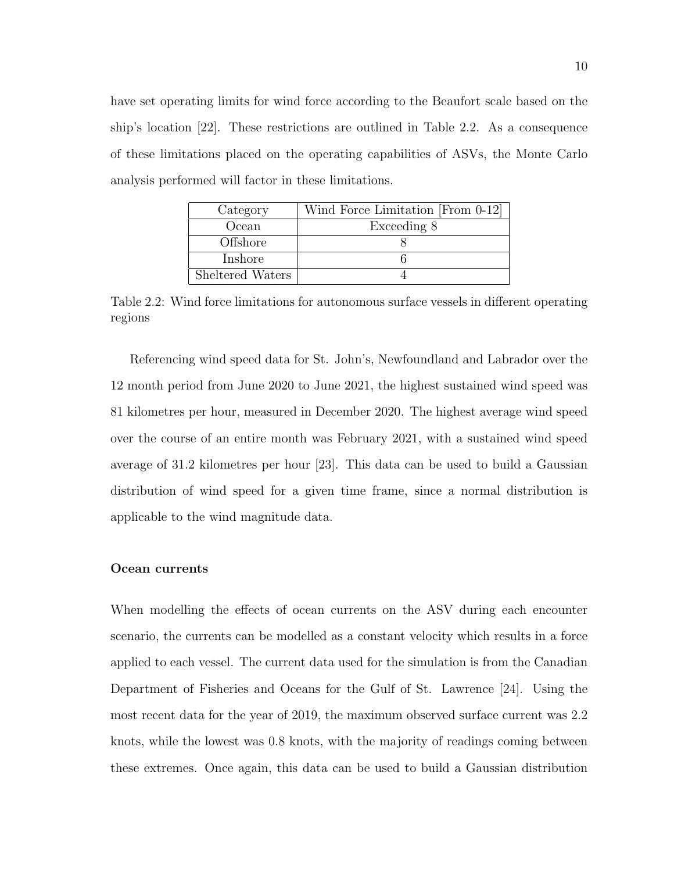have set operating limits for wind force according to the Beaufort scale based on the ship's location [22]. These restrictions are outlined in Table 2.2. As a consequence of these limitations placed on the operating capabilities of ASVs, the Monte Carlo analysis performed will factor in these limitations.

| Category         | Wind Force Limitation [From 0-12] |
|------------------|-----------------------------------|
| Ocean            | Exceeding 8                       |
| Offshore         |                                   |
| Inshore          |                                   |
| Sheltered Waters |                                   |

Table 2.2: Wind force limitations for autonomous surface vessels in different operating regions

Referencing wind speed data for St. John's, Newfoundland and Labrador over the 12 month period from June 2020 to June 2021, the highest sustained wind speed was 81 kilometres per hour, measured in December 2020. The highest average wind speed over the course of an entire month was February 2021, with a sustained wind speed average of 31.2 kilometres per hour [23]. This data can be used to build a Gaussian distribution of wind speed for a given time frame, since a normal distribution is applicable to the wind magnitude data.

#### Ocean currents

When modelling the effects of ocean currents on the ASV during each encounter scenario, the currents can be modelled as a constant velocity which results in a force applied to each vessel. The current data used for the simulation is from the Canadian Department of Fisheries and Oceans for the Gulf of St. Lawrence [24]. Using the most recent data for the year of 2019, the maximum observed surface current was 2.2 knots, while the lowest was 0.8 knots, with the majority of readings coming between these extremes. Once again, this data can be used to build a Gaussian distribution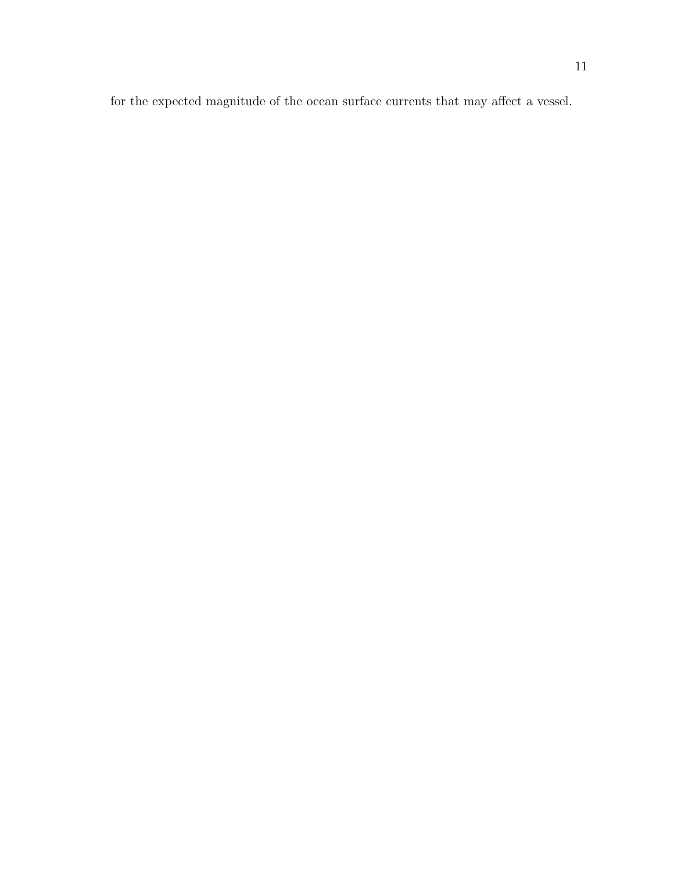for the expected magnitude of the ocean surface currents that may affect a vessel.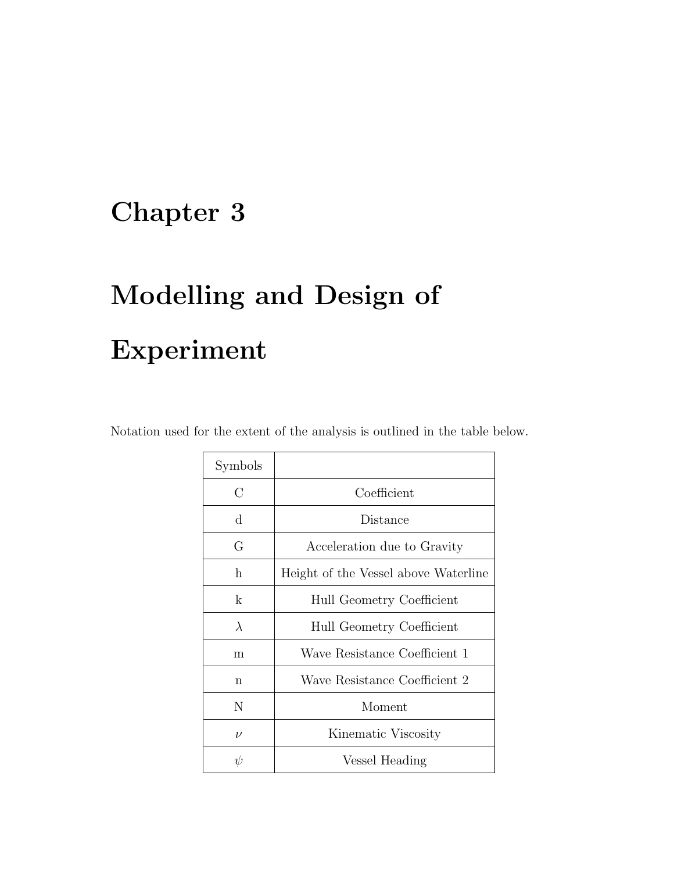# Chapter 3

# Modelling and Design of Experiment

| Notation used for the extent of the analysis is outlined in the table below. |  |  |  |  |
|------------------------------------------------------------------------------|--|--|--|--|
|------------------------------------------------------------------------------|--|--|--|--|

| Symbols   |                                      |
|-----------|--------------------------------------|
| С         | Coefficient                          |
| $\rm d$   | Distance                             |
| G         | Acceleration due to Gravity          |
| h.        | Height of the Vessel above Waterline |
| k         | Hull Geometry Coefficient            |
| $\lambda$ | Hull Geometry Coefficient            |
| m         | Wave Resistance Coefficient 1        |
| n         | Wave Resistance Coefficient 2        |
| Ν         | Moment                               |
| $\nu$     | Kinematic Viscosity                  |
| W         | Vessel Heading                       |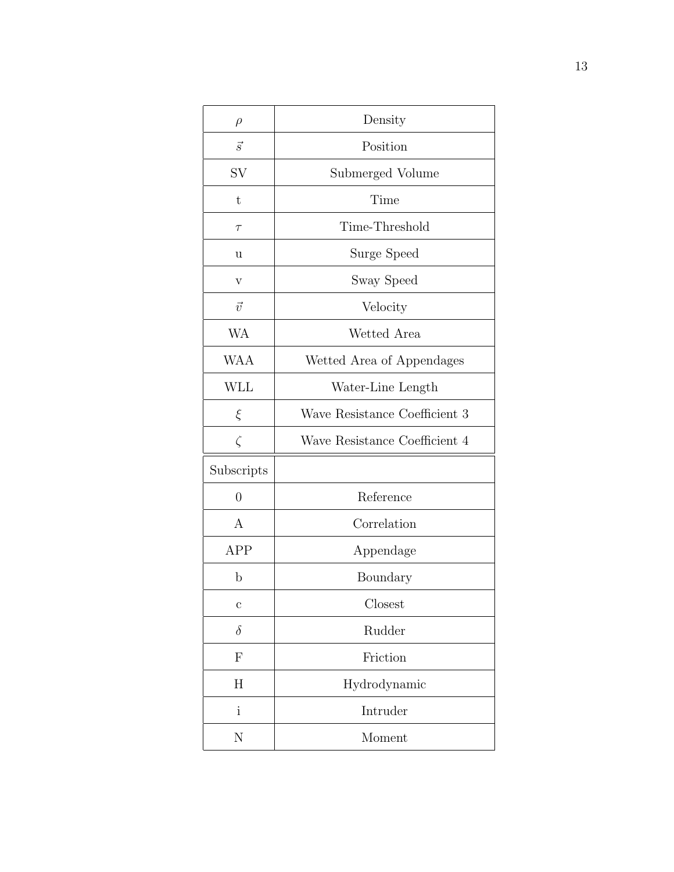| $\rho$         | Density                       |
|----------------|-------------------------------|
| $\vec{s}$      | Position                      |
| SV             | Submerged Volume              |
| t              | Time                          |
| $\tau$         | Time-Threshold                |
| u              | Surge Speed                   |
| V              | Sway Speed                    |
| $\vec{v}$      | Velocity                      |
| <b>WA</b>      | Wetted Area                   |
| <b>WAA</b>     | Wetted Area of Appendages     |
| <b>WLL</b>     | Water-Line Length             |
| ξ              | Wave Resistance Coefficient 3 |
| $\zeta$        | Wave Resistance Coefficient 4 |
| Subscripts     |                               |
| $\overline{0}$ | Reference                     |
|                |                               |
| A              | Correlation                   |
| APP            | Appendage                     |
| $\mathbf b$    | Boundary                      |
| $\mathbf c$    | $C$ losest                    |
| $\delta$       | Rudder                        |
| $\mathbf{F}$   | Friction                      |
| H              | Hydrodynamic                  |
| i              | Intruder                      |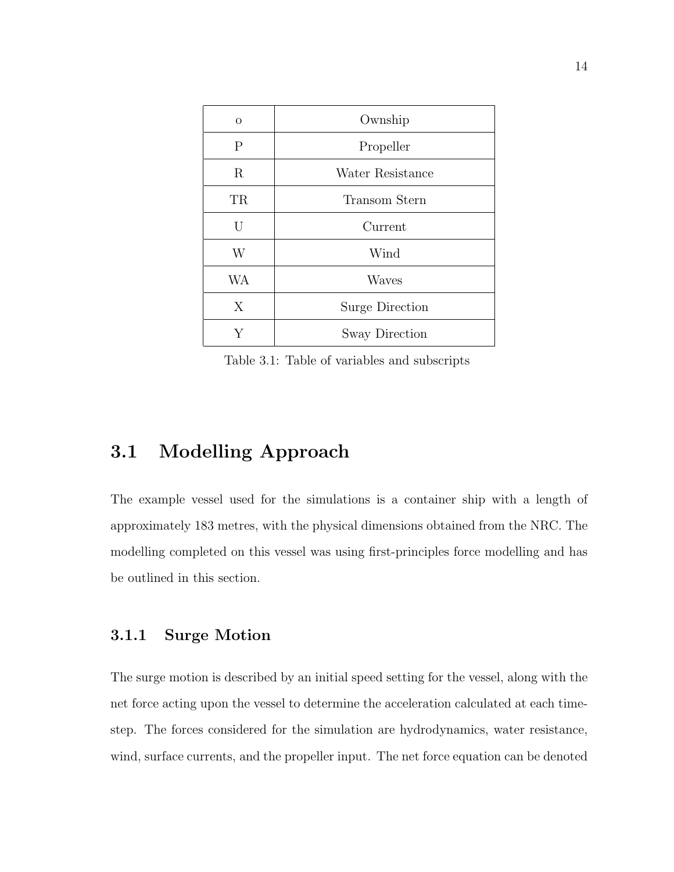| $\Omega$     | Ownship                |
|--------------|------------------------|
| $\mathbf{P}$ | Propeller              |
| R            | Water Resistance       |
| TR           | Transom Stern          |
| U            | Current                |
| W            | Wind                   |
| <b>WA</b>    | Waves                  |
| X            | <b>Surge Direction</b> |
|              | Sway Direction         |

Table 3.1: Table of variables and subscripts

### 3.1 Modelling Approach

The example vessel used for the simulations is a container ship with a length of approximately 183 metres, with the physical dimensions obtained from the NRC. The modelling completed on this vessel was using first-principles force modelling and has be outlined in this section.

#### 3.1.1 Surge Motion

The surge motion is described by an initial speed setting for the vessel, along with the net force acting upon the vessel to determine the acceleration calculated at each timestep. The forces considered for the simulation are hydrodynamics, water resistance, wind, surface currents, and the propeller input. The net force equation can be denoted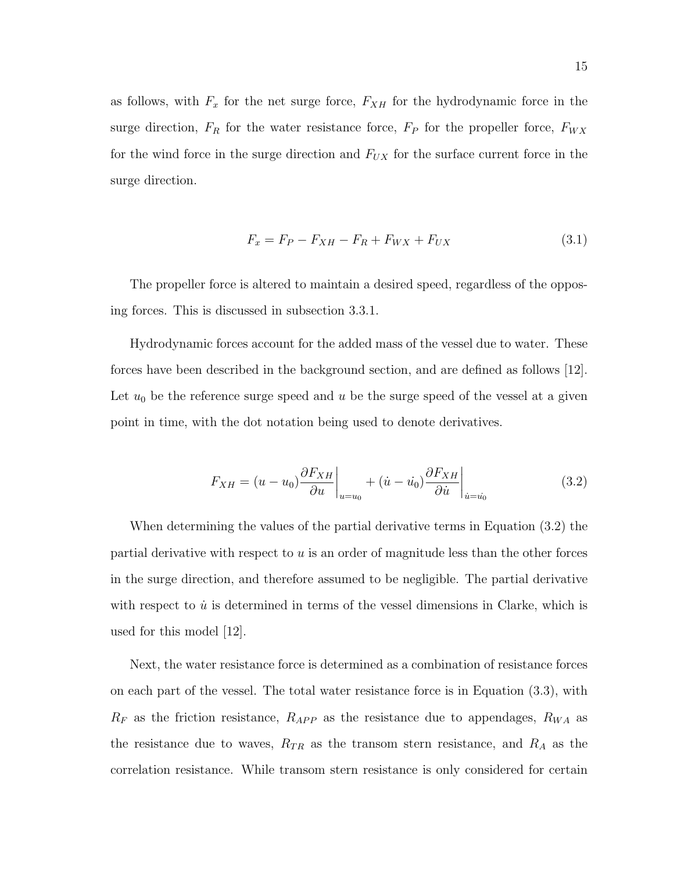as follows, with  $F_x$  for the net surge force,  $F_{XH}$  for the hydrodynamic force in the surge direction,  $F_R$  for the water resistance force,  $F_P$  for the propeller force,  $F_{WX}$ for the wind force in the surge direction and  $F_{UX}$  for the surface current force in the surge direction.

$$
F_x = F_P - F_{XH} - F_R + F_{WX} + F_{UX}
$$
\n(3.1)

The propeller force is altered to maintain a desired speed, regardless of the opposing forces. This is discussed in subsection 3.3.1.

Hydrodynamic forces account for the added mass of the vessel due to water. These forces have been described in the background section, and are defined as follows [12]. Let  $u_0$  be the reference surge speed and u be the surge speed of the vessel at a given point in time, with the dot notation being used to denote derivatives.

$$
F_{XH} = (u - u_0) \frac{\partial F_{XH}}{\partial u}\bigg|_{u=u_0} + (\dot{u} - \dot{u_0}) \frac{\partial F_{XH}}{\partial \dot{u}}\bigg|_{\dot{u} = \dot{u_0}}
$$
(3.2)

When determining the values of the partial derivative terms in Equation (3.2) the partial derivative with respect to u is an order of magnitude less than the other forces in the surge direction, and therefore assumed to be negligible. The partial derivative with respect to  $\dot{u}$  is determined in terms of the vessel dimensions in Clarke, which is used for this model [12].

Next, the water resistance force is determined as a combination of resistance forces on each part of the vessel. The total water resistance force is in Equation (3.3), with  $R_F$  as the friction resistance,  $R_{APP}$  as the resistance due to appendages,  $R_{WA}$  as the resistance due to waves,  $R_{TR}$  as the transom stern resistance, and  $R_A$  as the correlation resistance. While transom stern resistance is only considered for certain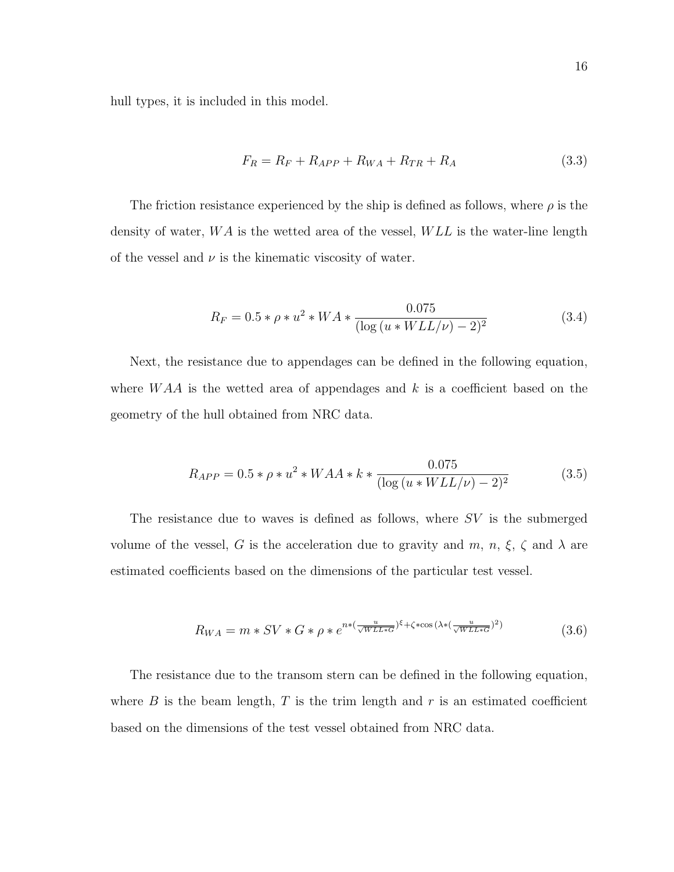hull types, it is included in this model.

$$
F_R = R_F + R_{APP} + R_{WA} + R_{TR} + R_A \tag{3.3}
$$

The friction resistance experienced by the ship is defined as follows, where  $\rho$  is the density of water,  $WA$  is the wetted area of the vessel,  $WLL$  is the water-line length of the vessel and  $\nu$  is the kinematic viscosity of water.

$$
R_F = 0.5 * \rho * u^2 * WA * \frac{0.075}{(\log(u * WLL/\nu) - 2)^2}
$$
\n(3.4)

Next, the resistance due to appendages can be defined in the following equation, where  $WAA$  is the wetted area of appendages and k is a coefficient based on the geometry of the hull obtained from NRC data.

$$
R_{APP} = 0.5 * \rho * u^2 * WAA * k * \frac{0.075}{(\log(u * WLL/\nu) - 2)^2}
$$
(3.5)

The resistance due to waves is defined as follows, where  $SV$  is the submerged volume of the vessel, G is the acceleration due to gravity and  $m$ ,  $n$ ,  $\xi$ ,  $\zeta$  and  $\lambda$  are estimated coefficients based on the dimensions of the particular test vessel.

$$
R_{WA} = m * SV * G * \rho * e^{n * (\frac{u}{\sqrt{WLL*G}})^{\xi} + \zeta * \cos(\lambda * (\frac{u}{\sqrt{WLL*G}})^2)}
$$
(3.6)

The resistance due to the transom stern can be defined in the following equation, where  $B$  is the beam length,  $T$  is the trim length and  $r$  is an estimated coefficient based on the dimensions of the test vessel obtained from NRC data.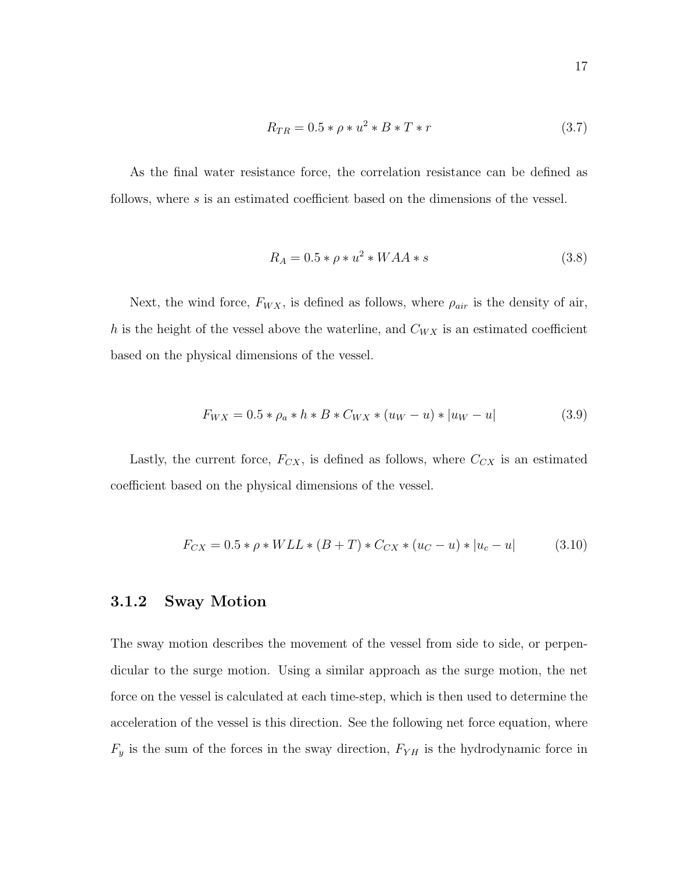$$
R_{TR} = 0.5 * \rho * u^2 * B * T * r \tag{3.7}
$$

As the final water resistance force, the correlation resistance can be defined as follows, where s is an estimated coefficient based on the dimensions of the vessel.

$$
R_A = 0.5 * \rho * u^2 * WAA * s \tag{3.8}
$$

Next, the wind force,  $F_{WX}$ , is defined as follows, where  $\rho_{air}$  is the density of air, h is the height of the vessel above the waterline, and  $C_{WX}$  is an estimated coefficient based on the physical dimensions of the vessel.

$$
F_{WX} = 0.5 * \rho_a * h * B * C_{WX} * (u_W - u) * |u_W - u|
$$
\n(3.9)

Lastly, the current force,  $F_{CX}$ , is defined as follows, where  $C_{CX}$  is an estimated coefficient based on the physical dimensions of the vessel.

$$
F_{CX} = 0.5 * \rho * WLL * (B + T) * C_{CX} * (u_C - u) * |u_c - u|
$$
 (3.10)

#### 3.1.2 Sway Motion

The sway motion describes the movement of the vessel from side to side, or perpendicular to the surge motion. Using a similar approach as the surge motion, the net force on the vessel is calculated at each time-step, which is then used to determine the acceleration of the vessel is this direction. See the following net force equation, where  $F_y$  is the sum of the forces in the sway direction,  $F_{YH}$  is the hydrodynamic force in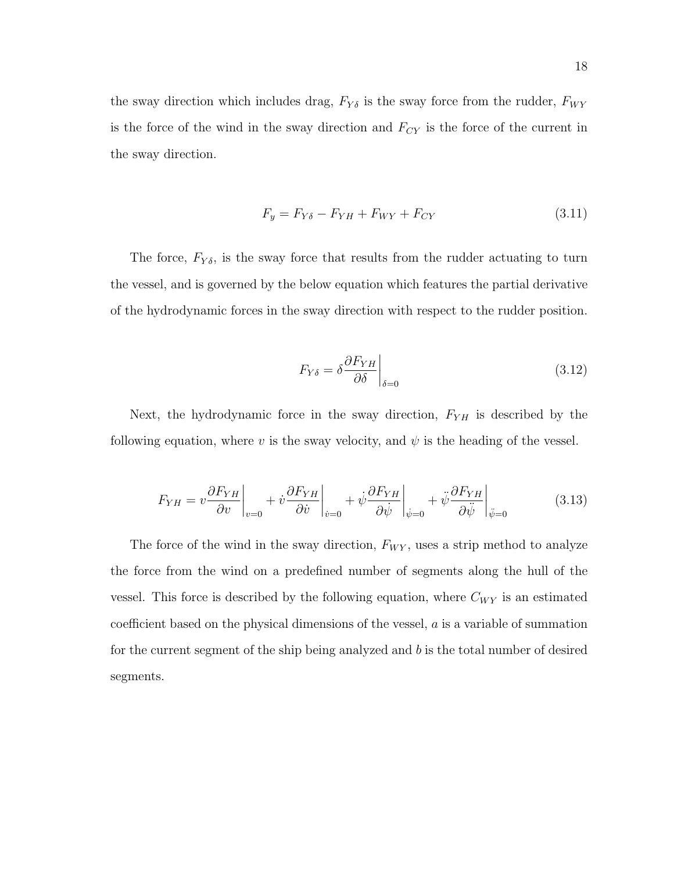the sway direction which includes drag,  $F_{Y\delta}$  is the sway force from the rudder,  $F_{WY}$ is the force of the wind in the sway direction and  $F_{CY}$  is the force of the current in the sway direction.

$$
F_y = F_{Y\delta} - F_{YH} + F_{WY} + F_{CY}
$$
\n
$$
(3.11)
$$

The force,  $F_{Y\delta}$ , is the sway force that results from the rudder actuating to turn the vessel, and is governed by the below equation which features the partial derivative of the hydrodynamic forces in the sway direction with respect to the rudder position.

$$
F_{Y\delta} = \delta \frac{\partial F_{YH}}{\partial \delta} \bigg|_{\delta=0} \tag{3.12}
$$

Next, the hydrodynamic force in the sway direction,  $F_{YH}$  is described by the following equation, where v is the sway velocity, and  $\psi$  is the heading of the vessel.

$$
F_{YH} = v \frac{\partial F_{YH}}{\partial v}\bigg|_{v=0} + \dot{v} \frac{\partial F_{YH}}{\partial \dot{v}}\bigg|_{\dot{v}=0} + \dot{\psi} \frac{\partial F_{YH}}{\partial \dot{\psi}}\bigg|_{\dot{\psi}=0} + \ddot{\psi} \frac{\partial F_{YH}}{\partial \ddot{\psi}}\bigg|_{\ddot{\psi}=0}
$$
(3.13)

The force of the wind in the sway direction,  $F_{WY}$ , uses a strip method to analyze the force from the wind on a predefined number of segments along the hull of the vessel. This force is described by the following equation, where  $C_{WY}$  is an estimated coefficient based on the physical dimensions of the vessel, a is a variable of summation for the current segment of the ship being analyzed and  $b$  is the total number of desired segments.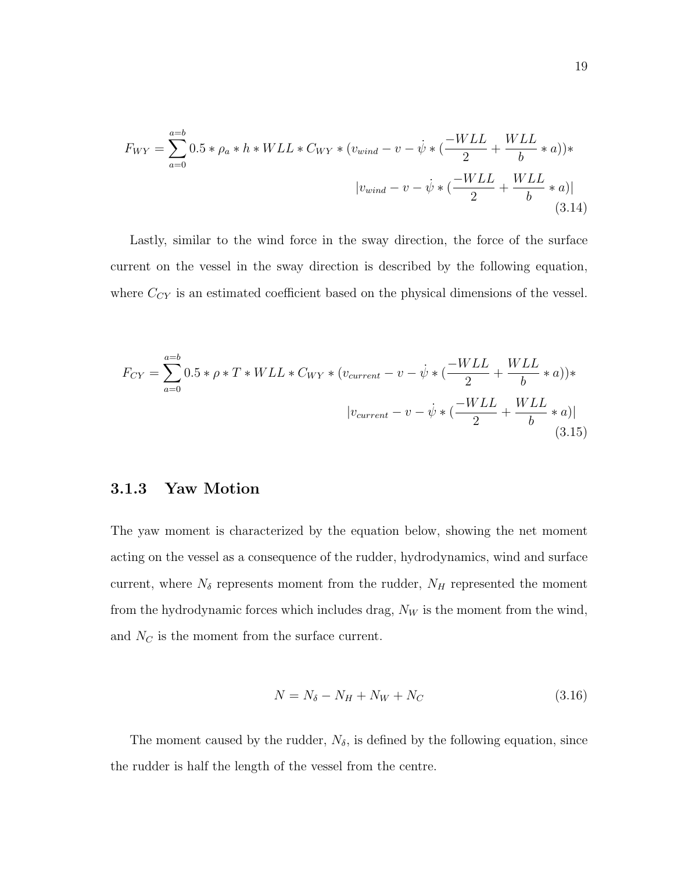$$
F_{WY} = \sum_{a=0}^{a=b} 0.5 * \rho_a * h * WLL * C_{WY} * (v_{wind} - v - \dot{\psi} * (\frac{-WLL}{2} + \frac{WLL}{b} * a)) * |v_{wind} - v - \dot{\psi} * (\frac{-WLL}{2} + \frac{WLL}{b} * a)|
$$
(3.14)

Lastly, similar to the wind force in the sway direction, the force of the surface current on the vessel in the sway direction is described by the following equation, where  $C_{CY}$  is an estimated coefficient based on the physical dimensions of the vessel.

$$
F_{CY} = \sum_{a=0}^{a=b} 0.5 * \rho * T * WLL * C_{WY} * (v_{current} - v - \dot{\psi} * (\frac{-WLL}{2} + \frac{WLL}{b} * a)) * |v_{current} - v - \dot{\psi} * (\frac{-WLL}{2} + \frac{WLL}{b} * a)|
$$
(3.15)

#### 3.1.3 Yaw Motion

The yaw moment is characterized by the equation below, showing the net moment acting on the vessel as a consequence of the rudder, hydrodynamics, wind and surface current, where  $N_{\delta}$  represents moment from the rudder,  $N_H$  represented the moment from the hydrodynamic forces which includes drag,  $N_W$  is the moment from the wind, and  $N_C$  is the moment from the surface current.

$$
N = N_{\delta} - N_H + N_W + N_C \tag{3.16}
$$

The moment caused by the rudder,  $N_{\delta}$ , is defined by the following equation, since the rudder is half the length of the vessel from the centre.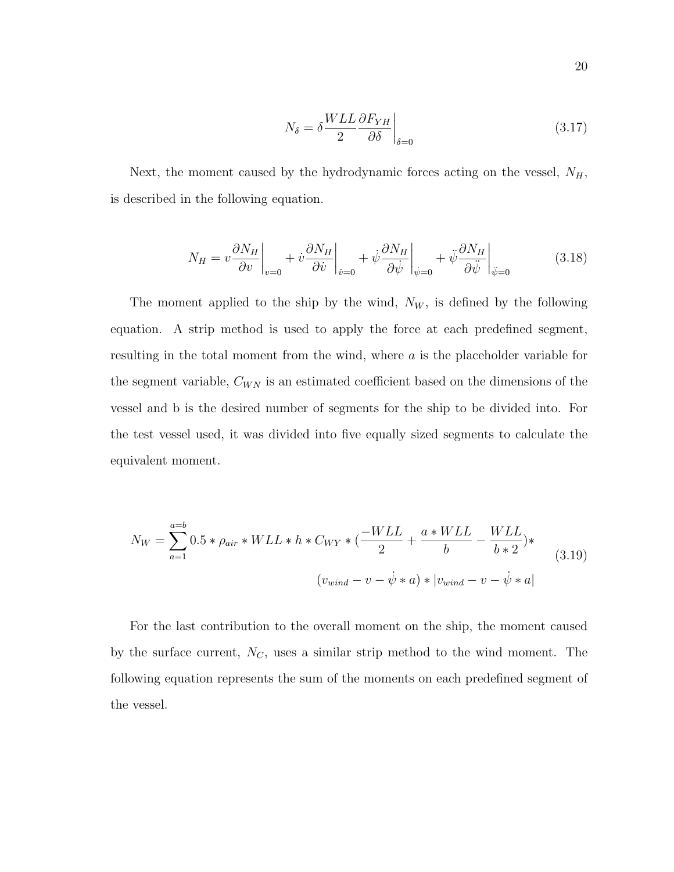$$
N_{\delta} = \delta \frac{WLL}{2} \frac{\partial F_{YH}}{\partial \delta} \bigg|_{\delta=0} \tag{3.17}
$$

Next, the moment caused by the hydrodynamic forces acting on the vessel,  $N_H$ , is described in the following equation.

$$
N_H = v \frac{\partial N_H}{\partial v}\bigg|_{v=0} + v \frac{\partial N_H}{\partial \dot{v}}\bigg|_{\dot{v}=0} + \dot{\psi} \frac{\partial N_H}{\partial \dot{\psi}}\bigg|_{\dot{\psi}=0} + \ddot{\psi} \frac{\partial N_H}{\partial \ddot{\psi}}\bigg|_{\ddot{\psi}=0}
$$
(3.18)

The moment applied to the ship by the wind,  $N_W$ , is defined by the following equation. A strip method is used to apply the force at each predefined segment, resulting in the total moment from the wind, where a is the placeholder variable for the segment variable,  $C_{WN}$  is an estimated coefficient based on the dimensions of the vessel and b is the desired number of segments for the ship to be divided into. For the test vessel used, it was divided into five equally sized segments to calculate the equivalent moment.

$$
N_W = \sum_{a=1}^{a=b} 0.5 * \rho_{air} * WLL * h * C_{WY} * (\frac{-WLL}{2} + \frac{a * WLL}{b} - \frac{WLL}{b * 2}) * (v_{wind} - v - \dot{\psi} * a) * |v_{wind} - v - \dot{\psi} * a|
$$
(3.19)

For the last contribution to the overall moment on the ship, the moment caused by the surface current,  $N_C$ , uses a similar strip method to the wind moment. The following equation represents the sum of the moments on each predefined segment of the vessel.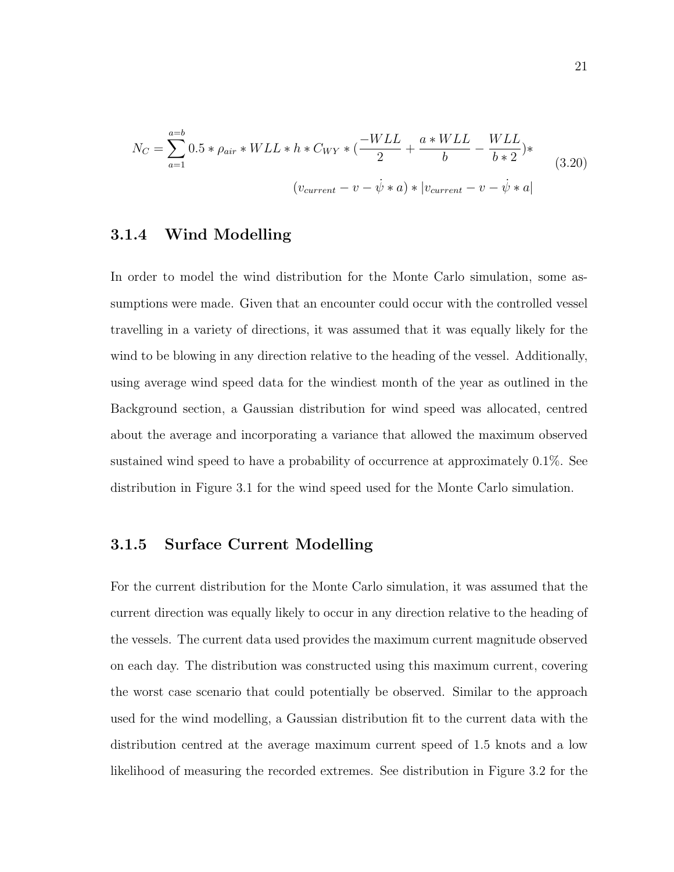$$
N_C = \sum_{a=1}^{a=b} 0.5 * \rho_{air} * WLL * h * C_{WY} * (\frac{-WLL}{2} + \frac{a * WLL}{b} - \frac{WLL}{b * 2}) * (v_{current} - v - \dot{\psi} * a) * |v_{current} - v - \dot{\psi} * a|
$$
(3.20)

#### 3.1.4 Wind Modelling

In order to model the wind distribution for the Monte Carlo simulation, some assumptions were made. Given that an encounter could occur with the controlled vessel travelling in a variety of directions, it was assumed that it was equally likely for the wind to be blowing in any direction relative to the heading of the vessel. Additionally, using average wind speed data for the windiest month of the year as outlined in the Background section, a Gaussian distribution for wind speed was allocated, centred about the average and incorporating a variance that allowed the maximum observed sustained wind speed to have a probability of occurrence at approximately 0.1%. See distribution in Figure 3.1 for the wind speed used for the Monte Carlo simulation.

#### 3.1.5 Surface Current Modelling

For the current distribution for the Monte Carlo simulation, it was assumed that the current direction was equally likely to occur in any direction relative to the heading of the vessels. The current data used provides the maximum current magnitude observed on each day. The distribution was constructed using this maximum current, covering the worst case scenario that could potentially be observed. Similar to the approach used for the wind modelling, a Gaussian distribution fit to the current data with the distribution centred at the average maximum current speed of 1.5 knots and a low likelihood of measuring the recorded extremes. See distribution in Figure 3.2 for the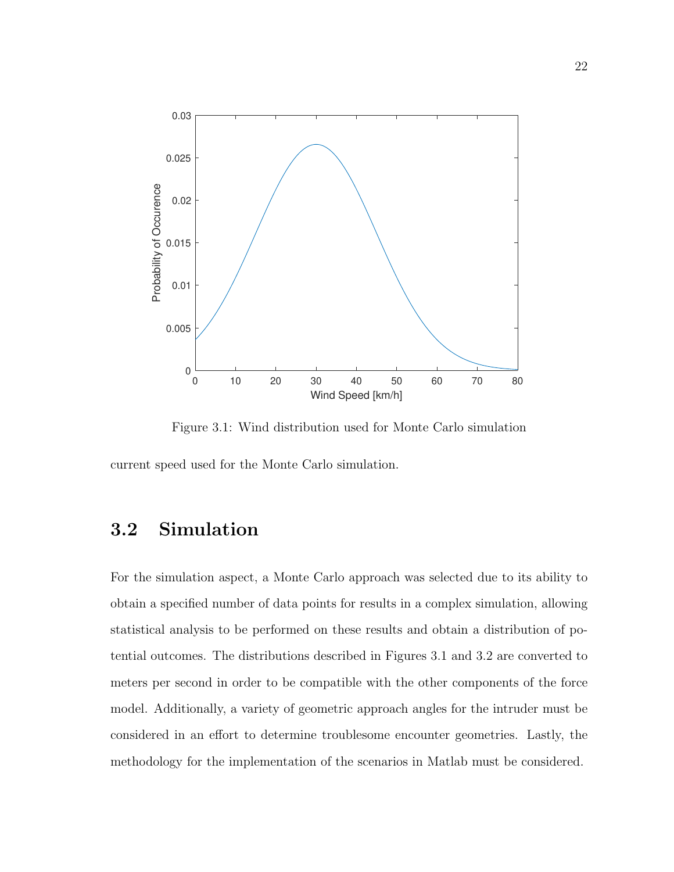

Figure 3.1: Wind distribution used for Monte Carlo simulation

current speed used for the Monte Carlo simulation.

### 3.2 Simulation

For the simulation aspect, a Monte Carlo approach was selected due to its ability to obtain a specified number of data points for results in a complex simulation, allowing statistical analysis to be performed on these results and obtain a distribution of potential outcomes. The distributions described in Figures 3.1 and 3.2 are converted to meters per second in order to be compatible with the other components of the force model. Additionally, a variety of geometric approach angles for the intruder must be considered in an effort to determine troublesome encounter geometries. Lastly, the methodology for the implementation of the scenarios in Matlab must be considered.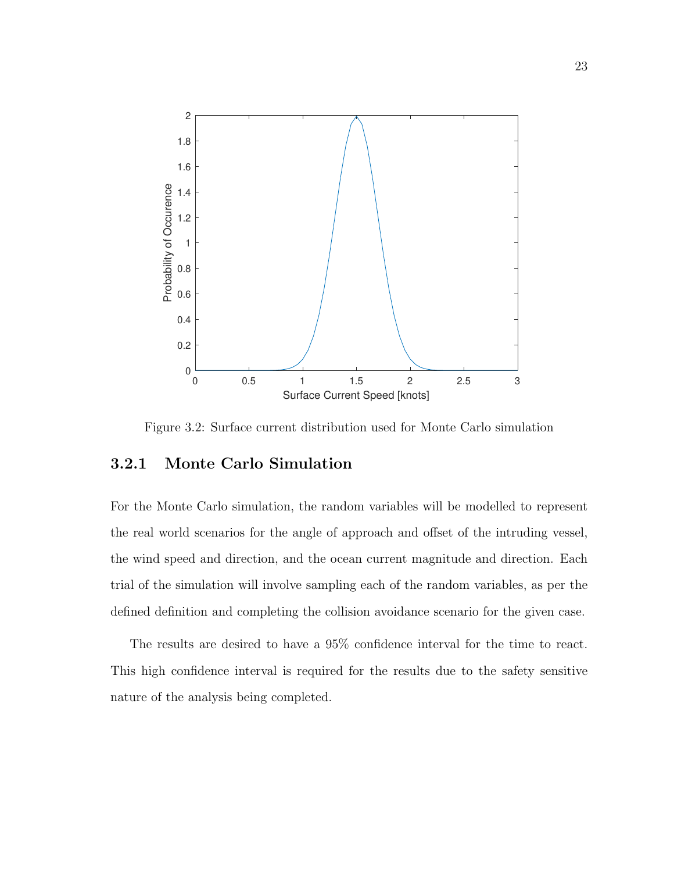

Figure 3.2: Surface current distribution used for Monte Carlo simulation

#### 3.2.1 Monte Carlo Simulation

For the Monte Carlo simulation, the random variables will be modelled to represent the real world scenarios for the angle of approach and offset of the intruding vessel, the wind speed and direction, and the ocean current magnitude and direction. Each trial of the simulation will involve sampling each of the random variables, as per the defined definition and completing the collision avoidance scenario for the given case.

The results are desired to have a 95% confidence interval for the time to react. This high confidence interval is required for the results due to the safety sensitive nature of the analysis being completed.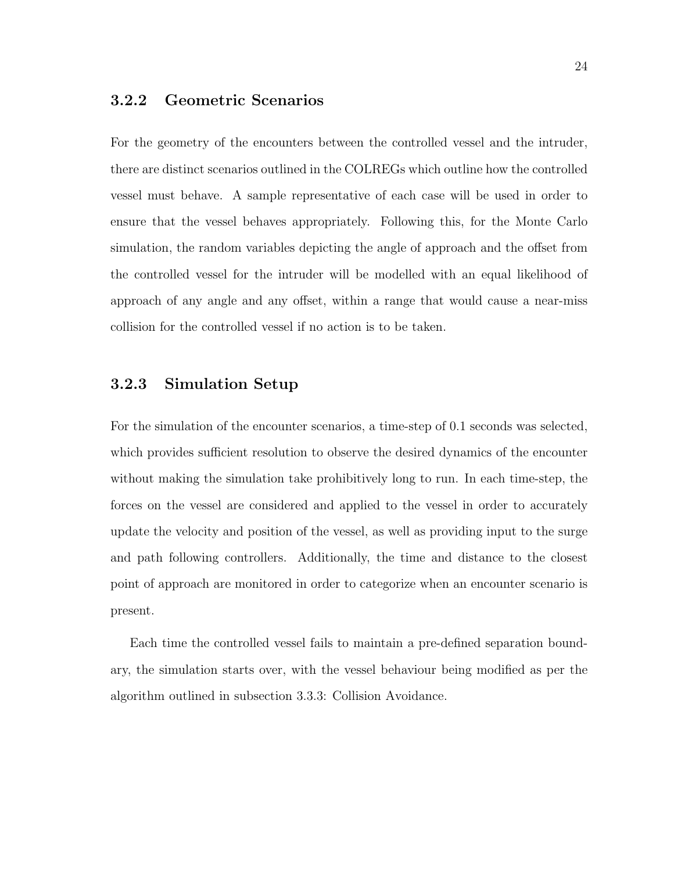#### 3.2.2 Geometric Scenarios

For the geometry of the encounters between the controlled vessel and the intruder, there are distinct scenarios outlined in the COLREGs which outline how the controlled vessel must behave. A sample representative of each case will be used in order to ensure that the vessel behaves appropriately. Following this, for the Monte Carlo simulation, the random variables depicting the angle of approach and the offset from the controlled vessel for the intruder will be modelled with an equal likelihood of approach of any angle and any offset, within a range that would cause a near-miss collision for the controlled vessel if no action is to be taken.

#### 3.2.3 Simulation Setup

For the simulation of the encounter scenarios, a time-step of 0.1 seconds was selected, which provides sufficient resolution to observe the desired dynamics of the encounter without making the simulation take prohibitively long to run. In each time-step, the forces on the vessel are considered and applied to the vessel in order to accurately update the velocity and position of the vessel, as well as providing input to the surge and path following controllers. Additionally, the time and distance to the closest point of approach are monitored in order to categorize when an encounter scenario is present.

Each time the controlled vessel fails to maintain a pre-defined separation boundary, the simulation starts over, with the vessel behaviour being modified as per the algorithm outlined in subsection 3.3.3: Collision Avoidance.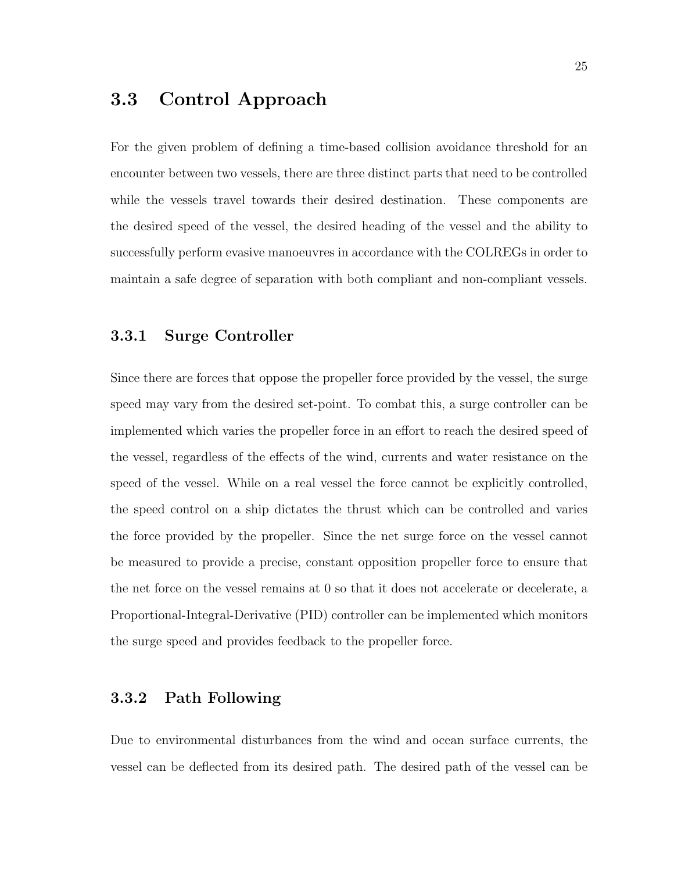## 3.3 Control Approach

For the given problem of defining a time-based collision avoidance threshold for an encounter between two vessels, there are three distinct parts that need to be controlled while the vessels travel towards their desired destination. These components are the desired speed of the vessel, the desired heading of the vessel and the ability to successfully perform evasive manoeuvres in accordance with the COLREGs in order to maintain a safe degree of separation with both compliant and non-compliant vessels.

#### 3.3.1 Surge Controller

Since there are forces that oppose the propeller force provided by the vessel, the surge speed may vary from the desired set-point. To combat this, a surge controller can be implemented which varies the propeller force in an effort to reach the desired speed of the vessel, regardless of the effects of the wind, currents and water resistance on the speed of the vessel. While on a real vessel the force cannot be explicitly controlled, the speed control on a ship dictates the thrust which can be controlled and varies the force provided by the propeller. Since the net surge force on the vessel cannot be measured to provide a precise, constant opposition propeller force to ensure that the net force on the vessel remains at 0 so that it does not accelerate or decelerate, a Proportional-Integral-Derivative (PID) controller can be implemented which monitors the surge speed and provides feedback to the propeller force.

#### 3.3.2 Path Following

Due to environmental disturbances from the wind and ocean surface currents, the vessel can be deflected from its desired path. The desired path of the vessel can be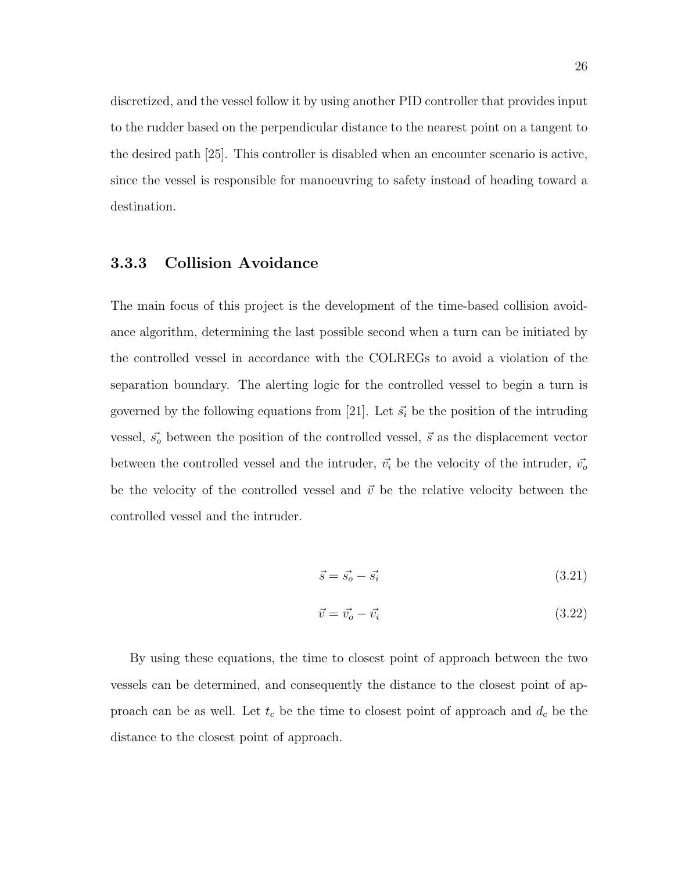discretized, and the vessel follow it by using another PID controller that provides input to the rudder based on the perpendicular distance to the nearest point on a tangent to the desired path [25]. This controller is disabled when an encounter scenario is active, since the vessel is responsible for manoeuvring to safety instead of heading toward a destination.

#### 3.3.3 Collision Avoidance

The main focus of this project is the development of the time-based collision avoidance algorithm, determining the last possible second when a turn can be initiated by the controlled vessel in accordance with the COLREGs to avoid a violation of the separation boundary. The alerting logic for the controlled vessel to begin a turn is governed by the following equations from [21]. Let  $\vec{s_i}$  be the position of the intruding vessel,  $\vec{s}$  between the position of the controlled vessel,  $\vec{s}$  as the displacement vector between the controlled vessel and the intruder,  $\vec{v_i}$  be the velocity of the intruder,  $\vec{v_o}$ be the velocity of the controlled vessel and  $\vec{v}$  be the relative velocity between the controlled vessel and the intruder.

$$
\vec{s} = \vec{s_o} - \vec{s_i} \tag{3.21}
$$

$$
\vec{v} = \vec{v_o} - \vec{v_i} \tag{3.22}
$$

By using these equations, the time to closest point of approach between the two vessels can be determined, and consequently the distance to the closest point of approach can be as well. Let  $t_c$  be the time to closest point of approach and  $d_c$  be the distance to the closest point of approach.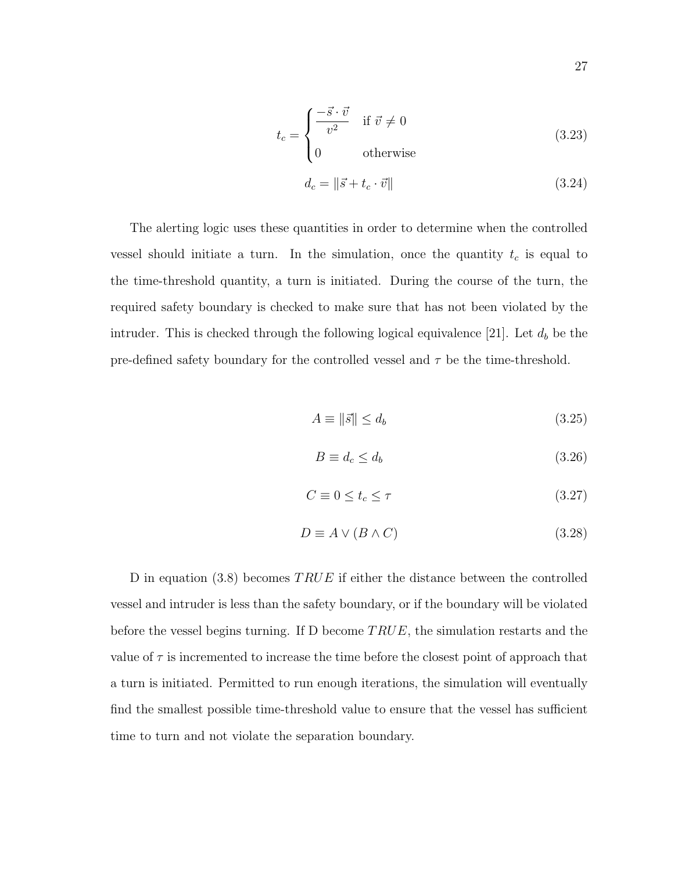$$
t_c = \begin{cases} \frac{-\vec{s} \cdot \vec{v}}{v^2} & \text{if } \vec{v} \neq 0\\ 0 & \text{otherwise} \end{cases}
$$
 (3.23)

$$
d_c = \|\vec{s} + t_c \cdot \vec{v}\| \tag{3.24}
$$

The alerting logic uses these quantities in order to determine when the controlled vessel should initiate a turn. In the simulation, once the quantity  $t_c$  is equal to the time-threshold quantity, a turn is initiated. During the course of the turn, the required safety boundary is checked to make sure that has not been violated by the intruder. This is checked through the following logical equivalence [21]. Let  $d_b$  be the pre-defined safety boundary for the controlled vessel and  $\tau$  be the time-threshold.

$$
A \equiv \|\vec{s}\| \le d_b \tag{3.25}
$$

$$
B \equiv d_c \le d_b \tag{3.26}
$$

$$
C \equiv 0 \le t_c \le \tau \tag{3.27}
$$

$$
D \equiv A \lor (B \land C) \tag{3.28}
$$

D in equation (3.8) becomes  $TRUE$  if either the distance between the controlled vessel and intruder is less than the safety boundary, or if the boundary will be violated before the vessel begins turning. If D become  $TRUE$ , the simulation restarts and the value of  $\tau$  is incremented to increase the time before the closest point of approach that a turn is initiated. Permitted to run enough iterations, the simulation will eventually find the smallest possible time-threshold value to ensure that the vessel has sufficient time to turn and not violate the separation boundary.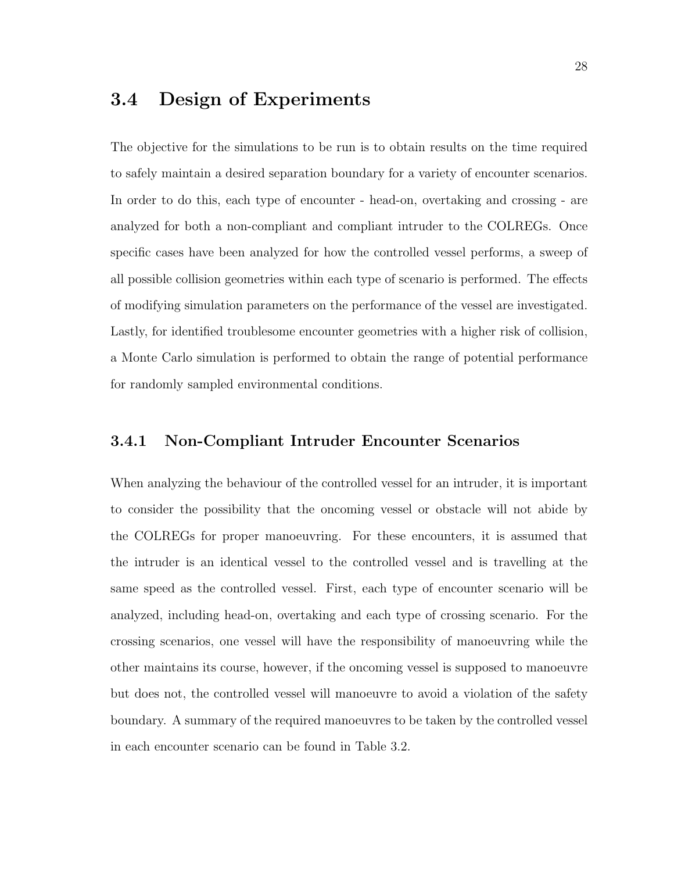## 3.4 Design of Experiments

The objective for the simulations to be run is to obtain results on the time required to safely maintain a desired separation boundary for a variety of encounter scenarios. In order to do this, each type of encounter - head-on, overtaking and crossing - are analyzed for both a non-compliant and compliant intruder to the COLREGs. Once specific cases have been analyzed for how the controlled vessel performs, a sweep of all possible collision geometries within each type of scenario is performed. The effects of modifying simulation parameters on the performance of the vessel are investigated. Lastly, for identified troublesome encounter geometries with a higher risk of collision, a Monte Carlo simulation is performed to obtain the range of potential performance for randomly sampled environmental conditions.

#### 3.4.1 Non-Compliant Intruder Encounter Scenarios

When analyzing the behaviour of the controlled vessel for an intruder, it is important to consider the possibility that the oncoming vessel or obstacle will not abide by the COLREGs for proper manoeuvring. For these encounters, it is assumed that the intruder is an identical vessel to the controlled vessel and is travelling at the same speed as the controlled vessel. First, each type of encounter scenario will be analyzed, including head-on, overtaking and each type of crossing scenario. For the crossing scenarios, one vessel will have the responsibility of manoeuvring while the other maintains its course, however, if the oncoming vessel is supposed to manoeuvre but does not, the controlled vessel will manoeuvre to avoid a violation of the safety boundary. A summary of the required manoeuvres to be taken by the controlled vessel in each encounter scenario can be found in Table 3.2.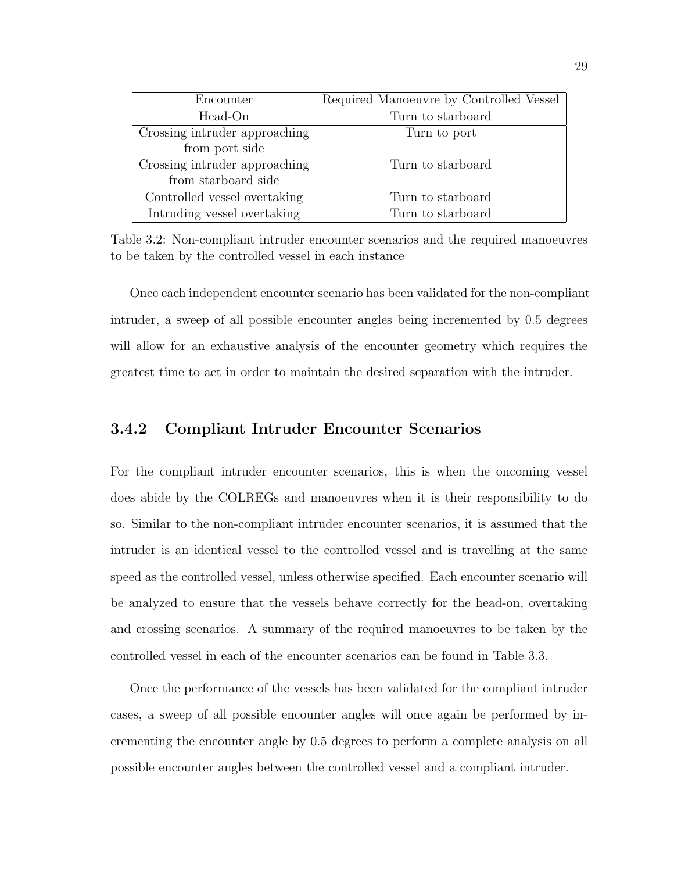| Encounter                     | Required Manoeuvre by Controlled Vessel |
|-------------------------------|-----------------------------------------|
| Head-On                       | Turn to starboard                       |
| Crossing intruder approaching | Turn to port                            |
| from port side                |                                         |
| Crossing intruder approaching | Turn to starboard                       |
| from starboard side           |                                         |
| Controlled vessel overtaking  | Turn to starboard                       |
| Intruding vessel overtaking   | Turn to starboard                       |

Table 3.2: Non-compliant intruder encounter scenarios and the required manoeuvres to be taken by the controlled vessel in each instance

Once each independent encounter scenario has been validated for the non-compliant intruder, a sweep of all possible encounter angles being incremented by 0.5 degrees will allow for an exhaustive analysis of the encounter geometry which requires the greatest time to act in order to maintain the desired separation with the intruder.

#### 3.4.2 Compliant Intruder Encounter Scenarios

For the compliant intruder encounter scenarios, this is when the oncoming vessel does abide by the COLREGs and manoeuvres when it is their responsibility to do so. Similar to the non-compliant intruder encounter scenarios, it is assumed that the intruder is an identical vessel to the controlled vessel and is travelling at the same speed as the controlled vessel, unless otherwise specified. Each encounter scenario will be analyzed to ensure that the vessels behave correctly for the head-on, overtaking and crossing scenarios. A summary of the required manoeuvres to be taken by the controlled vessel in each of the encounter scenarios can be found in Table 3.3.

Once the performance of the vessels has been validated for the compliant intruder cases, a sweep of all possible encounter angles will once again be performed by incrementing the encounter angle by 0.5 degrees to perform a complete analysis on all possible encounter angles between the controlled vessel and a compliant intruder.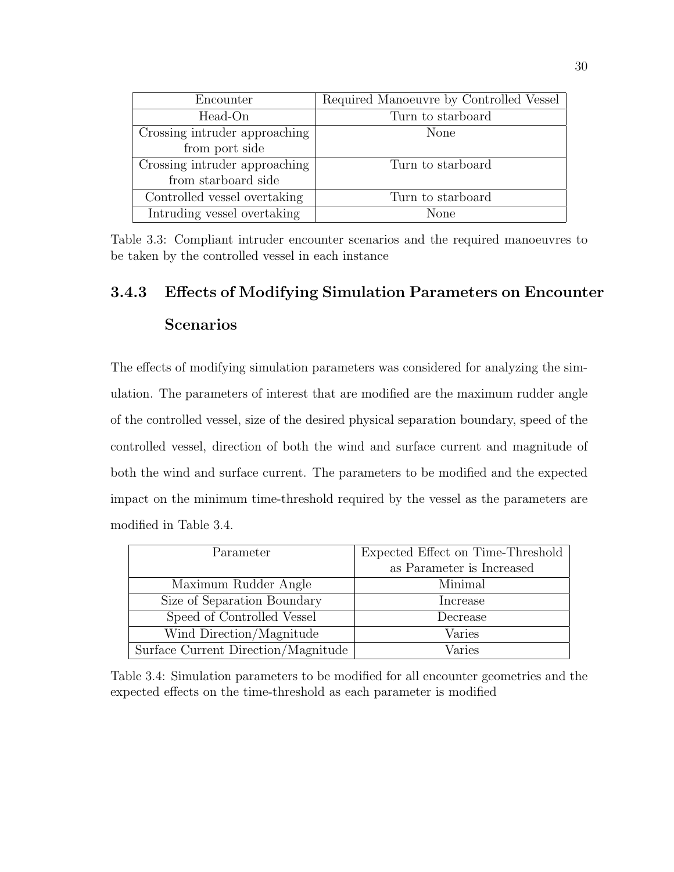| Encounter                     | Required Manoeuvre by Controlled Vessel |  |
|-------------------------------|-----------------------------------------|--|
| Head-On                       | Turn to starboard                       |  |
| Crossing intruder approaching | None                                    |  |
| from port side                |                                         |  |
| Crossing intruder approaching | Turn to starboard                       |  |
| from starboard side           |                                         |  |
| Controlled vessel overtaking  | Turn to starboard                       |  |
| Intruding vessel overtaking   | None                                    |  |

Table 3.3: Compliant intruder encounter scenarios and the required manoeuvres to be taken by the controlled vessel in each instance

## 3.4.3 Effects of Modifying Simulation Parameters on Encounter Scenarios

The effects of modifying simulation parameters was considered for analyzing the simulation. The parameters of interest that are modified are the maximum rudder angle of the controlled vessel, size of the desired physical separation boundary, speed of the controlled vessel, direction of both the wind and surface current and magnitude of both the wind and surface current. The parameters to be modified and the expected impact on the minimum time-threshold required by the vessel as the parameters are modified in Table 3.4.

| Parameter                           | Expected Effect on Time-Threshold |  |
|-------------------------------------|-----------------------------------|--|
|                                     | as Parameter is Increased         |  |
| Maximum Rudder Angle                | Minimal                           |  |
| Size of Separation Boundary         | Increase                          |  |
| Speed of Controlled Vessel          | Decrease                          |  |
| Wind Direction/Magnitude            | Varies                            |  |
| Surface Current Direction/Magnitude | Varies                            |  |

Table 3.4: Simulation parameters to be modified for all encounter geometries and the expected effects on the time-threshold as each parameter is modified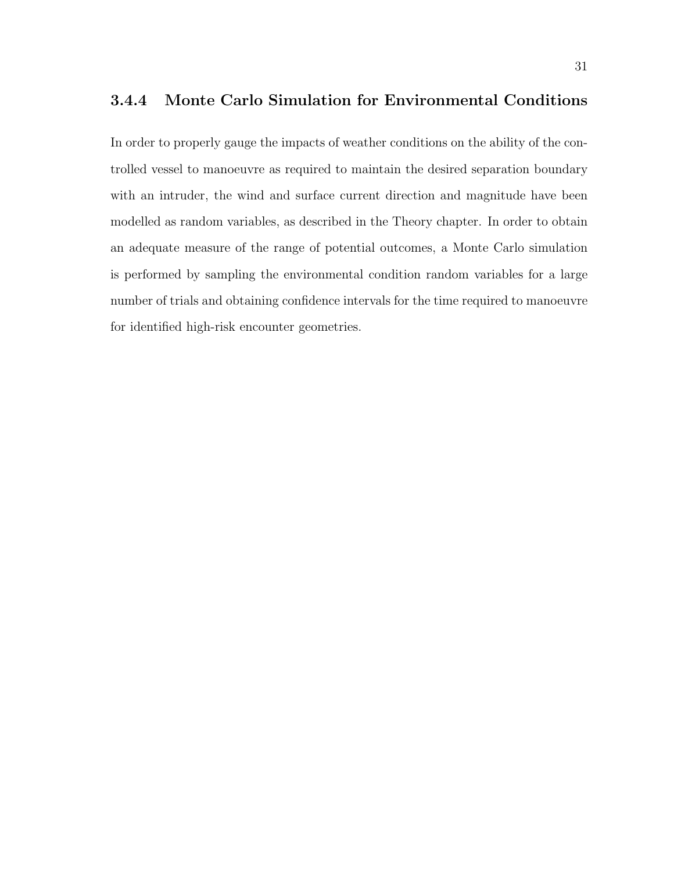#### 3.4.4 Monte Carlo Simulation for Environmental Conditions

In order to properly gauge the impacts of weather conditions on the ability of the controlled vessel to manoeuvre as required to maintain the desired separation boundary with an intruder, the wind and surface current direction and magnitude have been modelled as random variables, as described in the Theory chapter. In order to obtain an adequate measure of the range of potential outcomes, a Monte Carlo simulation is performed by sampling the environmental condition random variables for a large number of trials and obtaining confidence intervals for the time required to manoeuvre for identified high-risk encounter geometries.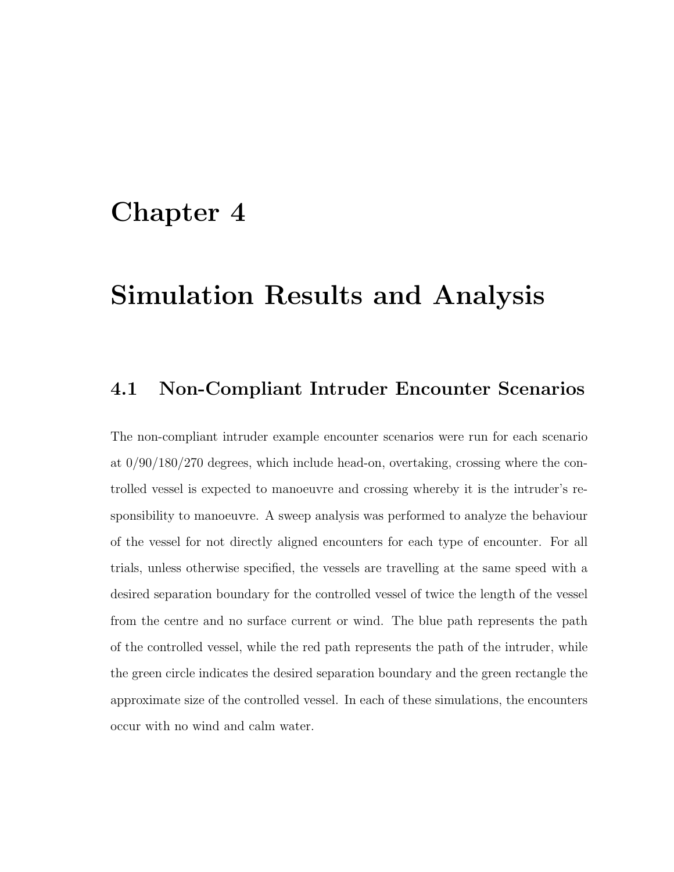# Chapter 4

# Simulation Results and Analysis

### 4.1 Non-Compliant Intruder Encounter Scenarios

The non-compliant intruder example encounter scenarios were run for each scenario at 0/90/180/270 degrees, which include head-on, overtaking, crossing where the controlled vessel is expected to manoeuvre and crossing whereby it is the intruder's responsibility to manoeuvre. A sweep analysis was performed to analyze the behaviour of the vessel for not directly aligned encounters for each type of encounter. For all trials, unless otherwise specified, the vessels are travelling at the same speed with a desired separation boundary for the controlled vessel of twice the length of the vessel from the centre and no surface current or wind. The blue path represents the path of the controlled vessel, while the red path represents the path of the intruder, while the green circle indicates the desired separation boundary and the green rectangle the approximate size of the controlled vessel. In each of these simulations, the encounters occur with no wind and calm water.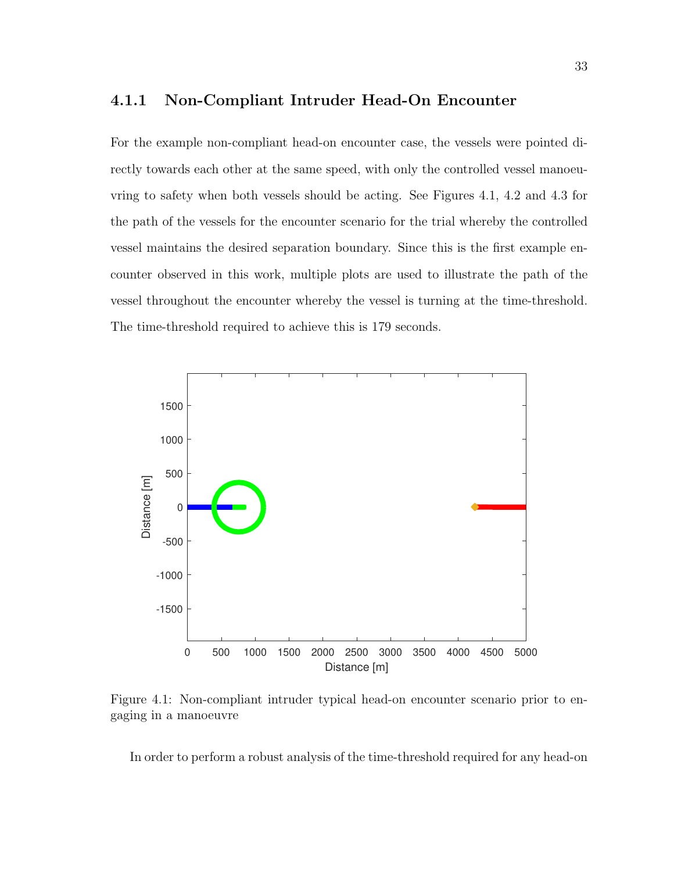#### 4.1.1 Non-Compliant Intruder Head-On Encounter

For the example non-compliant head-on encounter case, the vessels were pointed directly towards each other at the same speed, with only the controlled vessel manoeuvring to safety when both vessels should be acting. See Figures 4.1, 4.2 and 4.3 for the path of the vessels for the encounter scenario for the trial whereby the controlled vessel maintains the desired separation boundary. Since this is the first example encounter observed in this work, multiple plots are used to illustrate the path of the vessel throughout the encounter whereby the vessel is turning at the time-threshold. The time-threshold required to achieve this is 179 seconds.



Figure 4.1: Non-compliant intruder typical head-on encounter scenario prior to engaging in a manoeuvre

In order to perform a robust analysis of the time-threshold required for any head-on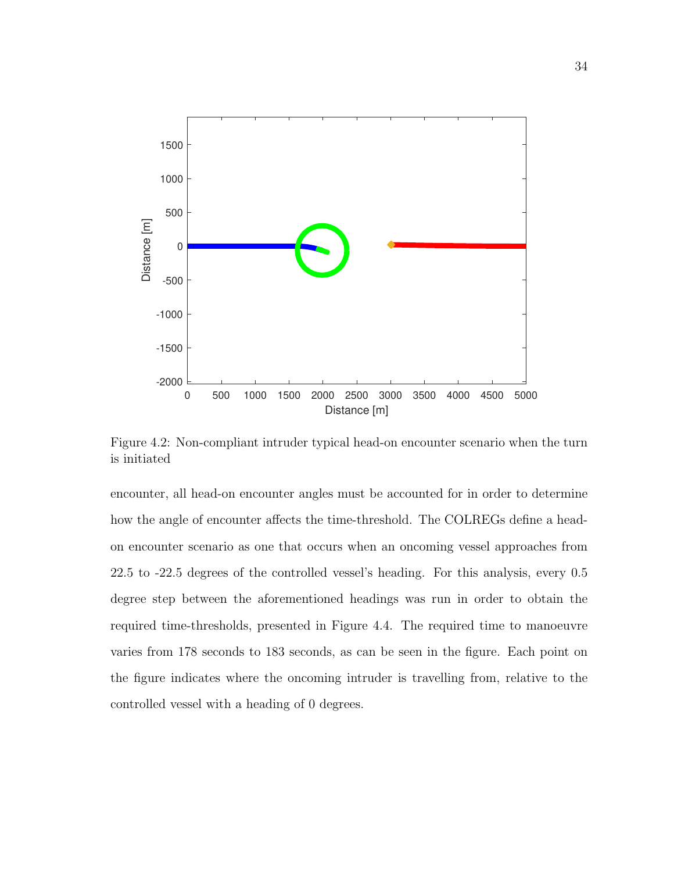

Figure 4.2: Non-compliant intruder typical head-on encounter scenario when the turn is initiated

encounter, all head-on encounter angles must be accounted for in order to determine how the angle of encounter affects the time-threshold. The COLREGs define a headon encounter scenario as one that occurs when an oncoming vessel approaches from 22.5 to -22.5 degrees of the controlled vessel's heading. For this analysis, every 0.5 degree step between the aforementioned headings was run in order to obtain the required time-thresholds, presented in Figure 4.4. The required time to manoeuvre varies from 178 seconds to 183 seconds, as can be seen in the figure. Each point on the figure indicates where the oncoming intruder is travelling from, relative to the controlled vessel with a heading of 0 degrees.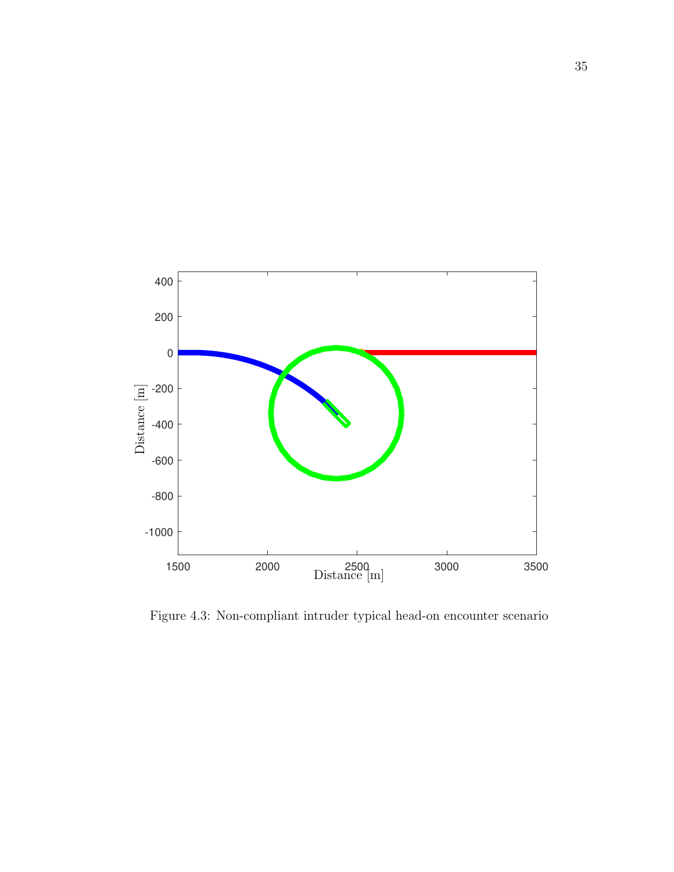

Figure 4.3: Non-compliant intruder typical head-on encounter scenario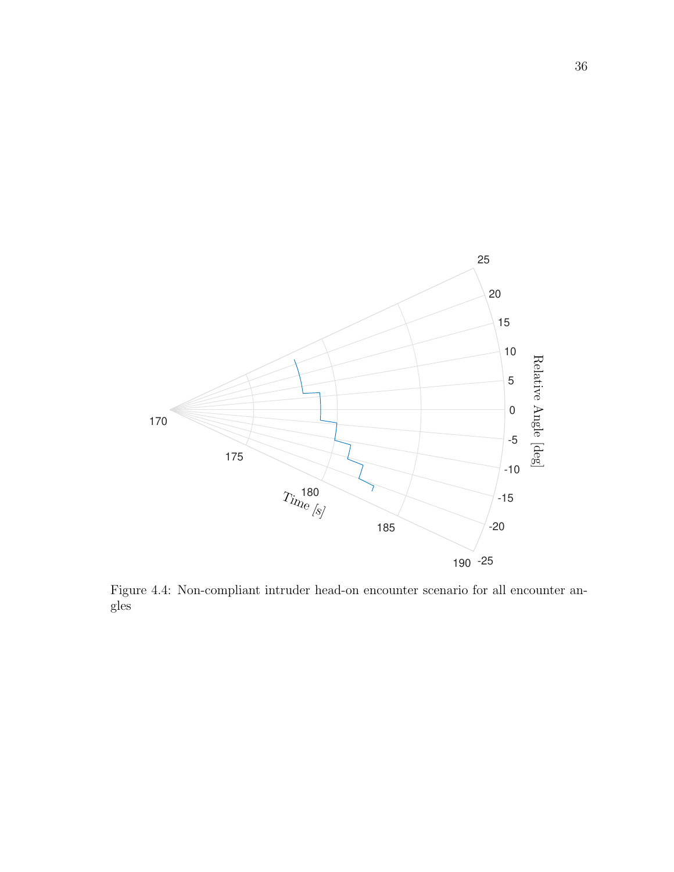

Figure 4.4: Non-compliant intruder head-on encounter scenario for all encounter angles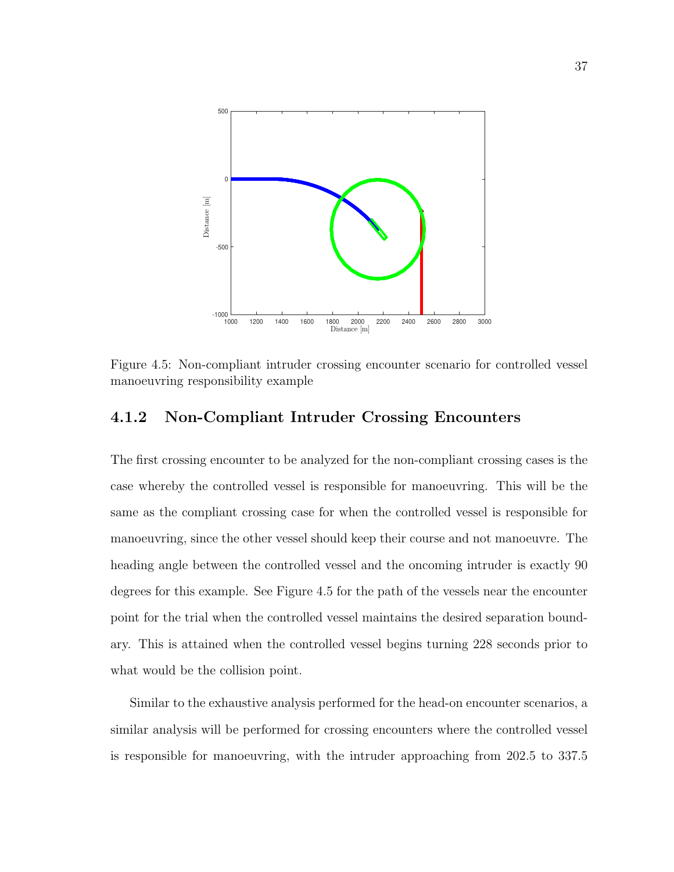

Figure 4.5: Non-compliant intruder crossing encounter scenario for controlled vessel manoeuvring responsibility example

#### 4.1.2 Non-Compliant Intruder Crossing Encounters

The first crossing encounter to be analyzed for the non-compliant crossing cases is the case whereby the controlled vessel is responsible for manoeuvring. This will be the same as the compliant crossing case for when the controlled vessel is responsible for manoeuvring, since the other vessel should keep their course and not manoeuvre. The heading angle between the controlled vessel and the oncoming intruder is exactly 90 degrees for this example. See Figure 4.5 for the path of the vessels near the encounter point for the trial when the controlled vessel maintains the desired separation boundary. This is attained when the controlled vessel begins turning 228 seconds prior to what would be the collision point.

Similar to the exhaustive analysis performed for the head-on encounter scenarios, a similar analysis will be performed for crossing encounters where the controlled vessel is responsible for manoeuvring, with the intruder approaching from 202.5 to 337.5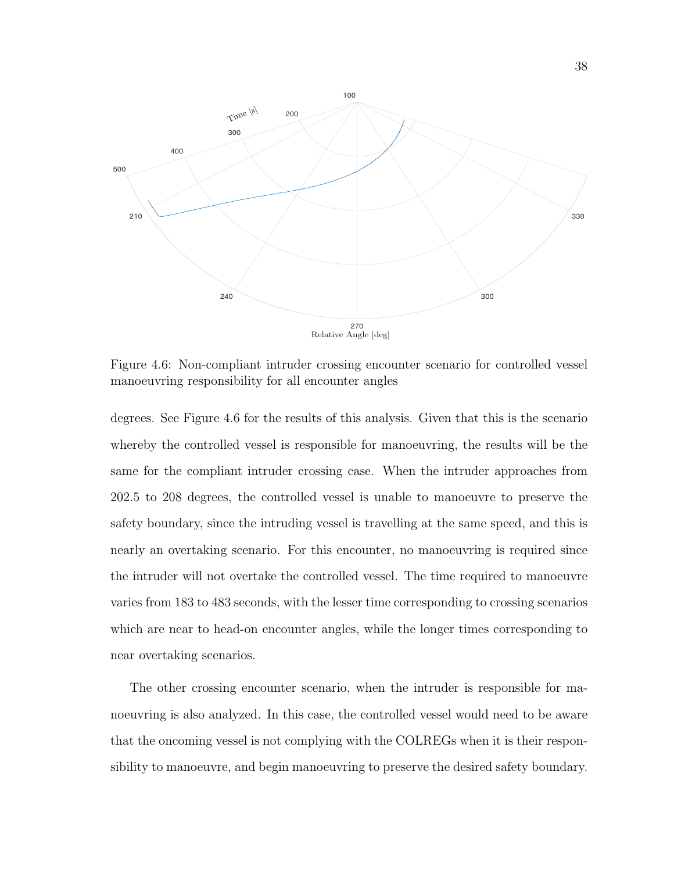

Figure 4.6: Non-compliant intruder crossing encounter scenario for controlled vessel manoeuvring responsibility for all encounter angles

degrees. See Figure 4.6 for the results of this analysis. Given that this is the scenario whereby the controlled vessel is responsible for manoeuvring, the results will be the same for the compliant intruder crossing case. When the intruder approaches from 202.5 to 208 degrees, the controlled vessel is unable to manoeuvre to preserve the safety boundary, since the intruding vessel is travelling at the same speed, and this is nearly an overtaking scenario. For this encounter, no manoeuvring is required since the intruder will not overtake the controlled vessel. The time required to manoeuvre varies from 183 to 483 seconds, with the lesser time corresponding to crossing scenarios which are near to head-on encounter angles, while the longer times corresponding to near overtaking scenarios.

The other crossing encounter scenario, when the intruder is responsible for manoeuvring is also analyzed. In this case, the controlled vessel would need to be aware that the oncoming vessel is not complying with the COLREGs when it is their responsibility to manoeuvre, and begin manoeuvring to preserve the desired safety boundary.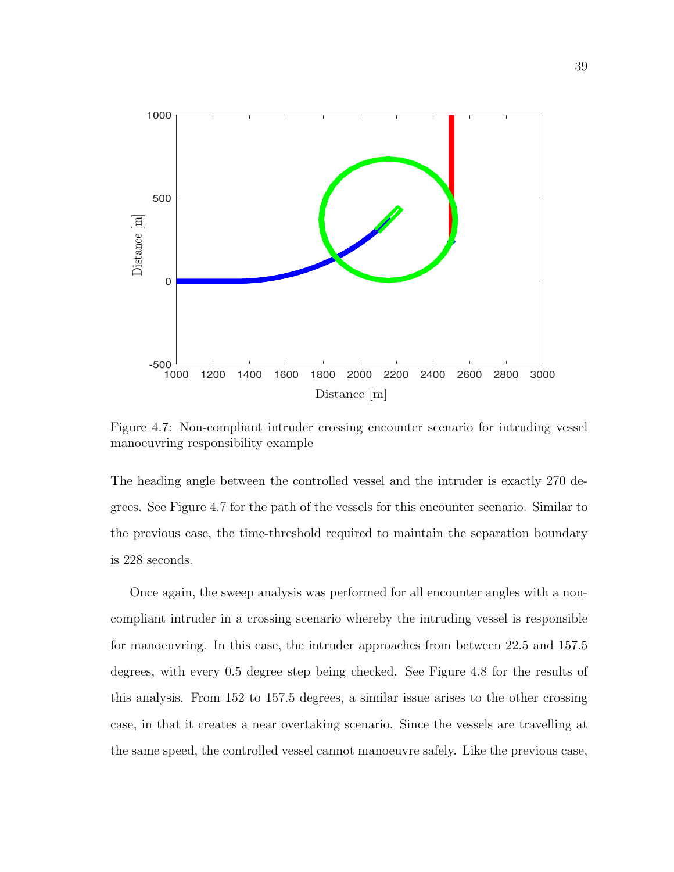

Figure 4.7: Non-compliant intruder crossing encounter scenario for intruding vessel manoeuvring responsibility example

The heading angle between the controlled vessel and the intruder is exactly 270 degrees. See Figure 4.7 for the path of the vessels for this encounter scenario. Similar to the previous case, the time-threshold required to maintain the separation boundary is 228 seconds.

Once again, the sweep analysis was performed for all encounter angles with a noncompliant intruder in a crossing scenario whereby the intruding vessel is responsible for manoeuvring. In this case, the intruder approaches from between 22.5 and 157.5 degrees, with every 0.5 degree step being checked. See Figure 4.8 for the results of this analysis. From 152 to 157.5 degrees, a similar issue arises to the other crossing case, in that it creates a near overtaking scenario. Since the vessels are travelling at the same speed, the controlled vessel cannot manoeuvre safely. Like the previous case,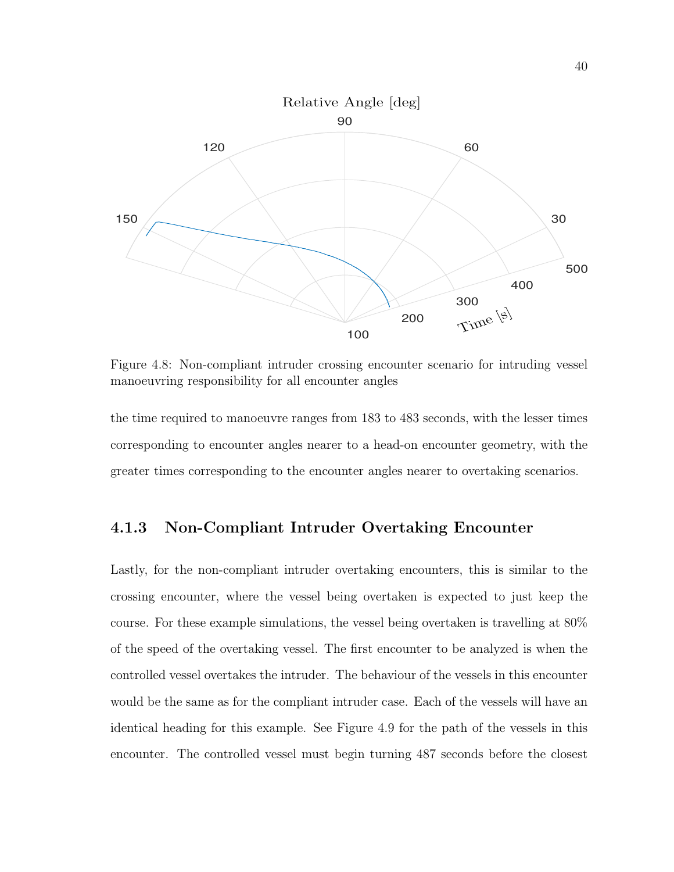

Figure 4.8: Non-compliant intruder crossing encounter scenario for intruding vessel manoeuvring responsibility for all encounter angles

the time required to manoeuvre ranges from 183 to 483 seconds, with the lesser times corresponding to encounter angles nearer to a head-on encounter geometry, with the greater times corresponding to the encounter angles nearer to overtaking scenarios.

#### 4.1.3 Non-Compliant Intruder Overtaking Encounter

Lastly, for the non-compliant intruder overtaking encounters, this is similar to the crossing encounter, where the vessel being overtaken is expected to just keep the course. For these example simulations, the vessel being overtaken is travelling at 80% of the speed of the overtaking vessel. The first encounter to be analyzed is when the controlled vessel overtakes the intruder. The behaviour of the vessels in this encounter would be the same as for the compliant intruder case. Each of the vessels will have an identical heading for this example. See Figure 4.9 for the path of the vessels in this encounter. The controlled vessel must begin turning 487 seconds before the closest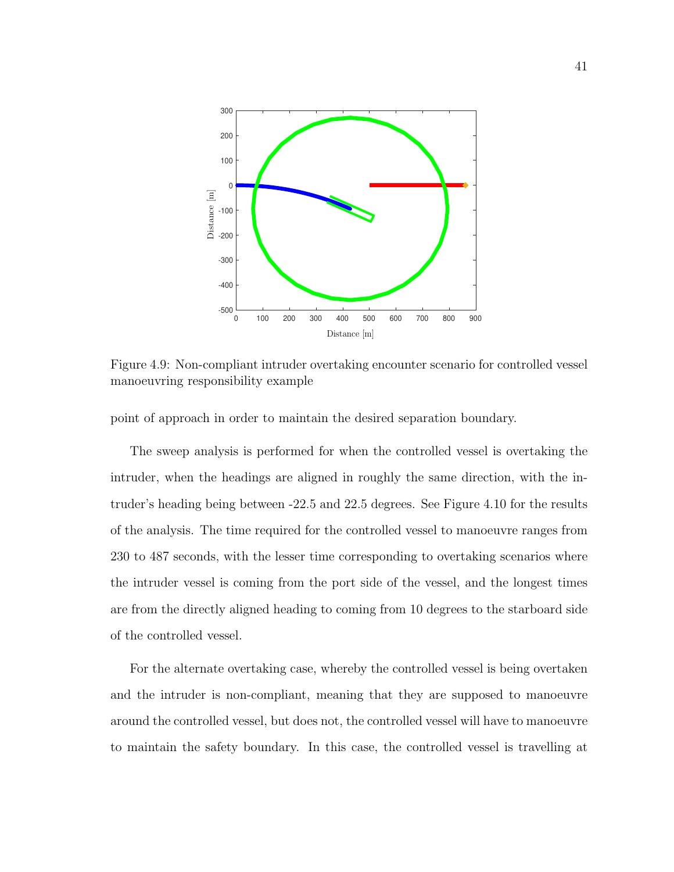

Figure 4.9: Non-compliant intruder overtaking encounter scenario for controlled vessel manoeuvring responsibility example

point of approach in order to maintain the desired separation boundary.

The sweep analysis is performed for when the controlled vessel is overtaking the intruder, when the headings are aligned in roughly the same direction, with the intruder's heading being between -22.5 and 22.5 degrees. See Figure 4.10 for the results of the analysis. The time required for the controlled vessel to manoeuvre ranges from 230 to 487 seconds, with the lesser time corresponding to overtaking scenarios where the intruder vessel is coming from the port side of the vessel, and the longest times are from the directly aligned heading to coming from 10 degrees to the starboard side of the controlled vessel.

For the alternate overtaking case, whereby the controlled vessel is being overtaken and the intruder is non-compliant, meaning that they are supposed to manoeuvre around the controlled vessel, but does not, the controlled vessel will have to manoeuvre to maintain the safety boundary. In this case, the controlled vessel is travelling at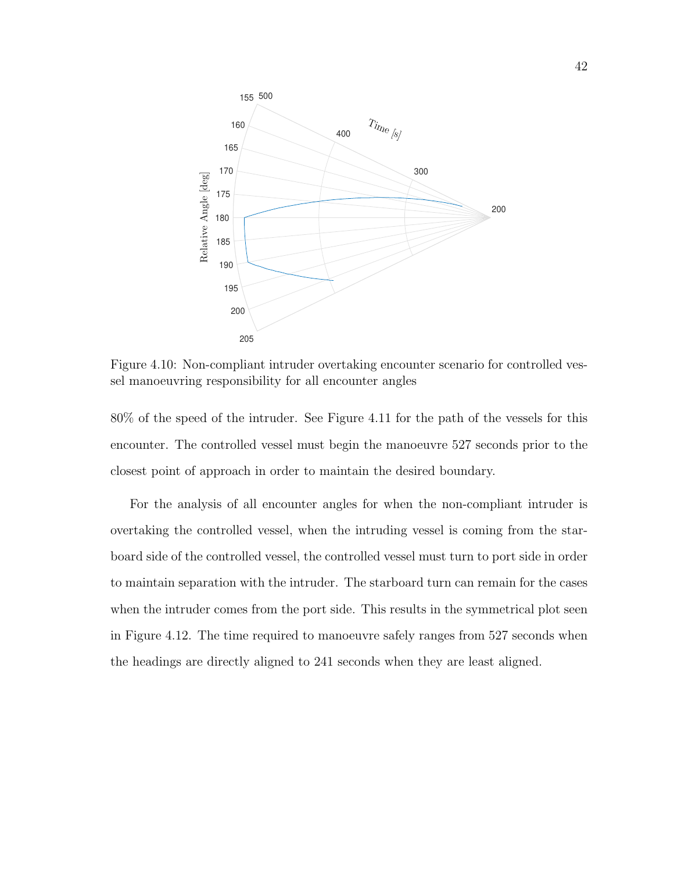

Figure 4.10: Non-compliant intruder overtaking encounter scenario for controlled vessel manoeuvring responsibility for all encounter angles

80% of the speed of the intruder. See Figure 4.11 for the path of the vessels for this encounter. The controlled vessel must begin the manoeuvre 527 seconds prior to the closest point of approach in order to maintain the desired boundary.

For the analysis of all encounter angles for when the non-compliant intruder is overtaking the controlled vessel, when the intruding vessel is coming from the starboard side of the controlled vessel, the controlled vessel must turn to port side in order to maintain separation with the intruder. The starboard turn can remain for the cases when the intruder comes from the port side. This results in the symmetrical plot seen in Figure 4.12. The time required to manoeuvre safely ranges from 527 seconds when the headings are directly aligned to 241 seconds when they are least aligned.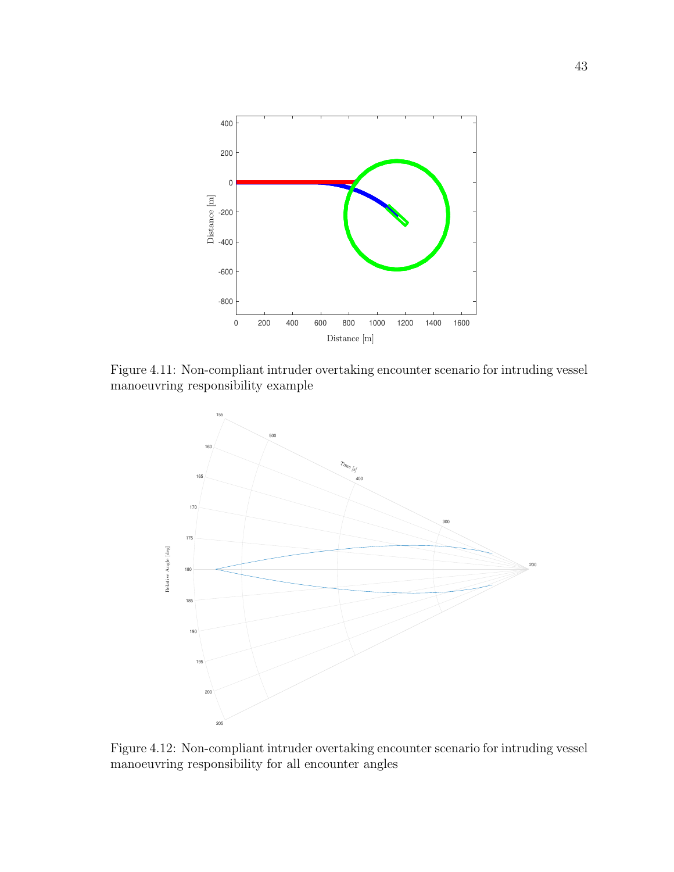

Figure 4.11: Non-compliant intruder overtaking encounter scenario for intruding vessel manoeuvring responsibility example



Figure 4.12: Non-compliant intruder overtaking encounter scenario for intruding vessel manoeuvring responsibility for all encounter angles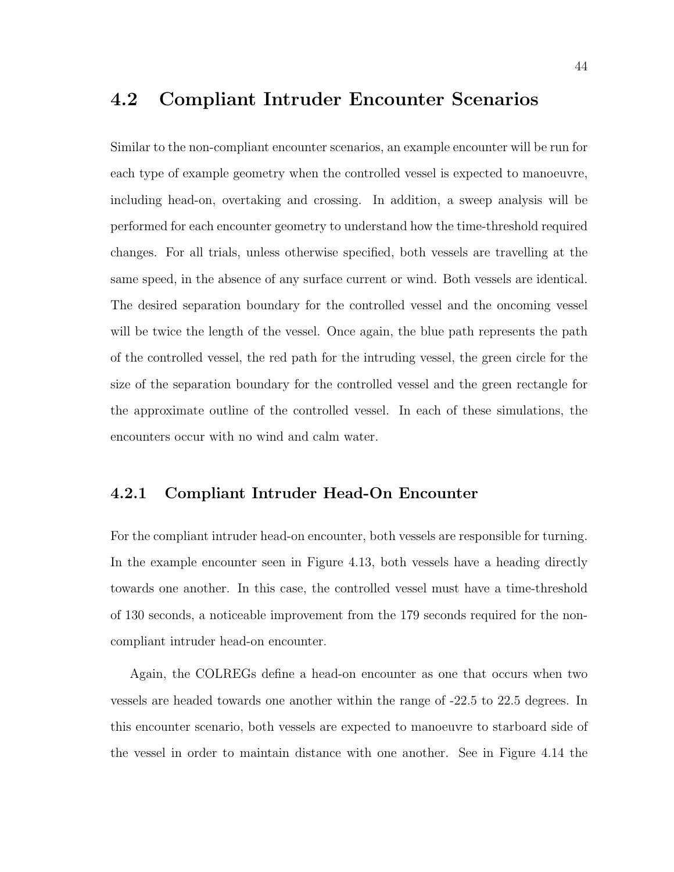### 4.2 Compliant Intruder Encounter Scenarios

Similar to the non-compliant encounter scenarios, an example encounter will be run for each type of example geometry when the controlled vessel is expected to manoeuvre, including head-on, overtaking and crossing. In addition, a sweep analysis will be performed for each encounter geometry to understand how the time-threshold required changes. For all trials, unless otherwise specified, both vessels are travelling at the same speed, in the absence of any surface current or wind. Both vessels are identical. The desired separation boundary for the controlled vessel and the oncoming vessel will be twice the length of the vessel. Once again, the blue path represents the path of the controlled vessel, the red path for the intruding vessel, the green circle for the size of the separation boundary for the controlled vessel and the green rectangle for the approximate outline of the controlled vessel. In each of these simulations, the encounters occur with no wind and calm water.

#### 4.2.1 Compliant Intruder Head-On Encounter

For the compliant intruder head-on encounter, both vessels are responsible for turning. In the example encounter seen in Figure 4.13, both vessels have a heading directly towards one another. In this case, the controlled vessel must have a time-threshold of 130 seconds, a noticeable improvement from the 179 seconds required for the noncompliant intruder head-on encounter.

Again, the COLREGs define a head-on encounter as one that occurs when two vessels are headed towards one another within the range of -22.5 to 22.5 degrees. In this encounter scenario, both vessels are expected to manoeuvre to starboard side of the vessel in order to maintain distance with one another. See in Figure 4.14 the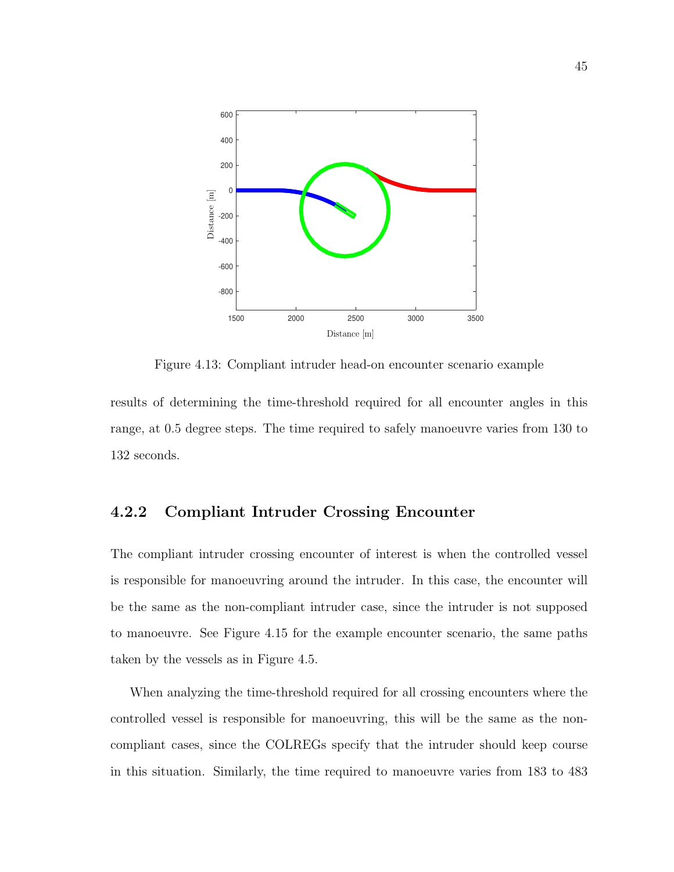

Figure 4.13: Compliant intruder head-on encounter scenario example

results of determining the time-threshold required for all encounter angles in this range, at 0.5 degree steps. The time required to safely manoeuvre varies from 130 to 132 seconds.

#### 4.2.2 Compliant Intruder Crossing Encounter

The compliant intruder crossing encounter of interest is when the controlled vessel is responsible for manoeuvring around the intruder. In this case, the encounter will be the same as the non-compliant intruder case, since the intruder is not supposed to manoeuvre. See Figure 4.15 for the example encounter scenario, the same paths taken by the vessels as in Figure 4.5.

When analyzing the time-threshold required for all crossing encounters where the controlled vessel is responsible for manoeuvring, this will be the same as the noncompliant cases, since the COLREGs specify that the intruder should keep course in this situation. Similarly, the time required to manoeuvre varies from 183 to 483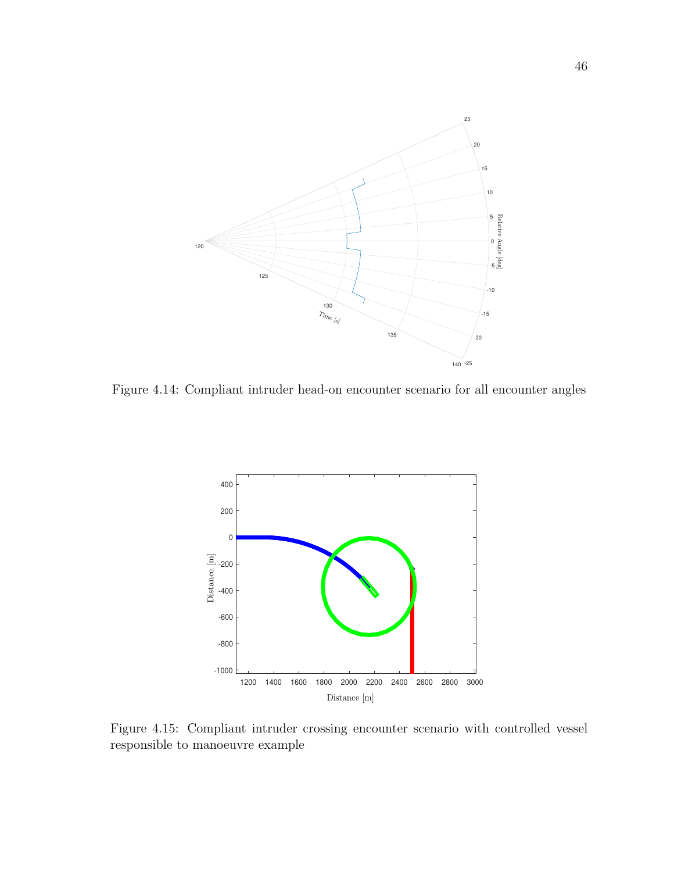

Figure 4.14: Compliant intruder head-on encounter scenario for all encounter angles



Figure 4.15: Compliant intruder crossing encounter scenario with controlled vessel responsible to manoeuvre example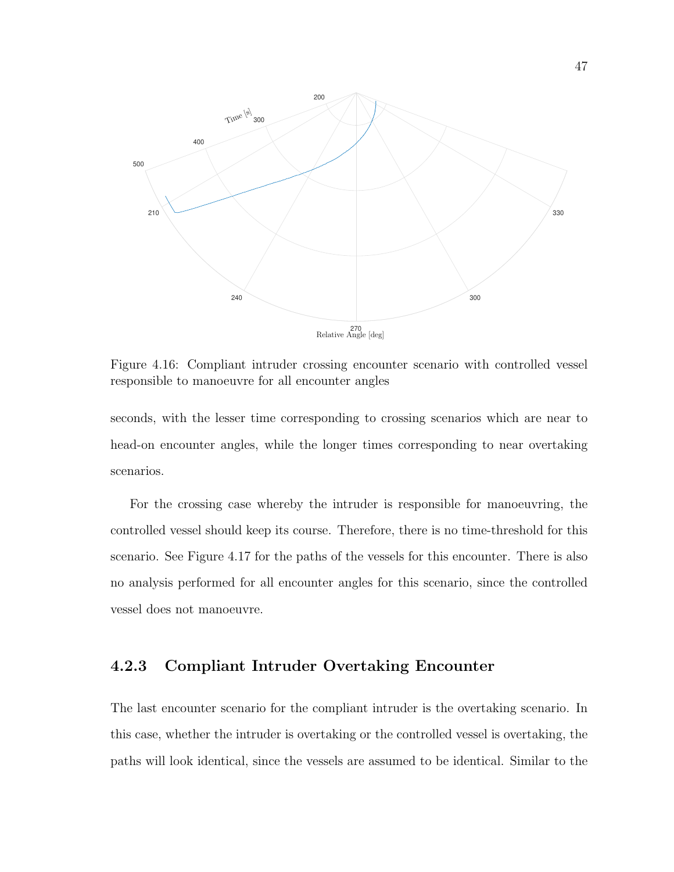

Figure 4.16: Compliant intruder crossing encounter scenario with controlled vessel responsible to manoeuvre for all encounter angles

seconds, with the lesser time corresponding to crossing scenarios which are near to head-on encounter angles, while the longer times corresponding to near overtaking scenarios.

For the crossing case whereby the intruder is responsible for manoeuvring, the controlled vessel should keep its course. Therefore, there is no time-threshold for this scenario. See Figure 4.17 for the paths of the vessels for this encounter. There is also no analysis performed for all encounter angles for this scenario, since the controlled vessel does not manoeuvre.

#### 4.2.3 Compliant Intruder Overtaking Encounter

The last encounter scenario for the compliant intruder is the overtaking scenario. In this case, whether the intruder is overtaking or the controlled vessel is overtaking, the paths will look identical, since the vessels are assumed to be identical. Similar to the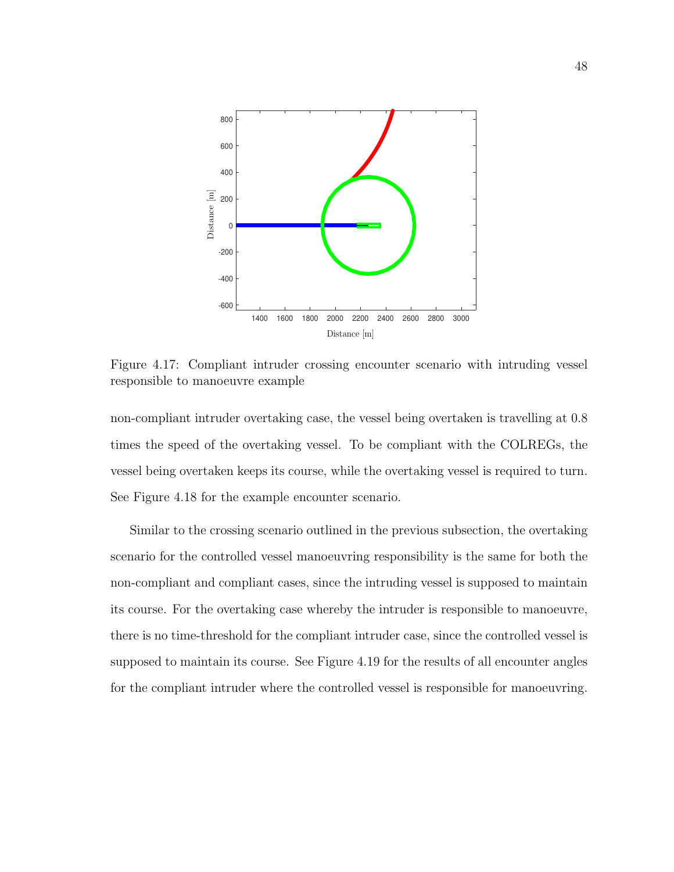

Figure 4.17: Compliant intruder crossing encounter scenario with intruding vessel responsible to manoeuvre example

non-compliant intruder overtaking case, the vessel being overtaken is travelling at 0.8 times the speed of the overtaking vessel. To be compliant with the COLREGs, the vessel being overtaken keeps its course, while the overtaking vessel is required to turn. See Figure 4.18 for the example encounter scenario.

Similar to the crossing scenario outlined in the previous subsection, the overtaking scenario for the controlled vessel manoeuvring responsibility is the same for both the non-compliant and compliant cases, since the intruding vessel is supposed to maintain its course. For the overtaking case whereby the intruder is responsible to manoeuvre, there is no time-threshold for the compliant intruder case, since the controlled vessel is supposed to maintain its course. See Figure 4.19 for the results of all encounter angles for the compliant intruder where the controlled vessel is responsible for manoeuvring.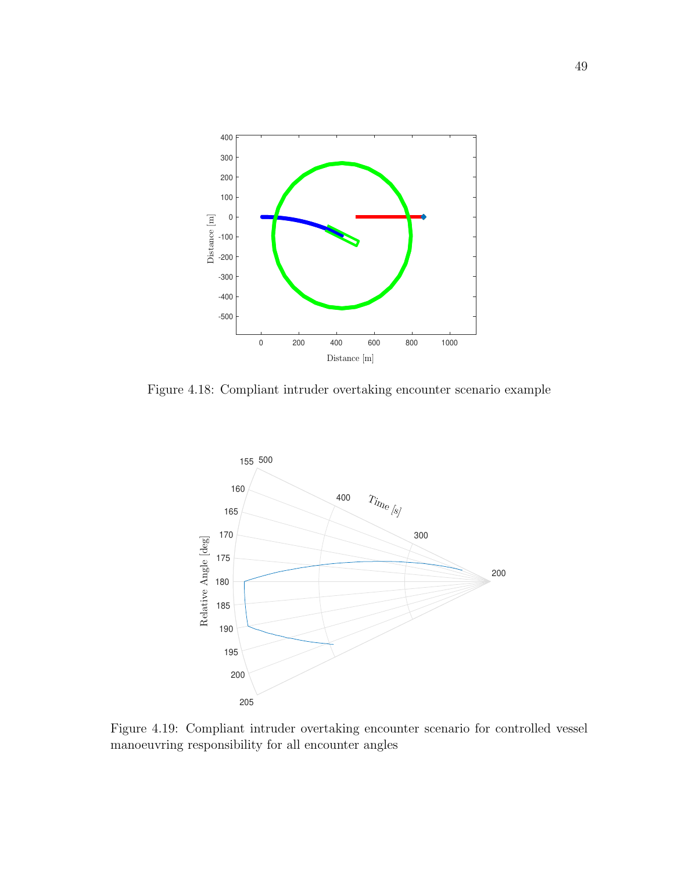

Figure 4.18: Compliant intruder overtaking encounter scenario example



Figure 4.19: Compliant intruder overtaking encounter scenario for controlled vessel manoeuvring responsibility for all encounter angles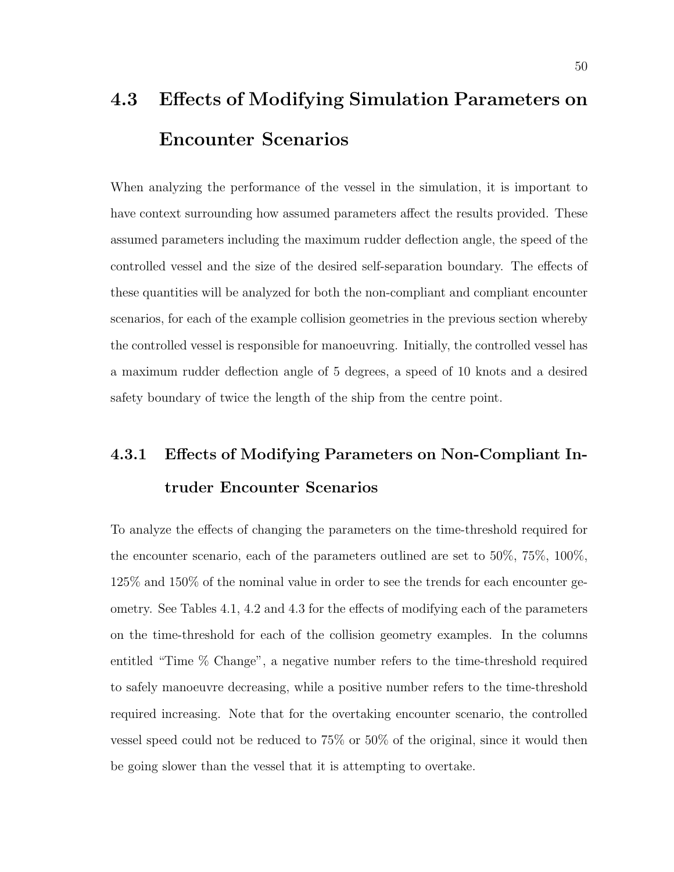# 4.3 Effects of Modifying Simulation Parameters on Encounter Scenarios

When analyzing the performance of the vessel in the simulation, it is important to have context surrounding how assumed parameters affect the results provided. These assumed parameters including the maximum rudder deflection angle, the speed of the controlled vessel and the size of the desired self-separation boundary. The effects of these quantities will be analyzed for both the non-compliant and compliant encounter scenarios, for each of the example collision geometries in the previous section whereby the controlled vessel is responsible for manoeuvring. Initially, the controlled vessel has a maximum rudder deflection angle of 5 degrees, a speed of 10 knots and a desired safety boundary of twice the length of the ship from the centre point.

## 4.3.1 Effects of Modifying Parameters on Non-Compliant Intruder Encounter Scenarios

To analyze the effects of changing the parameters on the time-threshold required for the encounter scenario, each of the parameters outlined are set to 50%, 75%, 100%, 125% and 150% of the nominal value in order to see the trends for each encounter geometry. See Tables 4.1, 4.2 and 4.3 for the effects of modifying each of the parameters on the time-threshold for each of the collision geometry examples. In the columns entitled "Time % Change", a negative number refers to the time-threshold required to safely manoeuvre decreasing, while a positive number refers to the time-threshold required increasing. Note that for the overtaking encounter scenario, the controlled vessel speed could not be reduced to 75% or 50% of the original, since it would then be going slower than the vessel that it is attempting to overtake.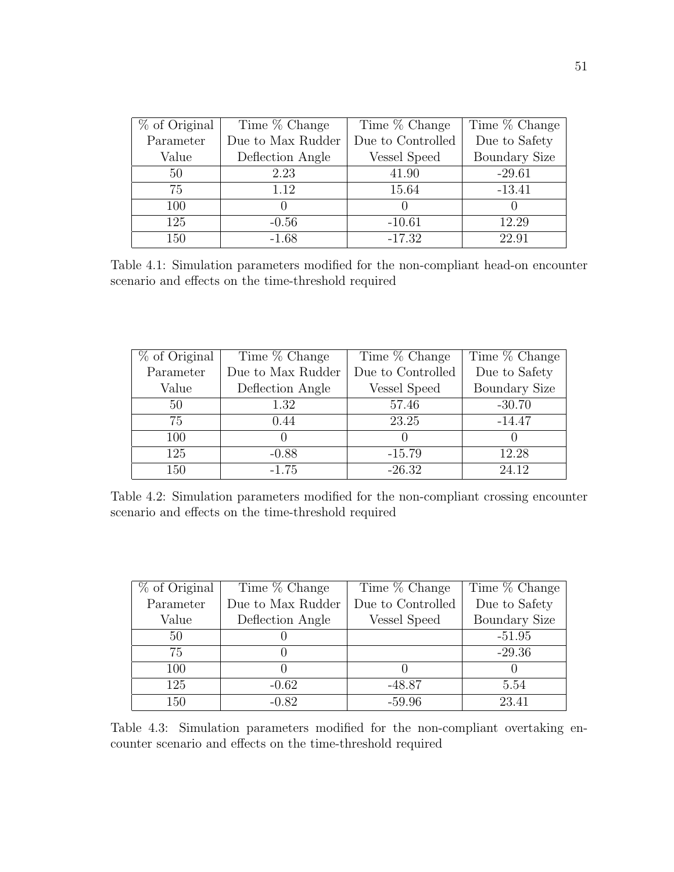| $%$ of Original | Time % Change     | Time % Change     | Time % Change        |
|-----------------|-------------------|-------------------|----------------------|
| Parameter       | Due to Max Rudder | Due to Controlled | Due to Safety        |
| Value           | Deflection Angle  | Vessel Speed      | <b>Boundary Size</b> |
| 50              | 2.23              | 41.90             | $-29.61$             |
| 75              | 1.12              | 15.64             | $-13.41$             |
| 100             |                   |                   |                      |
| 125             | $-0.56$           | $-10.61$          | 12.29                |
| 150             | $-1.68$           | $-17.32$          | 22.91                |

Table 4.1: Simulation parameters modified for the non-compliant head-on encounter scenario and effects on the time-threshold required

| $%$ of Original | Time % Change     | Time % Change     | Time % Change        |
|-----------------|-------------------|-------------------|----------------------|
| Parameter       | Due to Max Rudder | Due to Controlled | Due to Safety        |
| Value           | Deflection Angle  | Vessel Speed      | <b>Boundary Size</b> |
| 50              | 1.32              | 57.46             | $-30.70$             |
| 75              | 0.44              | 23.25             | $-14.47$             |
| 100             |                   |                   |                      |
| 125             | $-0.88$           | $-15.79$          | 12.28                |
| 150             | $-1.75$           | $-26.32$          | 24.12                |

Table 4.2: Simulation parameters modified for the non-compliant crossing encounter scenario and effects on the time-threshold required

| $%$ of Original | Time % Change     | Time % Change     | Time % Change        |
|-----------------|-------------------|-------------------|----------------------|
| Parameter       | Due to Max Rudder | Due to Controlled | Due to Safety        |
| Value           | Deflection Angle  | Vessel Speed      | <b>Boundary Size</b> |
| 50              |                   |                   | $-51.95$             |
| 75              |                   |                   | $-29.36$             |
| 100             |                   |                   |                      |
| 125             | $-0.62$           | $-48.87$          | 5.54                 |
| 150             | $-0.82$           | $-59.96$          | 23.41                |

Table 4.3: Simulation parameters modified for the non-compliant overtaking encounter scenario and effects on the time-threshold required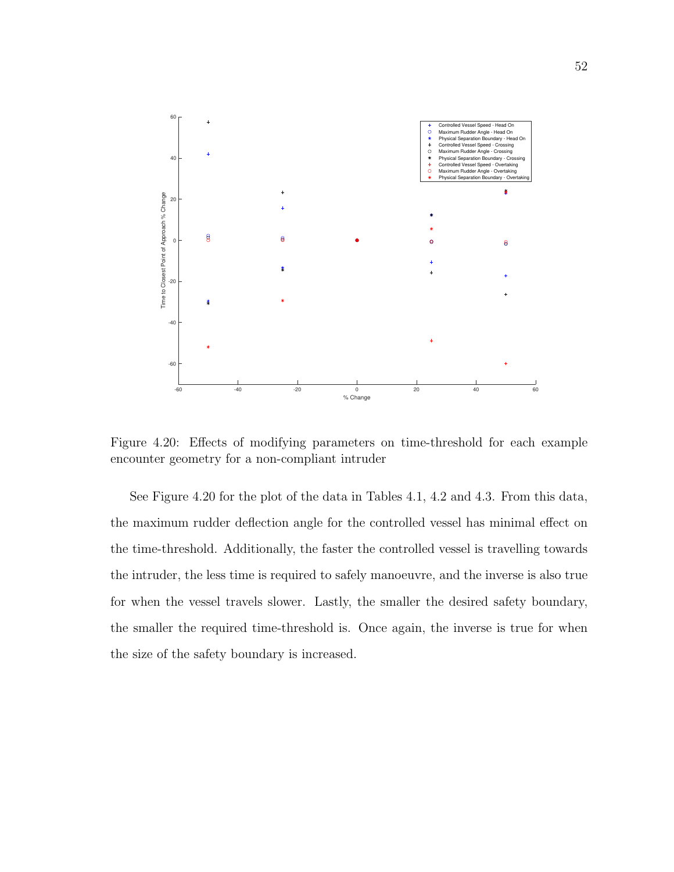

Figure 4.20: Effects of modifying parameters on time-threshold for each example encounter geometry for a non-compliant intruder

See Figure 4.20 for the plot of the data in Tables 4.1, 4.2 and 4.3. From this data, the maximum rudder deflection angle for the controlled vessel has minimal effect on the time-threshold. Additionally, the faster the controlled vessel is travelling towards the intruder, the less time is required to safely manoeuvre, and the inverse is also true for when the vessel travels slower. Lastly, the smaller the desired safety boundary, the smaller the required time-threshold is. Once again, the inverse is true for when the size of the safety boundary is increased.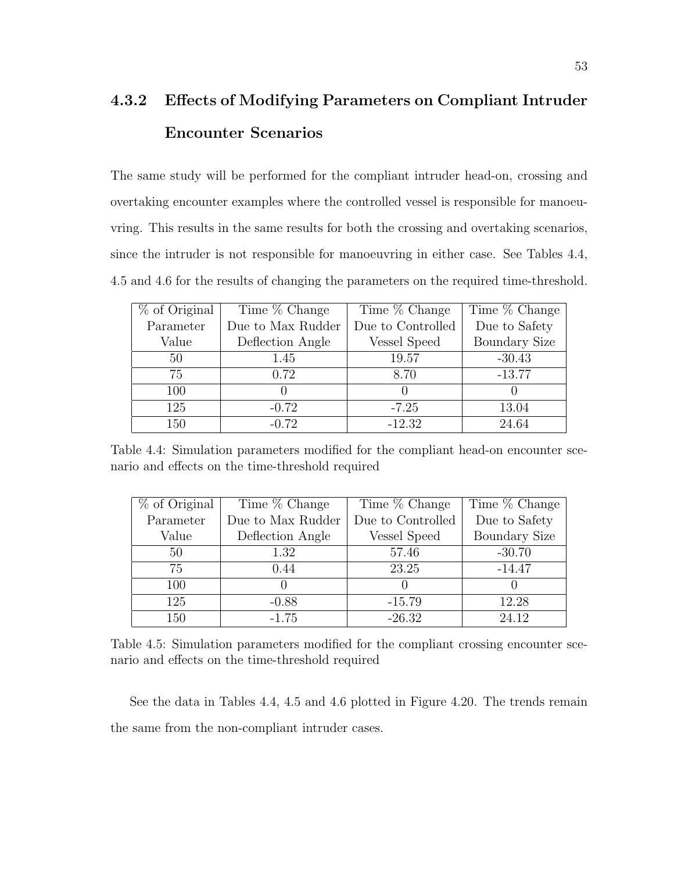## 4.3.2 Effects of Modifying Parameters on Compliant Intruder Encounter Scenarios

The same study will be performed for the compliant intruder head-on, crossing and overtaking encounter examples where the controlled vessel is responsible for manoeuvring. This results in the same results for both the crossing and overtaking scenarios, since the intruder is not responsible for manoeuvring in either case. See Tables 4.4, 4.5 and 4.6 for the results of changing the parameters on the required time-threshold.

| % of Original | Time % Change     | Time % Change     | Time % Change        |
|---------------|-------------------|-------------------|----------------------|
| Parameter     | Due to Max Rudder | Due to Controlled | Due to Safety        |
| Value         | Deflection Angle  | Vessel Speed      | <b>Boundary Size</b> |
| 50            | 1.45              | 19.57             | $-30.43$             |
| 75            | 0.72              | 8.70              | $-13.77$             |
| 100           |                   | $\left( \right)$  |                      |
| 125           | $-0.72$           | $-7.25$           | 13.04                |
| 150           | $-0.72$           | $-12.32$          | 24.64                |

Table 4.4: Simulation parameters modified for the compliant head-on encounter scenario and effects on the time-threshold required

| $%$ of Original | Time % Change     | Time % Change     | Time % Change        |
|-----------------|-------------------|-------------------|----------------------|
| Parameter       | Due to Max Rudder | Due to Controlled | Due to Safety        |
| Value           | Deflection Angle  | Vessel Speed      | <b>Boundary Size</b> |
| 50              | 1.32              | 57.46             | $-30.70$             |
| 75              | 0.44              | 23.25             | $-14.47$             |
| 100             |                   |                   |                      |
| 125             | $-0.88$           | $-15.79$          | 12.28                |
| 150             | $-1.75$           | $-26.32$          | 24.12                |

Table 4.5: Simulation parameters modified for the compliant crossing encounter scenario and effects on the time-threshold required

See the data in Tables 4.4, 4.5 and 4.6 plotted in Figure 4.20. The trends remain the same from the non-compliant intruder cases.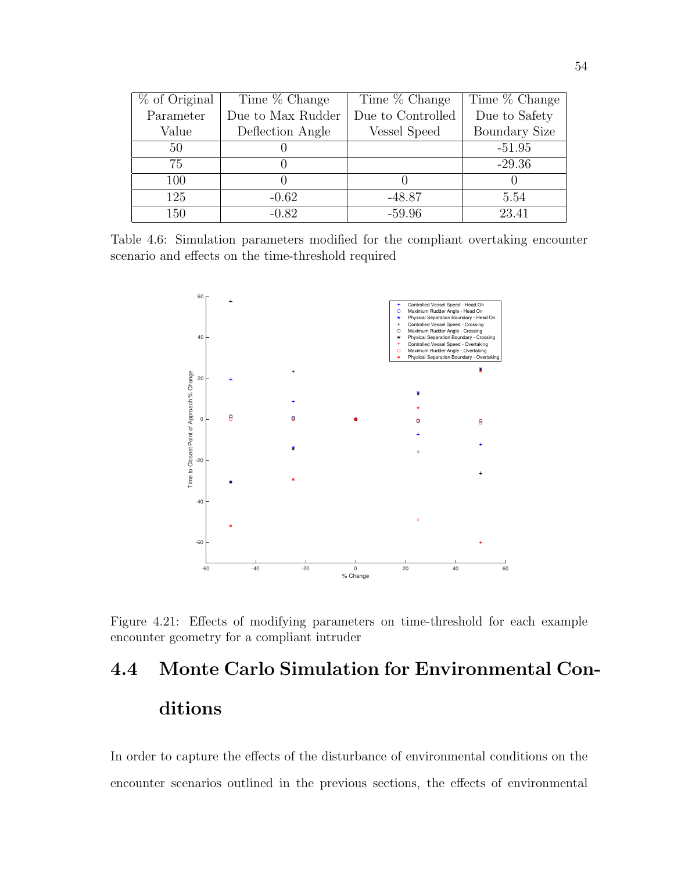| % of Original | Time % Change     | Time % Change     | Time % Change        |
|---------------|-------------------|-------------------|----------------------|
| Parameter     | Due to Max Rudder | Due to Controlled | Due to Safety        |
| Value         | Deflection Angle  | Vessel Speed      | <b>Boundary Size</b> |
| 50            |                   |                   | $-51.95$             |
| 75            |                   |                   | $-29.36$             |
| 100           |                   |                   |                      |
| 125           | $-0.62$           | $-48.87$          | 5.54                 |
| 150           | $-0.82$           | $-59.96$          | 23.41                |

Table 4.6: Simulation parameters modified for the compliant overtaking encounter scenario and effects on the time-threshold required



Figure 4.21: Effects of modifying parameters on time-threshold for each example encounter geometry for a compliant intruder

# 4.4 Monte Carlo Simulation for Environmental Conditions

In order to capture the effects of the disturbance of environmental conditions on the encounter scenarios outlined in the previous sections, the effects of environmental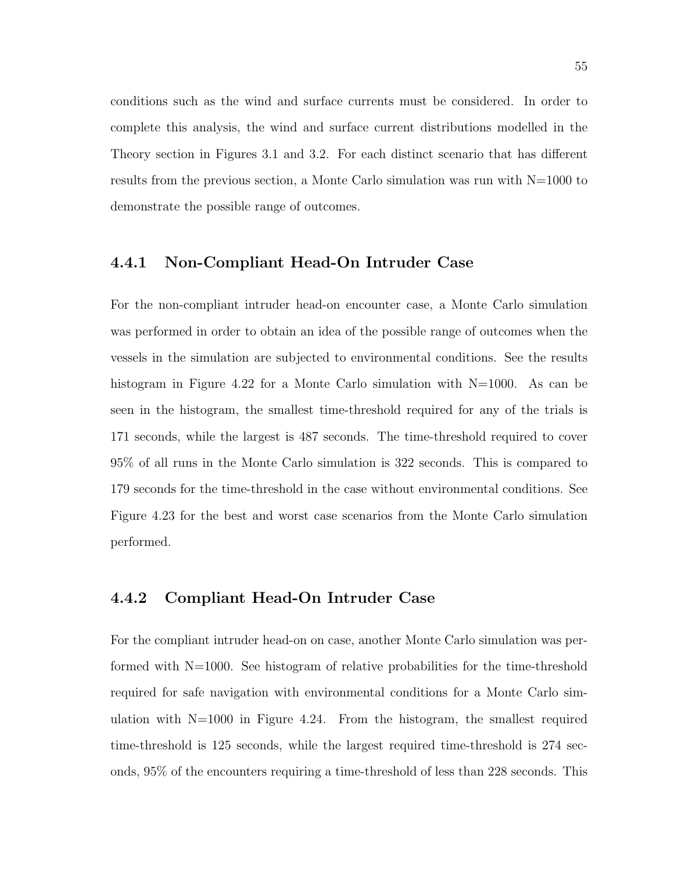conditions such as the wind and surface currents must be considered. In order to complete this analysis, the wind and surface current distributions modelled in the Theory section in Figures 3.1 and 3.2. For each distinct scenario that has different results from the previous section, a Monte Carlo simulation was run with N=1000 to demonstrate the possible range of outcomes.

#### 4.4.1 Non-Compliant Head-On Intruder Case

For the non-compliant intruder head-on encounter case, a Monte Carlo simulation was performed in order to obtain an idea of the possible range of outcomes when the vessels in the simulation are subjected to environmental conditions. See the results histogram in Figure 4.22 for a Monte Carlo simulation with  $N=1000$ . As can be seen in the histogram, the smallest time-threshold required for any of the trials is 171 seconds, while the largest is 487 seconds. The time-threshold required to cover 95% of all runs in the Monte Carlo simulation is 322 seconds. This is compared to 179 seconds for the time-threshold in the case without environmental conditions. See Figure 4.23 for the best and worst case scenarios from the Monte Carlo simulation performed.

#### 4.4.2 Compliant Head-On Intruder Case

For the compliant intruder head-on on case, another Monte Carlo simulation was performed with  $N=1000$ . See histogram of relative probabilities for the time-threshold required for safe navigation with environmental conditions for a Monte Carlo simulation with  $N=1000$  in Figure 4.24. From the histogram, the smallest required time-threshold is 125 seconds, while the largest required time-threshold is 274 seconds, 95% of the encounters requiring a time-threshold of less than 228 seconds. This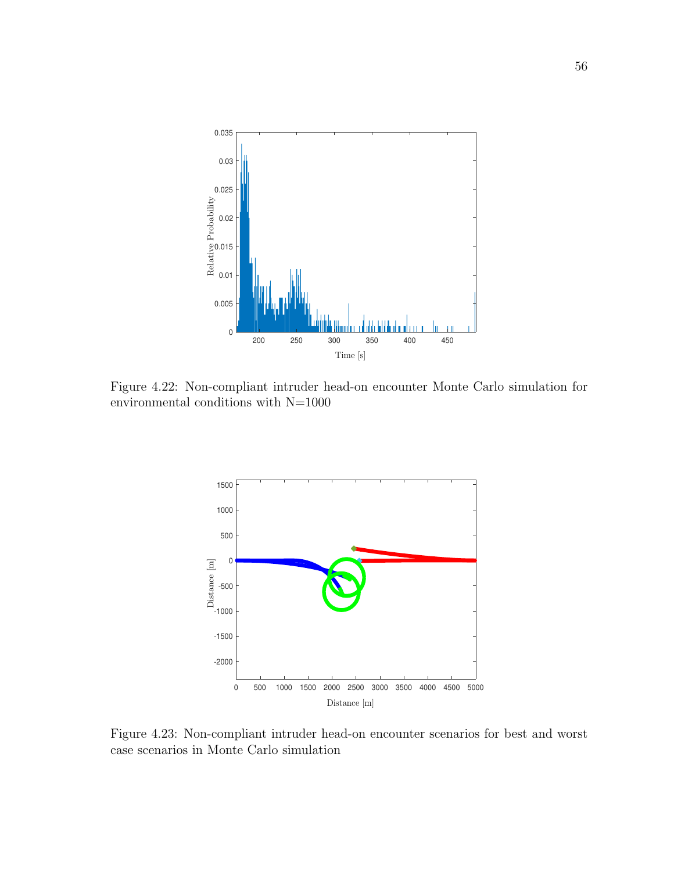

Figure 4.22: Non-compliant intruder head-on encounter Monte Carlo simulation for environmental conditions with  $\rm N{=}1000$ 



Figure 4.23: Non-compliant intruder head-on encounter scenarios for best and worst case scenarios in Monte Carlo simulation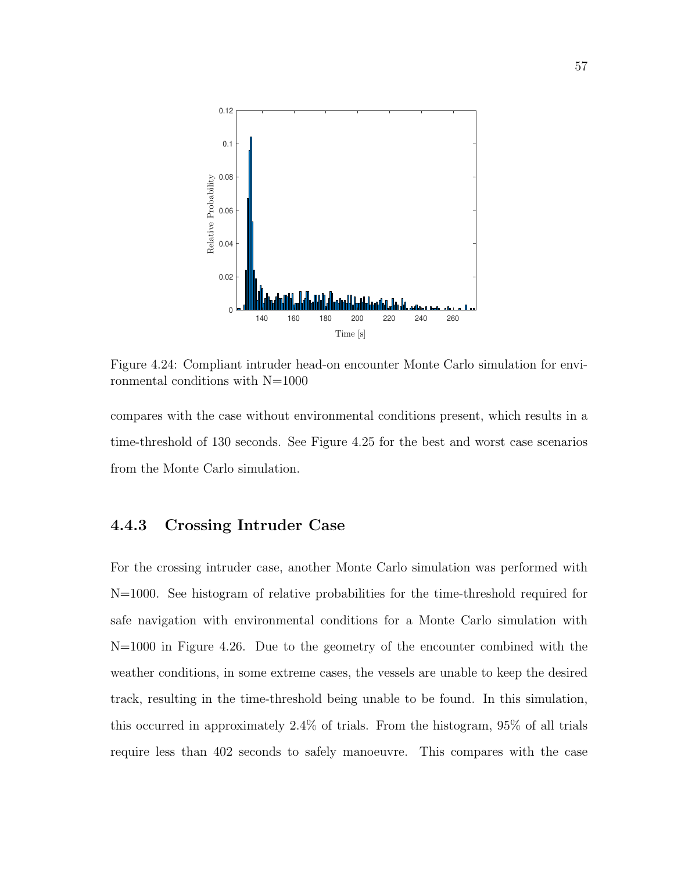

Figure 4.24: Compliant intruder head-on encounter Monte Carlo simulation for environmental conditions with N=1000

compares with the case without environmental conditions present, which results in a time-threshold of 130 seconds. See Figure 4.25 for the best and worst case scenarios from the Monte Carlo simulation.

#### 4.4.3 Crossing Intruder Case

For the crossing intruder case, another Monte Carlo simulation was performed with N=1000. See histogram of relative probabilities for the time-threshold required for safe navigation with environmental conditions for a Monte Carlo simulation with N=1000 in Figure 4.26. Due to the geometry of the encounter combined with the weather conditions, in some extreme cases, the vessels are unable to keep the desired track, resulting in the time-threshold being unable to be found. In this simulation, this occurred in approximately 2.4% of trials. From the histogram, 95% of all trials require less than 402 seconds to safely manoeuvre. This compares with the case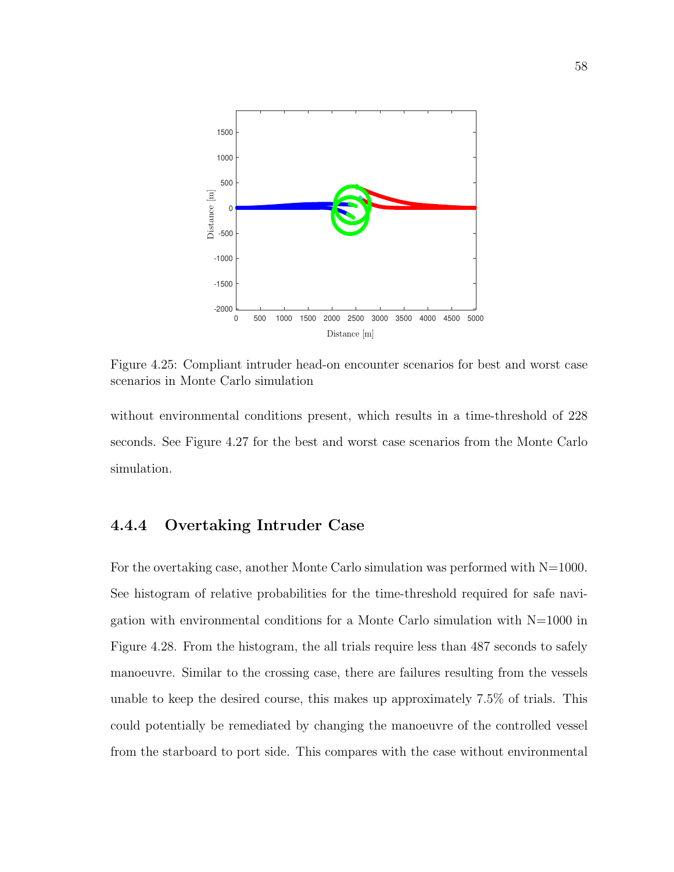

Figure 4.25: Compliant intruder head-on encounter scenarios for best and worst case scenarios in Monte Carlo simulation

without environmental conditions present, which results in a time-threshold of 228 seconds. See Figure 4.27 for the best and worst case scenarios from the Monte Carlo simulation.

#### 4.4.4 Overtaking Intruder Case

For the overtaking case, another Monte Carlo simulation was performed with  $N=1000$ . See histogram of relative probabilities for the time-threshold required for safe navigation with environmental conditions for a Monte Carlo simulation with  $N=1000$  in Figure 4.28. From the histogram, the all trials require less than 487 seconds to safely manoeuvre. Similar to the crossing case, there are failures resulting from the vessels unable to keep the desired course, this makes up approximately 7.5% of trials. This could potentially be remediated by changing the manoeuvre of the controlled vessel from the starboard to port side. This compares with the case without environmental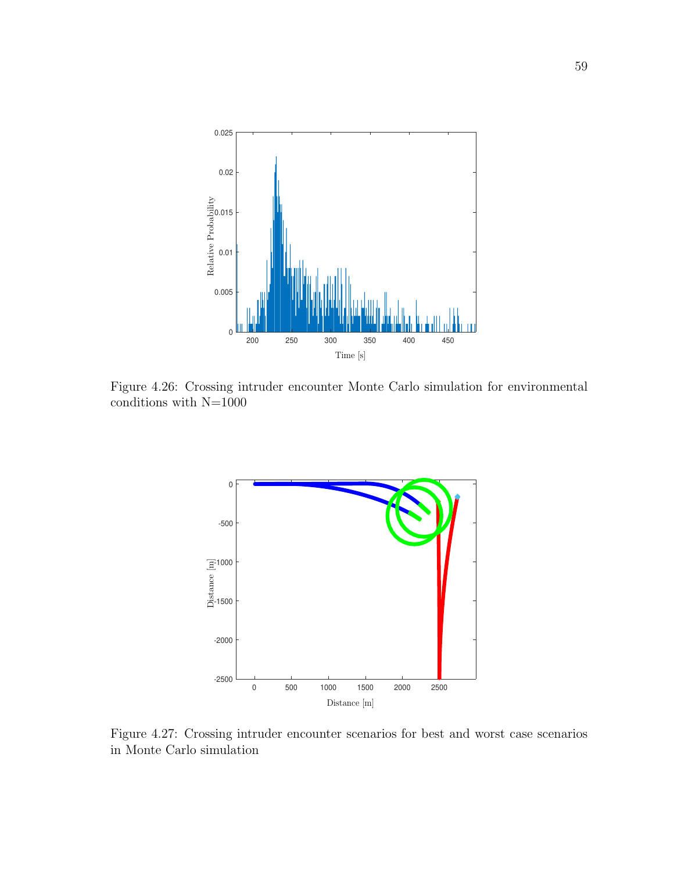

Figure 4.26: Crossing intruder encounter Monte Carlo simulation for environmental conditions with  $\rm N{=}1000$ 



Figure 4.27: Crossing intruder encounter scenarios for best and worst case scenarios in Monte Carlo simulation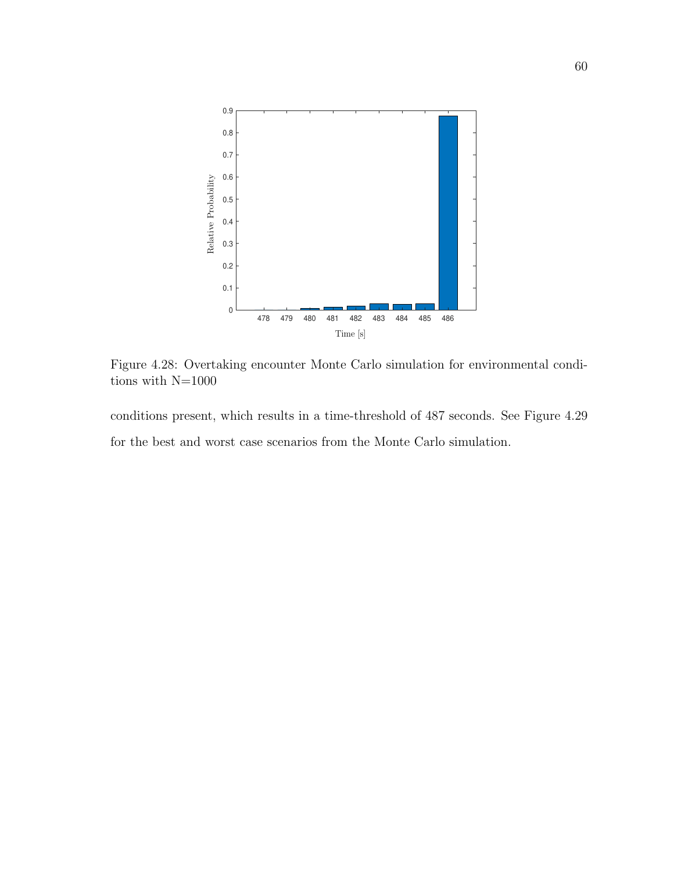

Figure 4.28: Overtaking encounter Monte Carlo simulation for environmental conditions with  $\rm N{=}1000$ 

conditions present, which results in a time-threshold of 487 seconds. See Figure 4.29 for the best and worst case scenarios from the Monte Carlo simulation.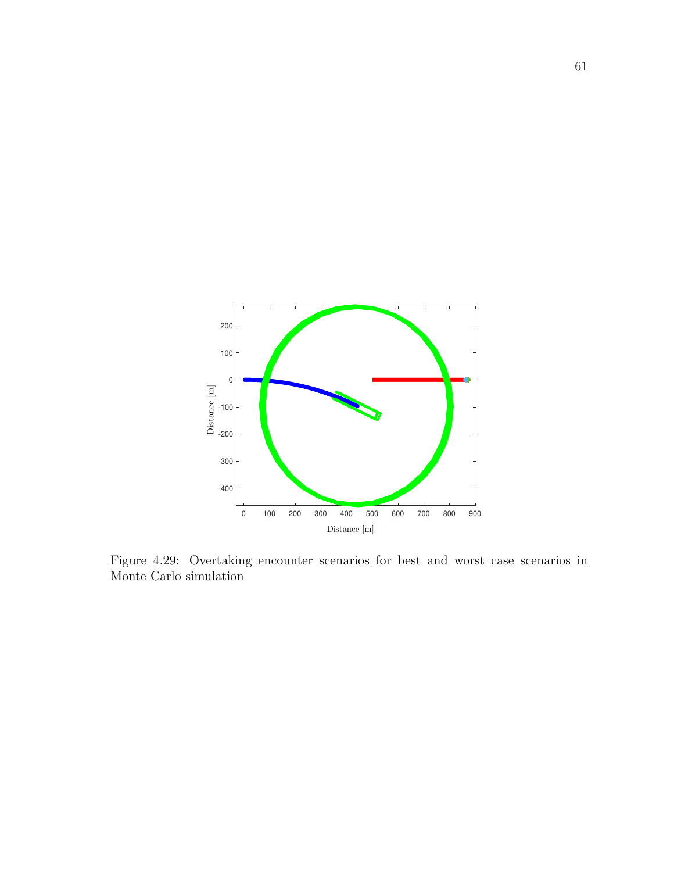

Figure 4.29: Overtaking encounter scenarios for best and worst case scenarios in Monte Carlo simulation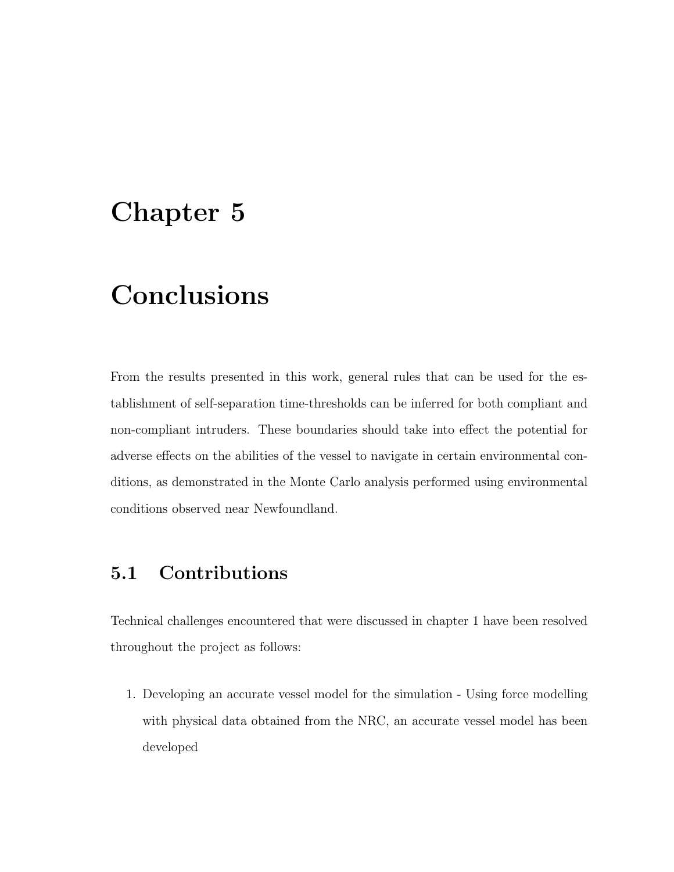### Chapter 5

## Conclusions

From the results presented in this work, general rules that can be used for the establishment of self-separation time-thresholds can be inferred for both compliant and non-compliant intruders. These boundaries should take into effect the potential for adverse effects on the abilities of the vessel to navigate in certain environmental conditions, as demonstrated in the Monte Carlo analysis performed using environmental conditions observed near Newfoundland.

### 5.1 Contributions

Technical challenges encountered that were discussed in chapter 1 have been resolved throughout the project as follows:

1. Developing an accurate vessel model for the simulation - Using force modelling with physical data obtained from the NRC, an accurate vessel model has been developed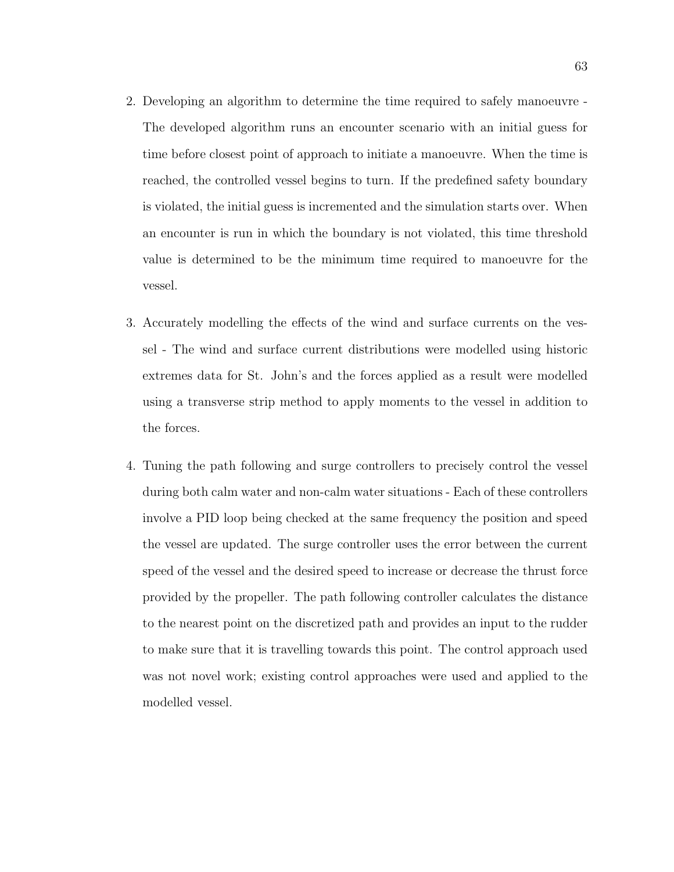- 2. Developing an algorithm to determine the time required to safely manoeuvre The developed algorithm runs an encounter scenario with an initial guess for time before closest point of approach to initiate a manoeuvre. When the time is reached, the controlled vessel begins to turn. If the predefined safety boundary is violated, the initial guess is incremented and the simulation starts over. When an encounter is run in which the boundary is not violated, this time threshold value is determined to be the minimum time required to manoeuvre for the vessel.
- 3. Accurately modelling the effects of the wind and surface currents on the vessel - The wind and surface current distributions were modelled using historic extremes data for St. John's and the forces applied as a result were modelled using a transverse strip method to apply moments to the vessel in addition to the forces.
- 4. Tuning the path following and surge controllers to precisely control the vessel during both calm water and non-calm water situations - Each of these controllers involve a PID loop being checked at the same frequency the position and speed the vessel are updated. The surge controller uses the error between the current speed of the vessel and the desired speed to increase or decrease the thrust force provided by the propeller. The path following controller calculates the distance to the nearest point on the discretized path and provides an input to the rudder to make sure that it is travelling towards this point. The control approach used was not novel work; existing control approaches were used and applied to the modelled vessel.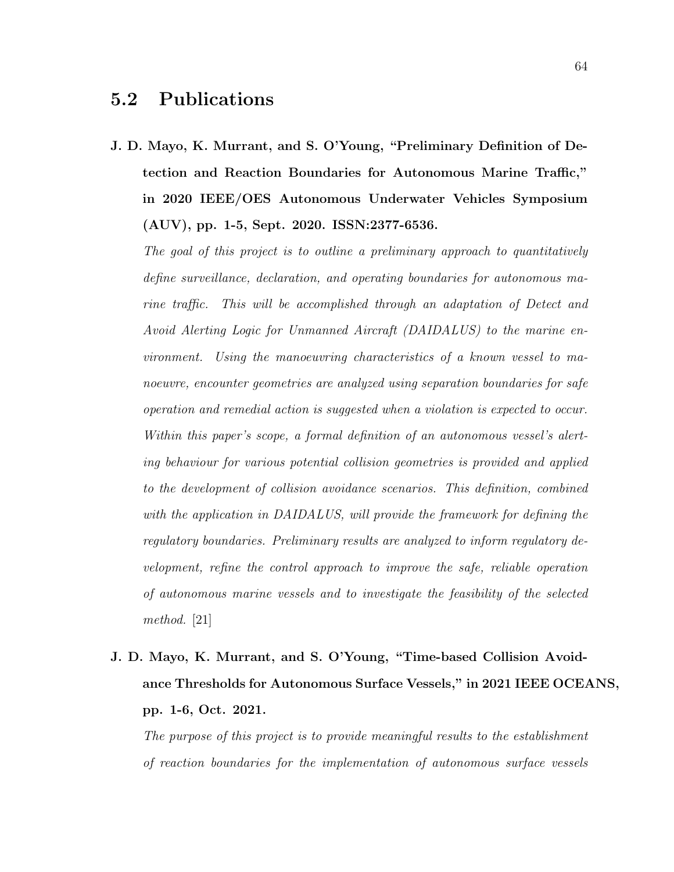#### 5.2 Publications

J. D. Mayo, K. Murrant, and S. O'Young, "Preliminary Definition of Detection and Reaction Boundaries for Autonomous Marine Traffic," in 2020 IEEE/OES Autonomous Underwater Vehicles Symposium (AUV), pp. 1-5, Sept. 2020. ISSN:2377-6536.

The goal of this project is to outline a preliminary approach to quantitatively define surveillance, declaration, and operating boundaries for autonomous marine traffic. This will be accomplished through an adaptation of Detect and Avoid Alerting Logic for Unmanned Aircraft (DAIDALUS) to the marine environment. Using the manoeuvring characteristics of a known vessel to manoeuvre, encounter geometries are analyzed using separation boundaries for safe operation and remedial action is suggested when a violation is expected to occur. Within this paper's scope, a formal definition of an autonomous vessel's alerting behaviour for various potential collision geometries is provided and applied to the development of collision avoidance scenarios. This definition, combined with the application in DAIDALUS, will provide the framework for defining the regulatory boundaries. Preliminary results are analyzed to inform regulatory development, refine the control approach to improve the safe, reliable operation of autonomous marine vessels and to investigate the feasibility of the selected method. [21]

J. D. Mayo, K. Murrant, and S. O'Young, "Time-based Collision Avoidance Thresholds for Autonomous Surface Vessels," in 2021 IEEE OCEANS, pp. 1-6, Oct. 2021.

The purpose of this project is to provide meaningful results to the establishment of reaction boundaries for the implementation of autonomous surface vessels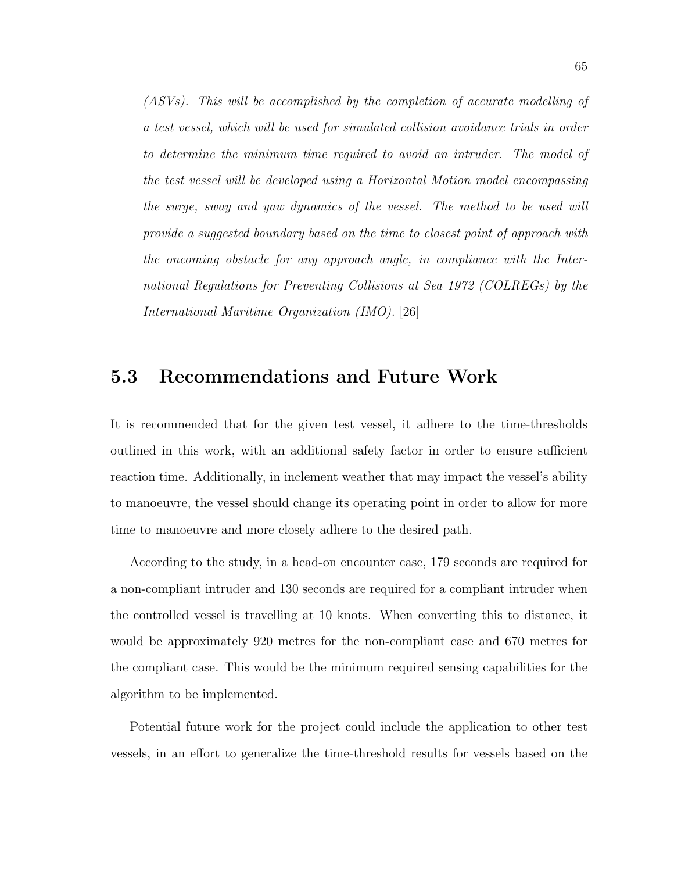(ASVs). This will be accomplished by the completion of accurate modelling of a test vessel, which will be used for simulated collision avoidance trials in order to determine the minimum time required to avoid an intruder. The model of the test vessel will be developed using a Horizontal Motion model encompassing the surge, sway and yaw dynamics of the vessel. The method to be used will provide a suggested boundary based on the time to closest point of approach with the oncoming obstacle for any approach angle, in compliance with the International Regulations for Preventing Collisions at Sea 1972 (COLREGs) by the International Maritime Organization (IMO). [26]

#### 5.3 Recommendations and Future Work

It is recommended that for the given test vessel, it adhere to the time-thresholds outlined in this work, with an additional safety factor in order to ensure sufficient reaction time. Additionally, in inclement weather that may impact the vessel's ability to manoeuvre, the vessel should change its operating point in order to allow for more time to manoeuvre and more closely adhere to the desired path.

According to the study, in a head-on encounter case, 179 seconds are required for a non-compliant intruder and 130 seconds are required for a compliant intruder when the controlled vessel is travelling at 10 knots. When converting this to distance, it would be approximately 920 metres for the non-compliant case and 670 metres for the compliant case. This would be the minimum required sensing capabilities for the algorithm to be implemented.

Potential future work for the project could include the application to other test vessels, in an effort to generalize the time-threshold results for vessels based on the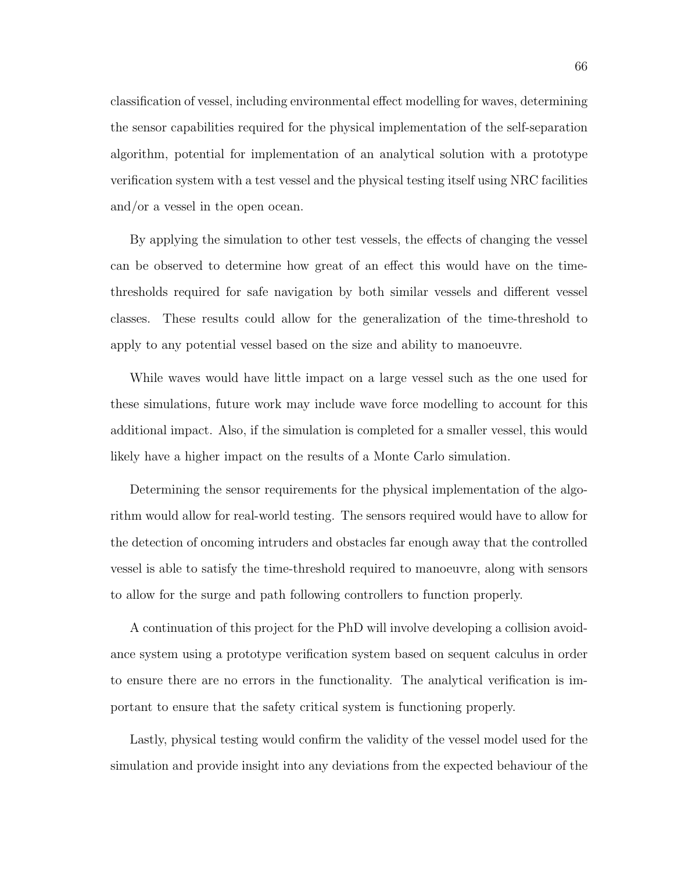classification of vessel, including environmental effect modelling for waves, determining the sensor capabilities required for the physical implementation of the self-separation algorithm, potential for implementation of an analytical solution with a prototype verification system with a test vessel and the physical testing itself using NRC facilities and/or a vessel in the open ocean.

By applying the simulation to other test vessels, the effects of changing the vessel can be observed to determine how great of an effect this would have on the timethresholds required for safe navigation by both similar vessels and different vessel classes. These results could allow for the generalization of the time-threshold to apply to any potential vessel based on the size and ability to manoeuvre.

While waves would have little impact on a large vessel such as the one used for these simulations, future work may include wave force modelling to account for this additional impact. Also, if the simulation is completed for a smaller vessel, this would likely have a higher impact on the results of a Monte Carlo simulation.

Determining the sensor requirements for the physical implementation of the algorithm would allow for real-world testing. The sensors required would have to allow for the detection of oncoming intruders and obstacles far enough away that the controlled vessel is able to satisfy the time-threshold required to manoeuvre, along with sensors to allow for the surge and path following controllers to function properly.

A continuation of this project for the PhD will involve developing a collision avoidance system using a prototype verification system based on sequent calculus in order to ensure there are no errors in the functionality. The analytical verification is important to ensure that the safety critical system is functioning properly.

Lastly, physical testing would confirm the validity of the vessel model used for the simulation and provide insight into any deviations from the expected behaviour of the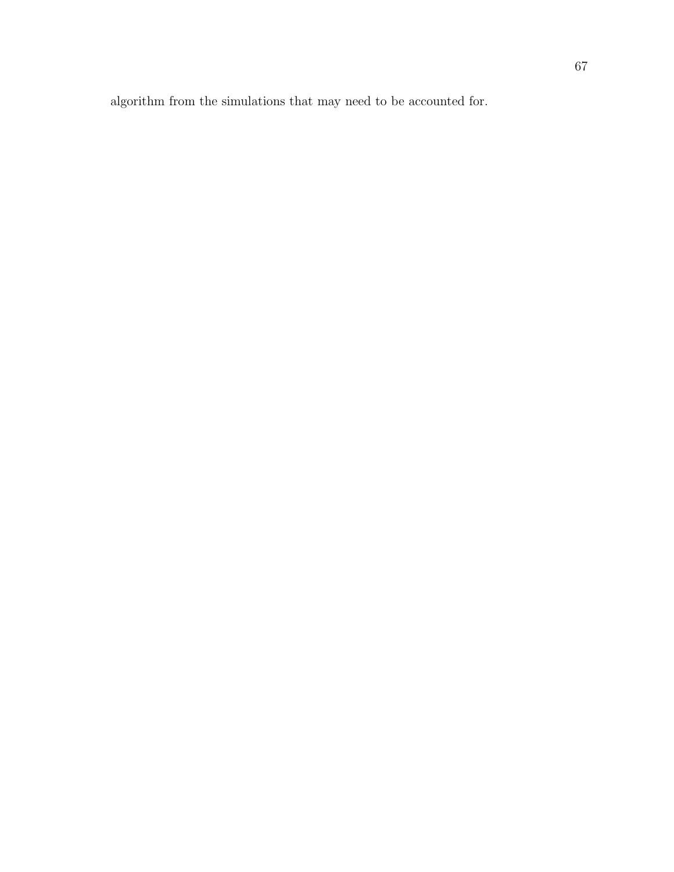algorithm from the simulations that may need to be accounted for.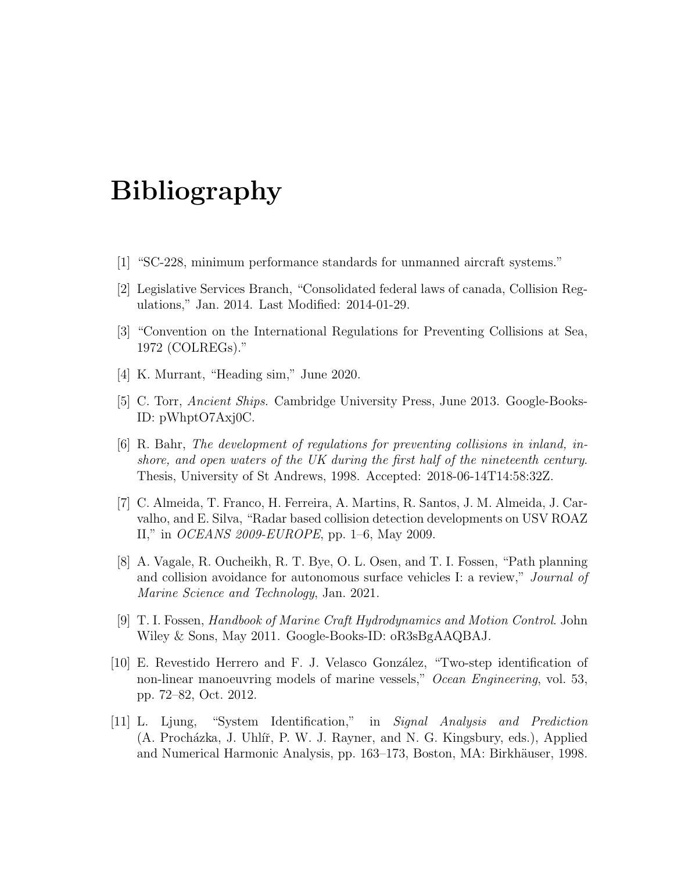# Bibliography

- [1] "SC-228, minimum performance standards for unmanned aircraft systems."
- [2] Legislative Services Branch, "Consolidated federal laws of canada, Collision Regulations," Jan. 2014. Last Modified: 2014-01-29.
- [3] "Convention on the International Regulations for Preventing Collisions at Sea, 1972 (COLREGs)."
- [4] K. Murrant, "Heading sim," June 2020.
- [5] C. Torr, Ancient Ships. Cambridge University Press, June 2013. Google-Books-ID: pWhptO7Axj0C.
- [6] R. Bahr, The development of regulations for preventing collisions in inland, inshore, and open waters of the UK during the first half of the nineteenth century. Thesis, University of St Andrews, 1998. Accepted: 2018-06-14T14:58:32Z.
- [7] C. Almeida, T. Franco, H. Ferreira, A. Martins, R. Santos, J. M. Almeida, J. Carvalho, and E. Silva, "Radar based collision detection developments on USV ROAZ II," in OCEANS 2009-EUROPE, pp. 1–6, May 2009.
- [8] A. Vagale, R. Oucheikh, R. T. Bye, O. L. Osen, and T. I. Fossen, "Path planning and collision avoidance for autonomous surface vehicles I: a review," *Journal of* Marine Science and Technology, Jan. 2021.
- [9] T. I. Fossen, Handbook of Marine Craft Hydrodynamics and Motion Control. John Wiley & Sons, May 2011. Google-Books-ID: oR3sBgAAQBAJ.
- [10] E. Revestido Herrero and F. J. Velasco Gonz´alez, "Two-step identification of non-linear manoeuvring models of marine vessels," Ocean Engineering, vol. 53, pp. 72–82, Oct. 2012.
- [11] L. Ljung, "System Identification," in Signal Analysis and Prediction (A. Procházka, J. Uhlíř, P. W. J. Rayner, and N. G. Kingsbury, eds.), Applied and Numerical Harmonic Analysis, pp. 163–173, Boston, MA: Birkhäuser, 1998.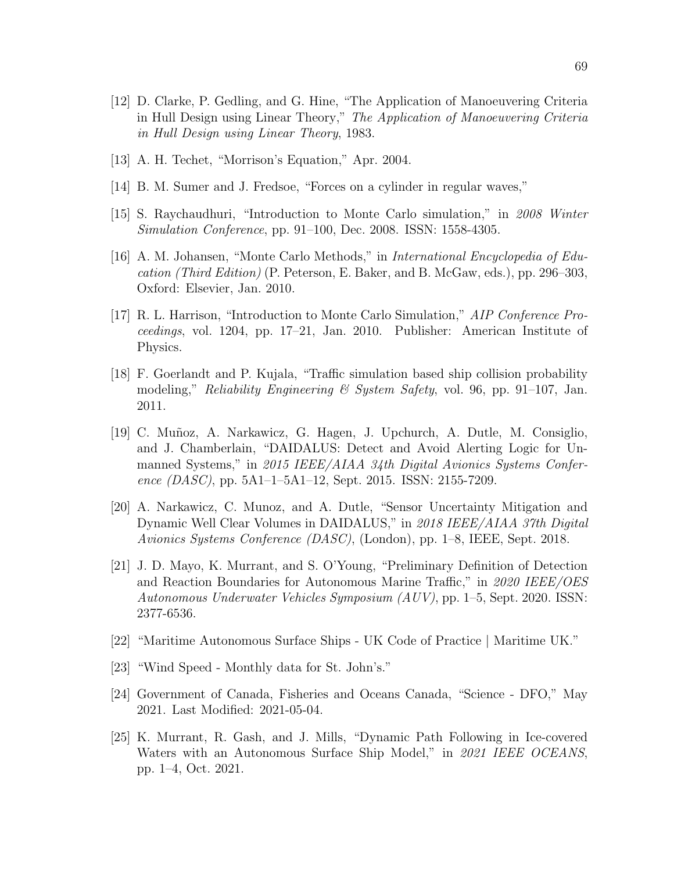- [12] D. Clarke, P. Gedling, and G. Hine, "The Application of Manoeuvering Criteria in Hull Design using Linear Theory," The Application of Manoeuvering Criteria in Hull Design using Linear Theory, 1983.
- [13] A. H. Techet, "Morrison's Equation," Apr. 2004.
- [14] B. M. Sumer and J. Fredsoe, "Forces on a cylinder in regular waves,"
- [15] S. Raychaudhuri, "Introduction to Monte Carlo simulation," in 2008 Winter Simulation Conference, pp. 91–100, Dec. 2008. ISSN: 1558-4305.
- [16] A. M. Johansen, "Monte Carlo Methods," in International Encyclopedia of Education (Third Edition) (P. Peterson, E. Baker, and B. McGaw, eds.), pp. 296–303, Oxford: Elsevier, Jan. 2010.
- [17] R. L. Harrison, "Introduction to Monte Carlo Simulation," AIP Conference Proceedings, vol. 1204, pp. 17–21, Jan. 2010. Publisher: American Institute of Physics.
- [18] F. Goerlandt and P. Kujala, "Traffic simulation based ship collision probability modeling," Reliability Engineering & System Safety, vol. 96, pp. 91–107, Jan. 2011.
- [19] C. Mu˜noz, A. Narkawicz, G. Hagen, J. Upchurch, A. Dutle, M. Consiglio, and J. Chamberlain, "DAIDALUS: Detect and Avoid Alerting Logic for Unmanned Systems," in 2015 IEEE/AIAA 34th Digital Avionics Systems Conference (DASC), pp. 5A1–1–5A1–12, Sept. 2015. ISSN: 2155-7209.
- [20] A. Narkawicz, C. Munoz, and A. Dutle, "Sensor Uncertainty Mitigation and Dynamic Well Clear Volumes in DAIDALUS," in 2018 IEEE/AIAA 37th Digital Avionics Systems Conference (DASC), (London), pp. 1–8, IEEE, Sept. 2018.
- [21] J. D. Mayo, K. Murrant, and S. O'Young, "Preliminary Definition of Detection and Reaction Boundaries for Autonomous Marine Traffic," in 2020 IEEE/OES Autonomous Underwater Vehicles Symposium (AUV), pp. 1–5, Sept. 2020. ISSN: 2377-6536.
- [22] "Maritime Autonomous Surface Ships UK Code of Practice | Maritime UK."
- [23] "Wind Speed Monthly data for St. John's."
- [24] Government of Canada, Fisheries and Oceans Canada, "Science DFO," May 2021. Last Modified: 2021-05-04.
- [25] K. Murrant, R. Gash, and J. Mills, "Dynamic Path Following in Ice-covered Waters with an Autonomous Surface Ship Model," in 2021 IEEE OCEANS, pp. 1–4, Oct. 2021.